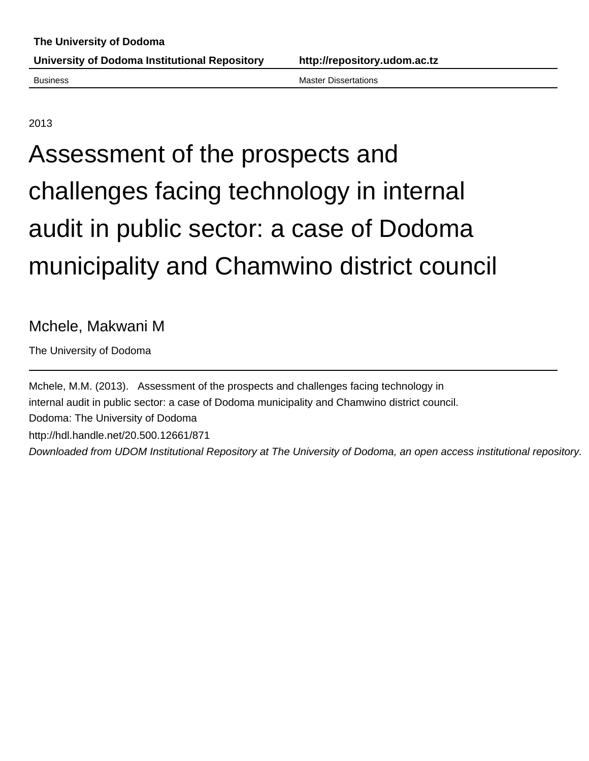Business Master Dissertations

2013

# Assessment of the prospects and challenges facing technology in internal audit in public sector: a case of Dodoma municipality and Chamwino district council

## Mchele, Makwani M

The University of Dodoma

Mchele, M.M. (2013). Assessment of the prospects and challenges facing technology in internal audit in public sector: a case of Dodoma municipality and Chamwino district council. Dodoma: The University of Dodoma http://hdl.handle.net/20.500.12661/871 Downloaded from UDOM Institutional Repository at The University of Dodoma, an open access institutional repository.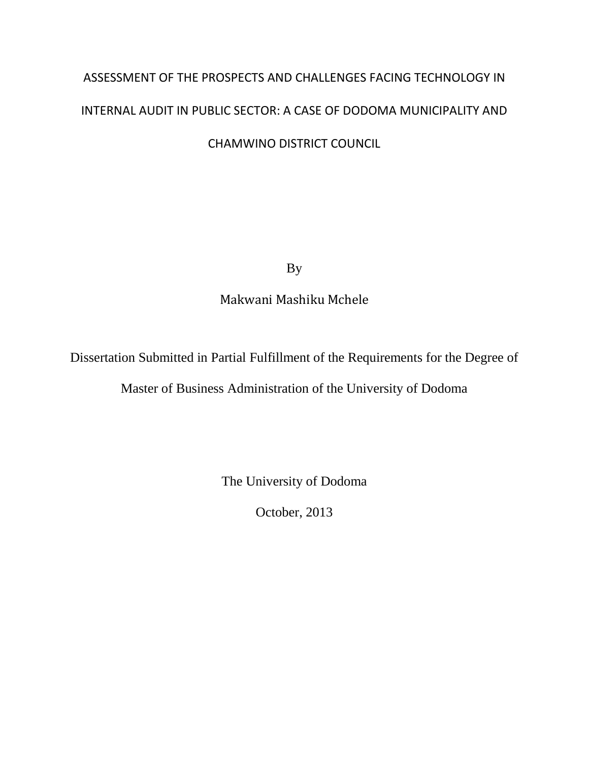## ASSESSMENT OF THE PROSPECTS AND CHALLENGES FACING TECHNOLOGY IN INTERNAL AUDIT IN PUBLIC SECTOR: A CASE OF DODOMA MUNICIPALITY AND CHAMWINO DISTRICT COUNCIL

By

Makwani Mashiku Mchele

Dissertation Submitted in Partial Fulfillment of the Requirements for the Degree of

Master of Business Administration of the University of Dodoma

The University of Dodoma

October, 2013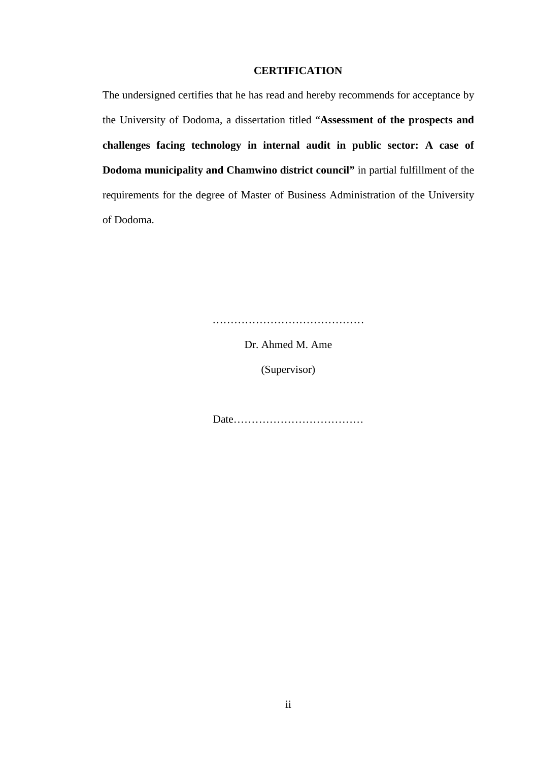#### **CERTIFICATION**

The undersigned certifies that he has read and hereby recommends for acceptance by the University of Dodoma, a dissertation titled "**Assessment of the prospects and challenges facing technology in internal audit in public sector: A case of Dodoma municipality and Chamwino district council"** in partial fulfillment of the requirements for the degree of Master of Business Administration of the University of Dodoma.

……………………………………

Dr. Ahmed M. Ame

(Supervisor)

Date………………………………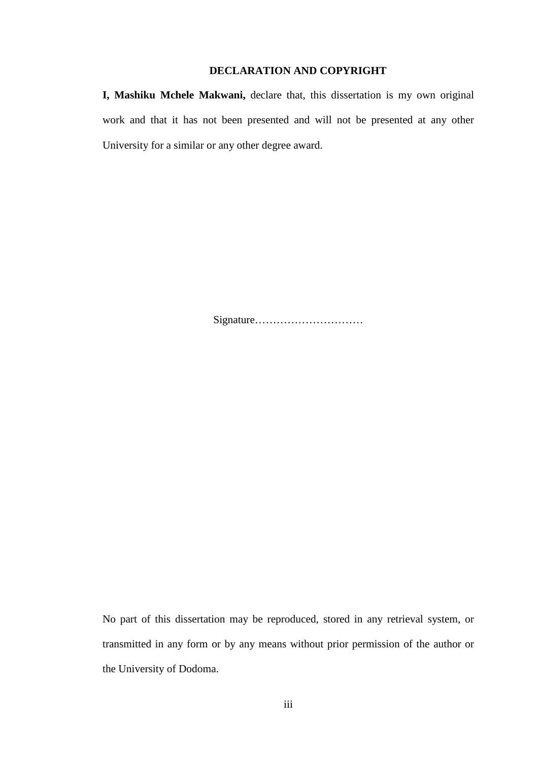#### **DECLARATION AND COPYRIGHT**

**I, Mashiku Mchele Makwani,** declare that, this dissertation is my own original work and that it has not been presented and will not be presented at any other University for a similar or any other degree award.

Signature…………………………

No part of this dissertation may be reproduced, stored in any retrieval system, or transmitted in any form or by any means without prior permission of the author or the University of Dodoma.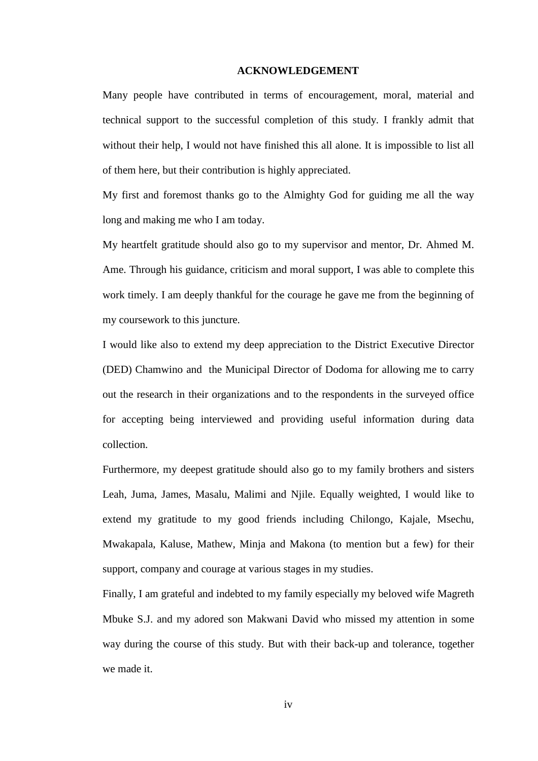#### **ACKNOWLEDGEMENT**

Many people have contributed in terms of encouragement, moral, material and technical support to the successful completion of this study. I frankly admit that without their help, I would not have finished this all alone. It is impossible to list all of them here, but their contribution is highly appreciated.

My first and foremost thanks go to the Almighty God for guiding me all the way long and making me who I am today.

My heartfelt gratitude should also go to my supervisor and mentor, Dr. Ahmed M. Ame. Through his guidance, criticism and moral support, I was able to complete this work timely. I am deeply thankful for the courage he gave me from the beginning of my coursework to this juncture.

I would like also to extend my deep appreciation to the District Executive Director (DED) Chamwino and the Municipal Director of Dodoma for allowing me to carry out the research in their organizations and to the respondents in the surveyed office for accepting being interviewed and providing useful information during data collection.

Furthermore, my deepest gratitude should also go to my family brothers and sisters Leah, Juma, James, Masalu, Malimi and Njile. Equally weighted, I would like to extend my gratitude to my good friends including Chilongo, Kajale, Msechu, Mwakapala, Kaluse, Mathew, Minja and Makona (to mention but a few) for their support, company and courage at various stages in my studies.

Finally, I am grateful and indebted to my family especially my beloved wife Magreth Mbuke S.J. and my adored son Makwani David who missed my attention in some way during the course of this study. But with their back-up and tolerance, together we made it.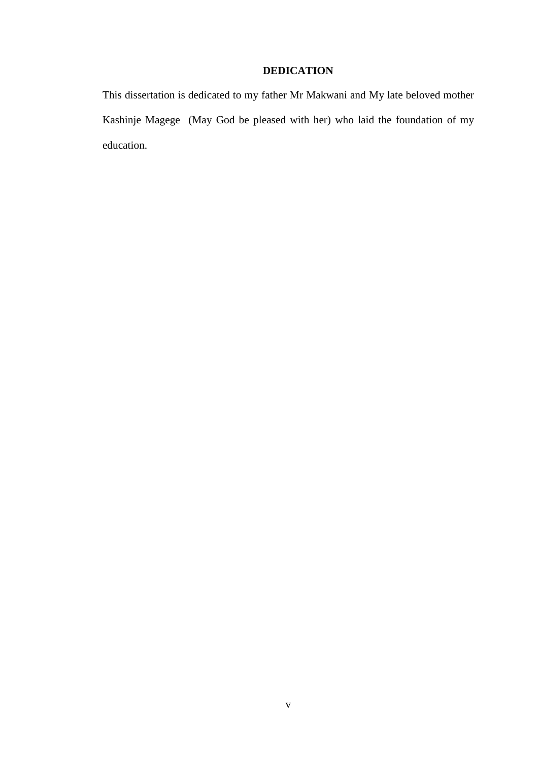#### **DEDICATION**

This dissertation is dedicated to my father Mr Makwani and My late beloved mother Kashinje Magege (May God be pleased with her) who laid the foundation of my education.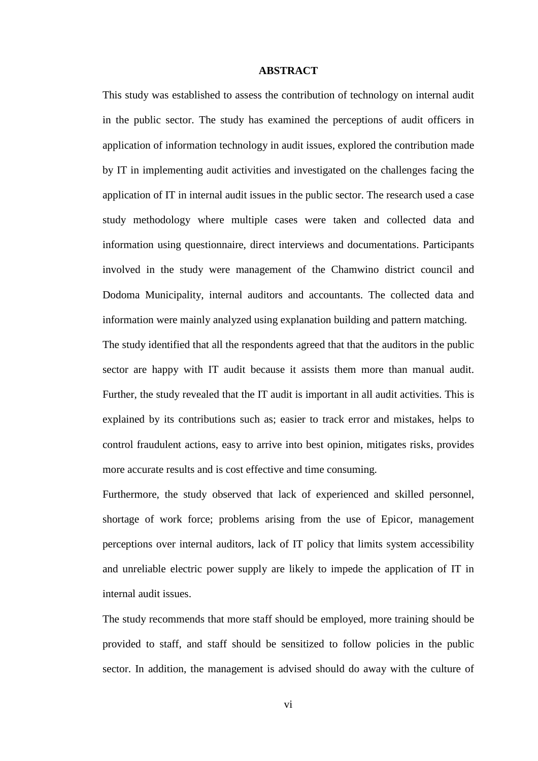#### **ABSTRACT**

This study was established to assess the contribution of technology on internal audit in the public sector. The study has examined the perceptions of audit officers in application of information technology in audit issues, explored the contribution made by IT in implementing audit activities and investigated on the challenges facing the application of IT in internal audit issues in the public sector. The research used a case study methodology where multiple cases were taken and collected data and information using questionnaire, direct interviews and documentations. Participants involved in the study were management of the Chamwino district council and Dodoma Municipality, internal auditors and accountants. The collected data and information were mainly analyzed using explanation building and pattern matching.

The study identified that all the respondents agreed that that the auditors in the public sector are happy with IT audit because it assists them more than manual audit. Further, the study revealed that the IT audit is important in all audit activities. This is explained by its contributions such as; easier to track error and mistakes, helps to control fraudulent actions, easy to arrive into best opinion, mitigates risks, provides more accurate results and is cost effective and time consuming.

Furthermore, the study observed that lack of experienced and skilled personnel, shortage of work force; problems arising from the use of Epicor, management perceptions over internal auditors, lack of IT policy that limits system accessibility and unreliable electric power supply are likely to impede the application of IT in internal audit issues.

The study recommends that more staff should be employed, more training should be provided to staff, and staff should be sensitized to follow policies in the public sector. In addition, the management is advised should do away with the culture of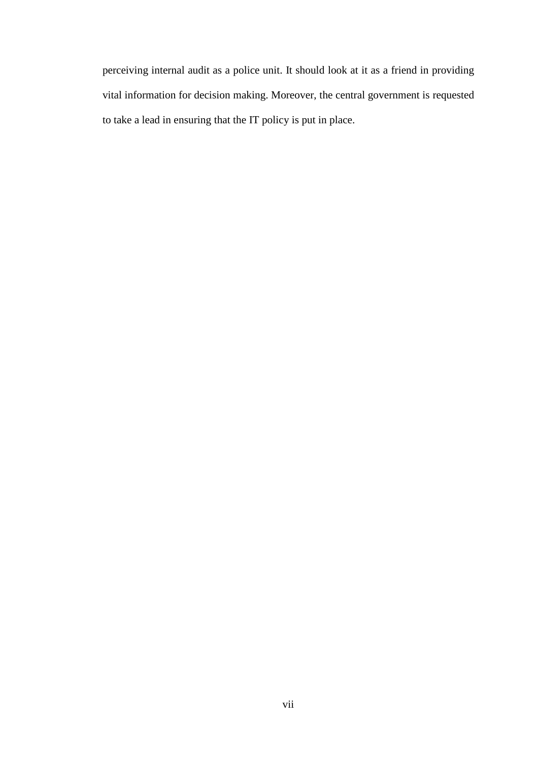perceiving internal audit as a police unit. It should look at it as a friend in providing vital information for decision making. Moreover, the central government is requested to take a lead in ensuring that the IT policy is put in place.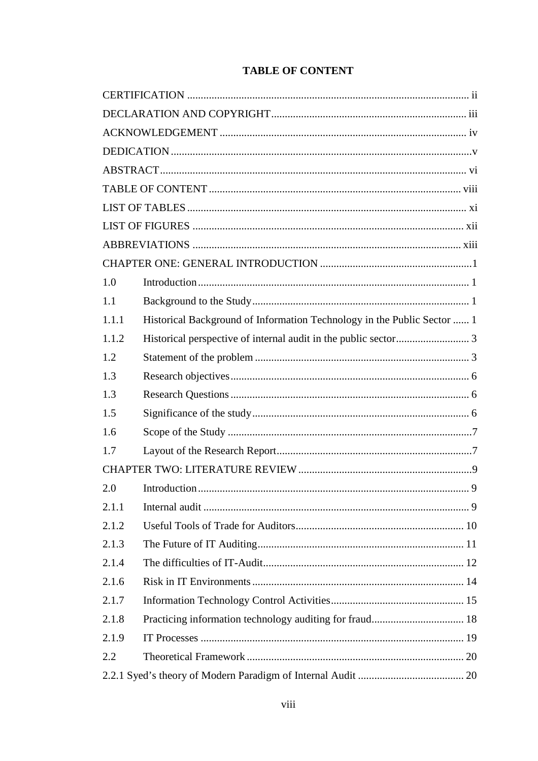| 1.0   |                                                                         |  |
|-------|-------------------------------------------------------------------------|--|
| 1.1   |                                                                         |  |
| 1.1.1 | Historical Background of Information Technology in the Public Sector  1 |  |
| 1.1.2 |                                                                         |  |
| 1.2   |                                                                         |  |
| 1.3   |                                                                         |  |
| 1.3   |                                                                         |  |
| 1.5   |                                                                         |  |
| 1.6   |                                                                         |  |
| 1.7   |                                                                         |  |
|       |                                                                         |  |
| 2.0   |                                                                         |  |
| 2.1.1 |                                                                         |  |
| 2.1.2 |                                                                         |  |
| 2.1.3 |                                                                         |  |
| 2.1.4 |                                                                         |  |
| 2.1.6 |                                                                         |  |
| 2.1.7 |                                                                         |  |
| 2.1.8 |                                                                         |  |
| 2.1.9 |                                                                         |  |
| 2.2   |                                                                         |  |
|       |                                                                         |  |

## **TABLE OF CONTENT**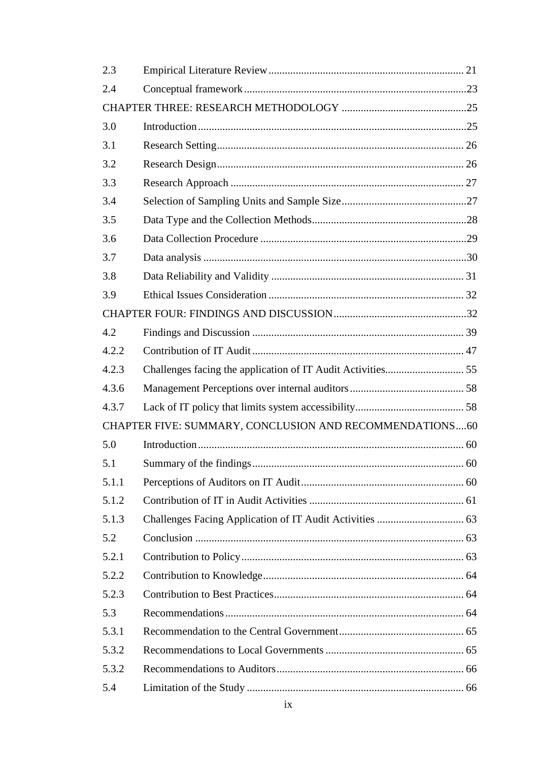| 2.3   |                                                         |  |
|-------|---------------------------------------------------------|--|
| 2.4   |                                                         |  |
|       |                                                         |  |
| 3.0   |                                                         |  |
| 3.1   |                                                         |  |
| 3.2   |                                                         |  |
| 3.3   |                                                         |  |
| 3.4   |                                                         |  |
| 3.5   |                                                         |  |
| 3.6   |                                                         |  |
| 3.7   |                                                         |  |
| 3.8   |                                                         |  |
| 3.9   |                                                         |  |
|       |                                                         |  |
| 4.2   |                                                         |  |
| 4.2.2 |                                                         |  |
| 4.2.3 |                                                         |  |
| 4.3.6 |                                                         |  |
| 4.3.7 |                                                         |  |
|       | CHAPTER FIVE: SUMMARY, CONCLUSION AND RECOMMENDATIONS60 |  |
| 5.0   |                                                         |  |
| 5.1   |                                                         |  |
| 5.1.1 |                                                         |  |
| 5.1.2 |                                                         |  |
| 5.1.3 |                                                         |  |
| 5.2   |                                                         |  |
| 5.2.1 |                                                         |  |
| 5.2.2 |                                                         |  |
| 5.2.3 |                                                         |  |
| 5.3   |                                                         |  |
| 5.3.1 |                                                         |  |
| 5.3.2 |                                                         |  |
| 5.3.2 |                                                         |  |
| 5.4   |                                                         |  |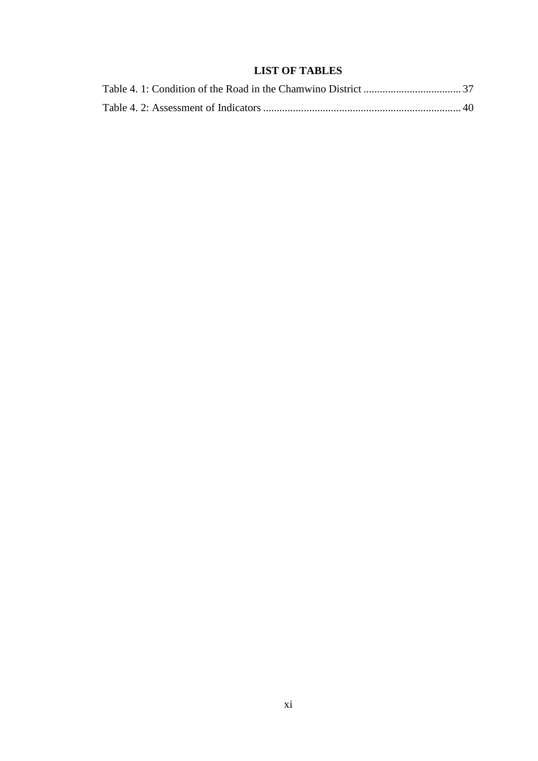## **LIST OF TABLES**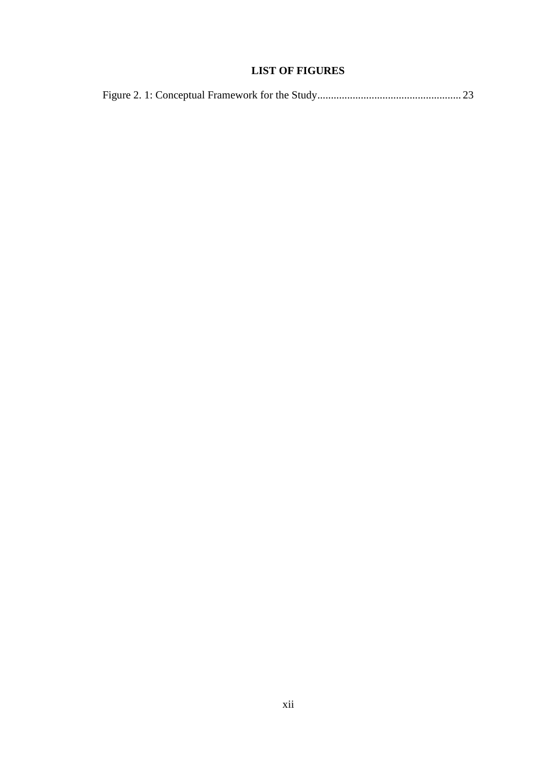## **LIST OF FIGURES**

|--|--|--|--|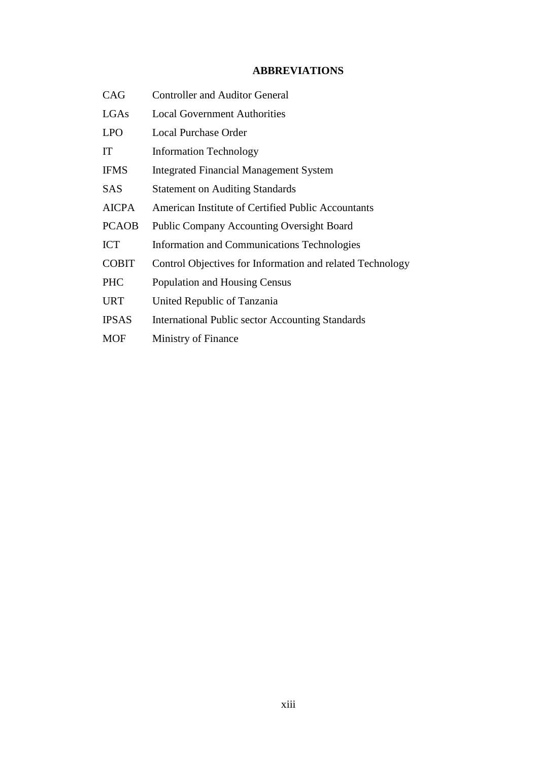#### **ABBREVIATIONS**

| CAG          | <b>Controller and Auditor General</b>                     |
|--------------|-----------------------------------------------------------|
| LGAs         | <b>Local Government Authorities</b>                       |
| <b>LPO</b>   | <b>Local Purchase Order</b>                               |
| IT           | <b>Information Technology</b>                             |
| <b>IFMS</b>  | <b>Integrated Financial Management System</b>             |
| <b>SAS</b>   | <b>Statement on Auditing Standards</b>                    |
| <b>AICPA</b> | American Institute of Certified Public Accountants        |
| <b>PCAOB</b> | <b>Public Company Accounting Oversight Board</b>          |
| <b>ICT</b>   | Information and Communications Technologies               |
| <b>COBIT</b> | Control Objectives for Information and related Technology |
| <b>PHC</b>   | Population and Housing Census                             |
| <b>URT</b>   | United Republic of Tanzania                               |
| <b>IPSAS</b> | <b>International Public sector Accounting Standards</b>   |
| <b>MOF</b>   | Ministry of Finance                                       |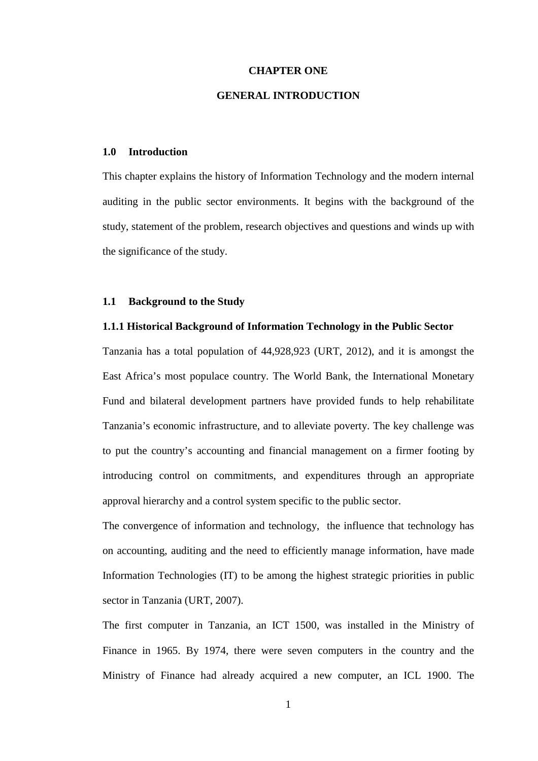#### **CHAPTER ONE**

#### **GENERAL INTRODUCTION**

#### **1.0 Introduction**

This chapter explains the history of Information Technology and the modern internal auditing in the public sector environments. It begins with the background of the study, statement of the problem, research objectives and questions and winds up with the significance of the study.

#### **1.1 Background to the Study**

#### **1.1.1 Historical Background of Information Technology in the Public Sector**

Tanzania has a total population of 44,928,923 (URT, 2012), and it is amongst the East Africa's most populace country. The World Bank, the International Monetary Fund and bilateral development partners have provided funds to help rehabilitate Tanzania's economic infrastructure, and to alleviate poverty. The key challenge was to put the country's accounting and financial management on a firmer footing by introducing control on commitments, and expenditures through an appropriate approval hierarchy and a control system specific to the public sector.

The convergence of information and technology, the influence that technology has on accounting, auditing and the need to efficiently manage information, have made Information Technologies (IT) to be among the highest strategic priorities in public sector in Tanzania (URT, 2007).

The first computer in Tanzania, an ICT 1500, was installed in the Ministry of Finance in 1965. By 1974, there were seven computers in the country and the Ministry of Finance had already acquired a new computer, an ICL 1900. The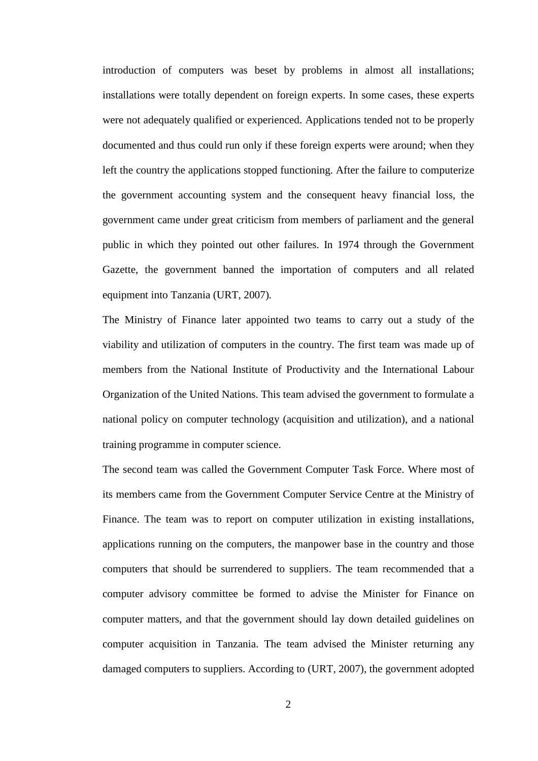introduction of computers was beset by problems in almost all installations; installations were totally dependent on foreign experts. In some cases, these experts were not adequately qualified or experienced. Applications tended not to be properly documented and thus could run only if these foreign experts were around; when they left the country the applications stopped functioning. After the failure to computerize the government accounting system and the consequent heavy financial loss, the government came under great criticism from members of parliament and the general public in which they pointed out other failures. In 1974 through the Government Gazette, the government banned the importation of computers and all related equipment into Tanzania (URT, 2007)*.* 

The Ministry of Finance later appointed two teams to carry out a study of the viability and utilization of computers in the country. The first team was made up of members from the National Institute of Productivity and the International Labour Organization of the United Nations. This team advised the government to formulate a national policy on computer technology (acquisition and utilization), and a national training programme in computer science.

The second team was called the Government Computer Task Force. Where most of its members came from the Government Computer Service Centre at the Ministry of Finance. The team was to report on computer utilization in existing installations, applications running on the computers, the manpower base in the country and those computers that should be surrendered to suppliers. The team recommended that a computer advisory committee be formed to advise the Minister for Finance on computer matters, and that the government should lay down detailed guidelines on computer acquisition in Tanzania. The team advised the Minister returning any damaged computers to suppliers. According to (URT, 2007), the government adopted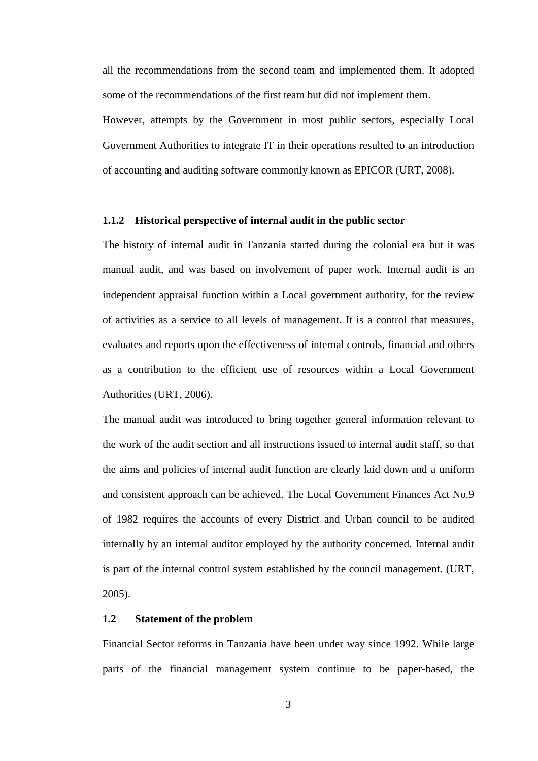all the recommendations from the second team and implemented them. It adopted some of the recommendations of the first team but did not implement them.

However, attempts by the Government in most public sectors, especially Local Government Authorities to integrate IT in their operations resulted to an introduction of accounting and auditing software commonly known as EPICOR (URT, 2008).

#### **1.1.2 Historical perspective of internal audit in the public sector**

The history of internal audit in Tanzania started during the colonial era but it was manual audit, and was based on involvement of paper work. Internal audit is an independent appraisal function within a Local government authority, for the review of activities as a service to all levels of management. It is a control that measures, evaluates and reports upon the effectiveness of internal controls, financial and others as a contribution to the efficient use of resources within a Local Government Authorities (URT, 2006).

The manual audit was introduced to bring together general information relevant to the work of the audit section and all instructions issued to internal audit staff, so that the aims and policies of internal audit function are clearly laid down and a uniform and consistent approach can be achieved. The Local Government Finances Act No.9 of 1982 requires the accounts of every District and Urban council to be audited internally by an internal auditor employed by the authority concerned. Internal audit is part of the internal control system established by the council management*.* (URT, 2005).

#### **1.2 Statement of the problem**

Financial Sector reforms in Tanzania have been under way since 1992. While large parts of the financial management system continue to be paper-based, the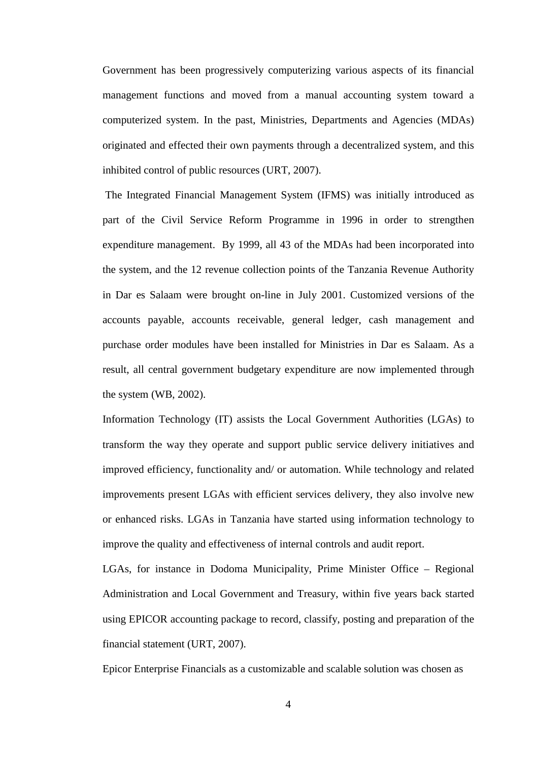Government has been progressively computerizing various aspects of its financial management functions and moved from a manual accounting system toward a computerized system. In the past, Ministries, Departments and Agencies (MDAs) originated and effected their own payments through a decentralized system, and this inhibited control of public resources (URT, 2007).

 The Integrated Financial Management System (IFMS) was initially introduced as part of the Civil Service Reform Programme in 1996 in order to strengthen expenditure management. By 1999, all 43 of the MDAs had been incorporated into the system, and the 12 revenue collection points of the Tanzania Revenue Authority in Dar es Salaam were brought on-line in July 2001. Customized versions of the accounts payable, accounts receivable, general ledger, cash management and purchase order modules have been installed for Ministries in Dar es Salaam. As a result, all central government budgetary expenditure are now implemented through the system (WB, 2002).

Information Technology (IT) assists the Local Government Authorities (LGAs) to transform the way they operate and support public service delivery initiatives and improved efficiency, functionality and/ or automation. While technology and related improvements present LGAs with efficient services delivery, they also involve new or enhanced risks. LGAs in Tanzania have started using information technology to improve the quality and effectiveness of internal controls and audit report.

LGAs, for instance in Dodoma Municipality, Prime Minister Office – Regional Administration and Local Government and Treasury, within five years back started using EPICOR accounting package to record, classify, posting and preparation of the financial statement (URT, 2007).

Epicor Enterprise Financials as a customizable and scalable solution was chosen as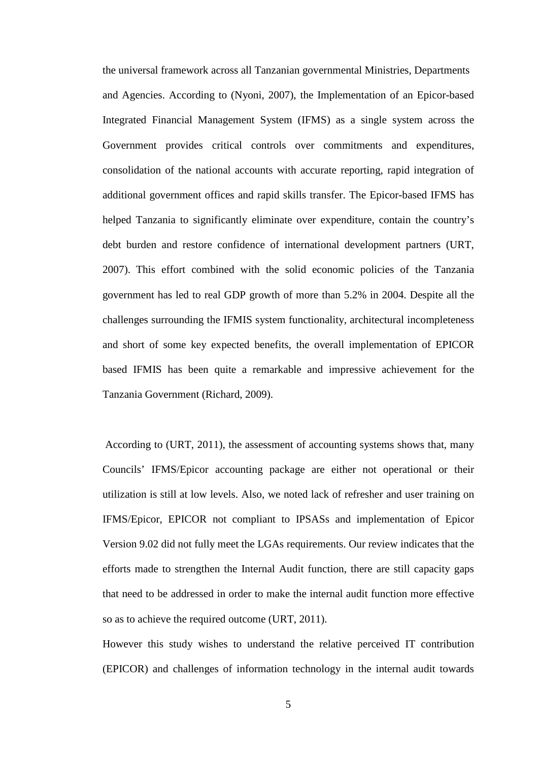the universal framework across all Tanzanian governmental Ministries, Departments and Agencies. According to (Nyoni, 2007), the Implementation of an Epicor-based Integrated Financial Management System (IFMS) as a single system across the Government provides critical controls over commitments and expenditures, consolidation of the national accounts with accurate reporting, rapid integration of additional government offices and rapid skills transfer. The Epicor-based IFMS has helped Tanzania to significantly eliminate over expenditure, contain the country's debt burden and restore confidence of international development partners (URT, 2007). This effort combined with the solid economic policies of the Tanzania government has led to real GDP growth of more than 5.2% in 2004. Despite all the challenges surrounding the IFMIS system functionality, architectural incompleteness and short of some key expected benefits, the overall implementation of EPICOR based IFMIS has been quite a remarkable and impressive achievement for the Tanzania Government (Richard, 2009).

 According to (URT, 2011), the assessment of accounting systems shows that, many Councils' IFMS/Epicor accounting package are either not operational or their utilization is still at low levels. Also, we noted lack of refresher and user training on IFMS/Epicor, EPICOR not compliant to IPSASs and implementation of Epicor Version 9.02 did not fully meet the LGAs requirements. Our review indicates that the efforts made to strengthen the Internal Audit function, there are still capacity gaps that need to be addressed in order to make the internal audit function more effective so as to achieve the required outcome (URT, 2011).

However this study wishes to understand the relative perceived IT contribution (EPICOR) and challenges of information technology in the internal audit towards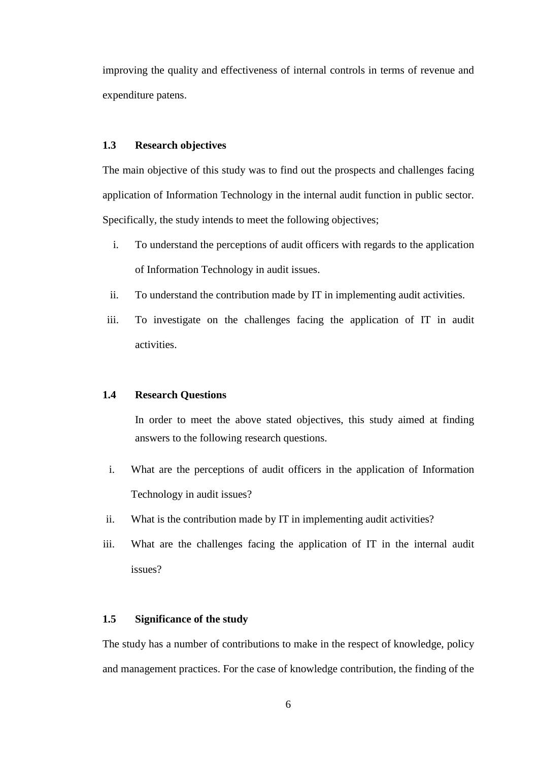improving the quality and effectiveness of internal controls in terms of revenue and expenditure patens.

#### **1.3 Research objectives**

The main objective of this study was to find out the prospects and challenges facing application of Information Technology in the internal audit function in public sector. Specifically, the study intends to meet the following objectives;

- i. To understand the perceptions of audit officers with regards to the application of Information Technology in audit issues.
- ii. To understand the contribution made by IT in implementing audit activities.
- iii. To investigate on the challenges facing the application of IT in audit activities.

#### **1.4 Research Questions**

In order to meet the above stated objectives, this study aimed at finding answers to the following research questions.

- i. What are the perceptions of audit officers in the application of Information Technology in audit issues?
- ii. What is the contribution made by IT in implementing audit activities?
- iii. What are the challenges facing the application of IT in the internal audit issues?

#### **1.5 Significance of the study**

The study has a number of contributions to make in the respect of knowledge, policy and management practices. For the case of knowledge contribution, the finding of the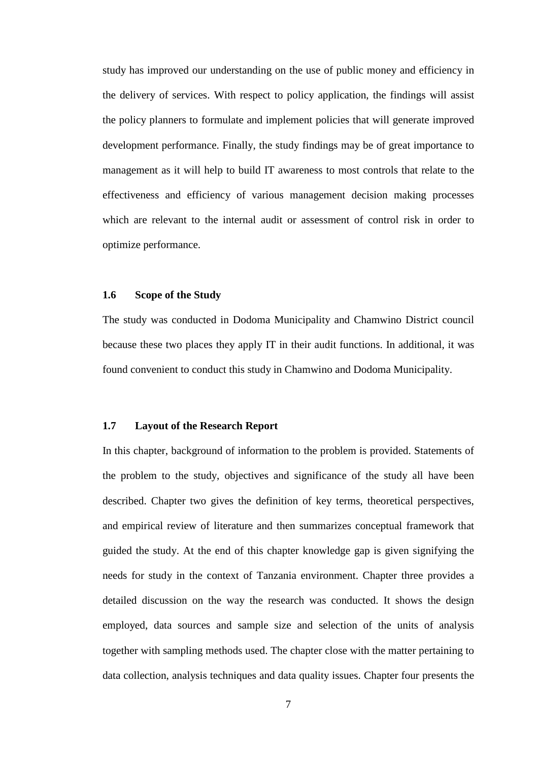study has improved our understanding on the use of public money and efficiency in the delivery of services. With respect to policy application, the findings will assist the policy planners to formulate and implement policies that will generate improved development performance. Finally, the study findings may be of great importance to management as it will help to build IT awareness to most controls that relate to the effectiveness and efficiency of various management decision making processes which are relevant to the internal audit or assessment of control risk in order to optimize performance.

#### **1.6 Scope of the Study**

The study was conducted in Dodoma Municipality and Chamwino District council because these two places they apply IT in their audit functions. In additional, it was found convenient to conduct this study in Chamwino and Dodoma Municipality.

#### **1.7 Layout of the Research Report**

In this chapter, background of information to the problem is provided. Statements of the problem to the study, objectives and significance of the study all have been described. Chapter two gives the definition of key terms, theoretical perspectives, and empirical review of literature and then summarizes conceptual framework that guided the study. At the end of this chapter knowledge gap is given signifying the needs for study in the context of Tanzania environment. Chapter three provides a detailed discussion on the way the research was conducted. It shows the design employed, data sources and sample size and selection of the units of analysis together with sampling methods used. The chapter close with the matter pertaining to data collection, analysis techniques and data quality issues. Chapter four presents the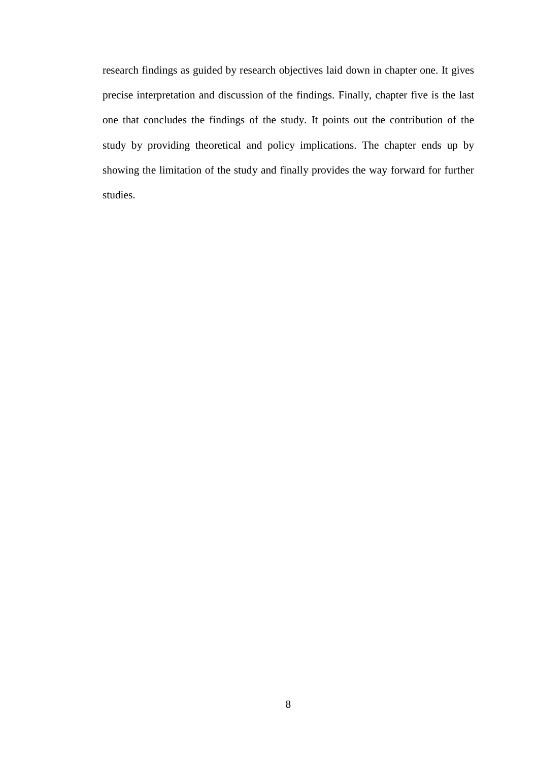research findings as guided by research objectives laid down in chapter one. It gives precise interpretation and discussion of the findings. Finally, chapter five is the last one that concludes the findings of the study. It points out the contribution of the study by providing theoretical and policy implications. The chapter ends up by showing the limitation of the study and finally provides the way forward for further studies.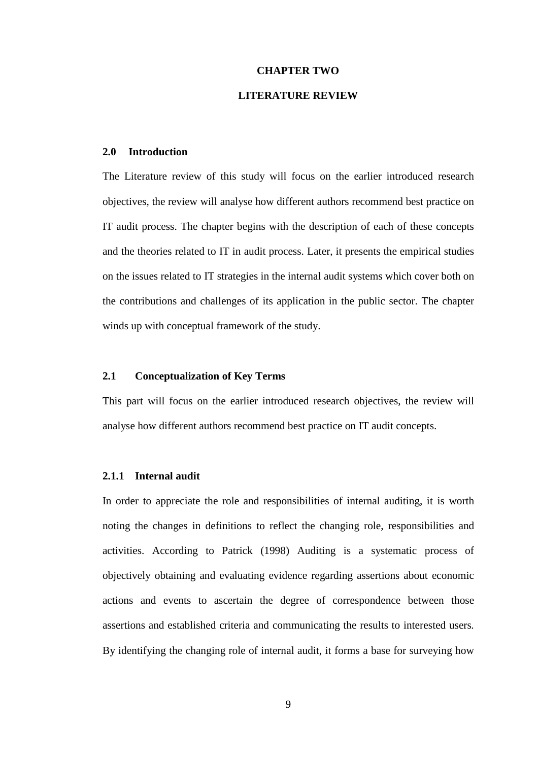## **CHAPTER TWO LITERATURE REVIEW**

#### **2.0 Introduction**

The Literature review of this study will focus on the earlier introduced research objectives, the review will analyse how different authors recommend best practice on IT audit process. The chapter begins with the description of each of these concepts and the theories related to IT in audit process. Later, it presents the empirical studies on the issues related to IT strategies in the internal audit systems which cover both on the contributions and challenges of its application in the public sector. The chapter winds up with conceptual framework of the study.

#### **2.1 Conceptualization of Key Terms**

This part will focus on the earlier introduced research objectives, the review will analyse how different authors recommend best practice on IT audit concepts.

#### **2.1.1 Internal audit**

In order to appreciate the role and responsibilities of internal auditing, it is worth noting the changes in definitions to reflect the changing role, responsibilities and activities. According to Patrick (1998) Auditing is a systematic process of objectively obtaining and evaluating evidence regarding assertions about economic actions and events to ascertain the degree of correspondence between those assertions and established criteria and communicating the results to interested users*.*  By identifying the changing role of internal audit, it forms a base for surveying how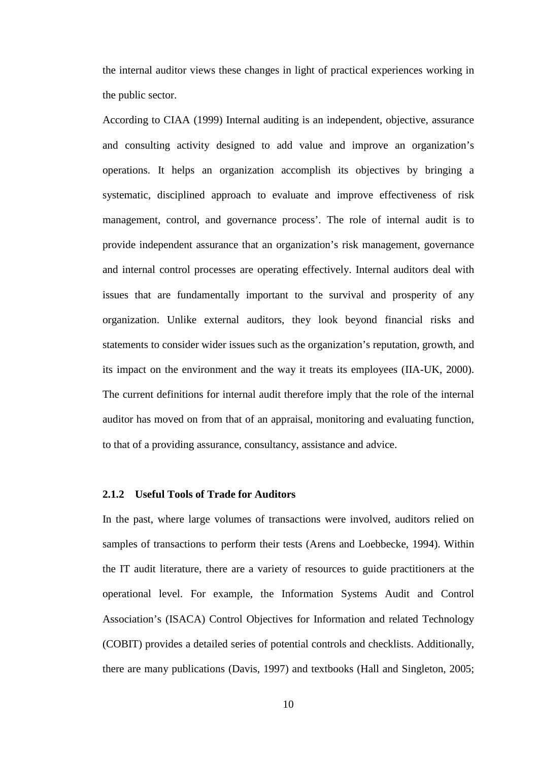the internal auditor views these changes in light of practical experiences working in the public sector.

According to CIAA (1999) Internal auditing is an independent, objective, assurance and consulting activity designed to add value and improve an organization's operations. It helps an organization accomplish its objectives by bringing a systematic, disciplined approach to evaluate and improve effectiveness of risk management, control, and governance process'. The role of internal audit is to provide independent assurance that an organization's risk management, governance and internal control processes are operating effectively. Internal auditors deal with issues that are fundamentally important to the survival and prosperity of any organization. Unlike external auditors, they look beyond financial risks and statements to consider wider issues such as the organization's reputation, growth, and its impact on the environment and the way it treats its employees (IIA-UK, 2000). The current definitions for internal audit therefore imply that the role of the internal auditor has moved on from that of an appraisal, monitoring and evaluating function, to that of a providing assurance, consultancy, assistance and advice.

#### **2.1.2 Useful Tools of Trade for Auditors**

In the past, where large volumes of transactions were involved, auditors relied on samples of transactions to perform their tests (Arens and Loebbecke, 1994). Within the IT audit literature, there are a variety of resources to guide practitioners at the operational level. For example, the Information Systems Audit and Control Association's (ISACA) Control Objectives for Information and related Technology (COBIT) provides a detailed series of potential controls and checklists. Additionally, there are many publications (Davis, 1997) and textbooks (Hall and Singleton, 2005;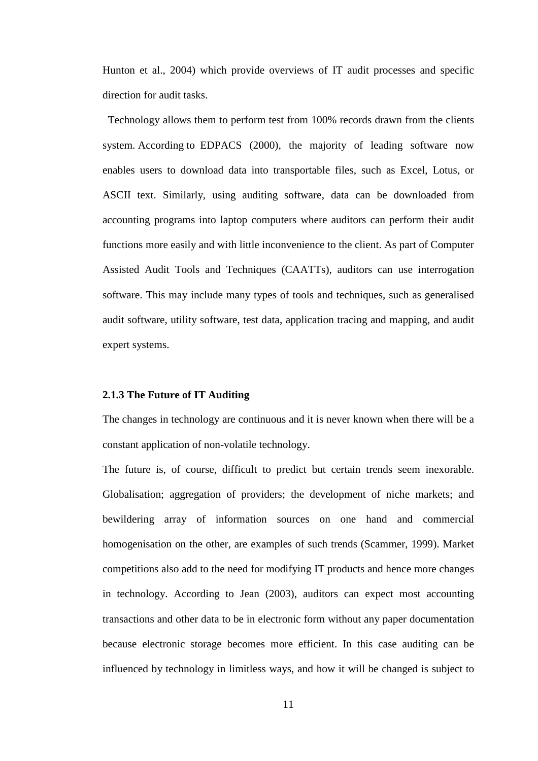Hunton et al., 2004) which provide overviews of IT audit processes and specific direction for audit tasks.

 Technology allows them to perform test from 100% records drawn from the clients system. According to EDPACS (2000), the majority of leading software now enables users to download data into transportable files, such as Excel, Lotus, or ASCII text. Similarly, using auditing software, data can be downloaded from accounting programs into laptop computers where auditors can perform their audit functions more easily and with little inconvenience to the client. As part of Computer Assisted Audit Tools and Techniques (CAATTs), auditors can use interrogation software. This may include many types of tools and techniques, such as generalised audit software, utility software, test data, application tracing and mapping, and audit expert systems.

#### **2.1.3 The Future of IT Auditing**

The changes in technology are continuous and it is never known when there will be a constant application of non-volatile technology.

The future is, of course, difficult to predict but certain trends seem inexorable. Globalisation; aggregation of providers; the development of niche markets; and bewildering array of information sources on one hand and commercial homogenisation on the other, are examples of such trends (Scammer, 1999). Market competitions also add to the need for modifying IT products and hence more changes in technology. According to Jean (2003), auditors can expect most accounting transactions and other data to be in electronic form without any paper documentation because electronic storage becomes more efficient. In this case auditing can be influenced by technology in limitless ways, and how it will be changed is subject to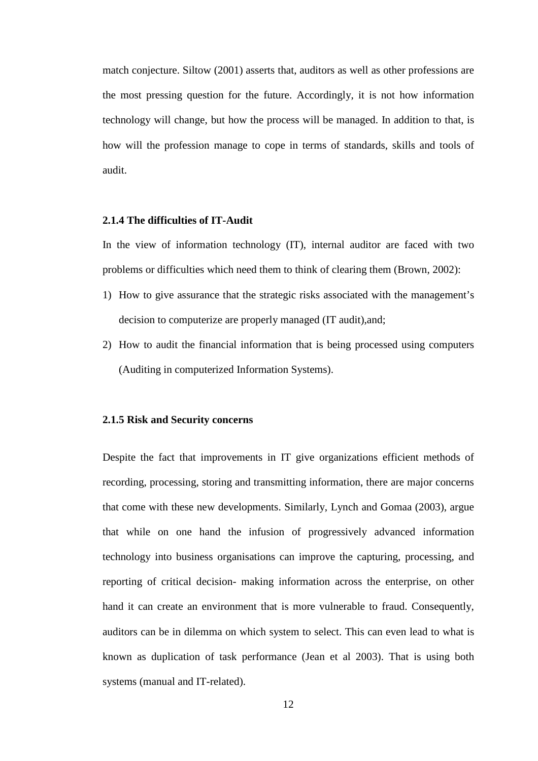match conjecture. Siltow (2001) asserts that, auditors as well as other professions are the most pressing question for the future. Accordingly, it is not how information technology will change, but how the process will be managed. In addition to that, is how will the profession manage to cope in terms of standards, skills and tools of audit.

#### **2.1.4 The difficulties of IT-Audit**

In the view of information technology (IT), internal auditor are faced with two problems or difficulties which need them to think of clearing them (Brown, 2002):

- 1) How to give assurance that the strategic risks associated with the management's decision to computerize are properly managed (IT audit),and;
- 2) How to audit the financial information that is being processed using computers (Auditing in computerized Information Systems).

#### **2.1.5 Risk and Security concerns**

Despite the fact that improvements in IT give organizations efficient methods of recording, processing, storing and transmitting information, there are major concerns that come with these new developments. Similarly, Lynch and Gomaa (2003), argue that while on one hand the infusion of progressively advanced information technology into business organisations can improve the capturing, processing, and reporting of critical decision- making information across the enterprise, on other hand it can create an environment that is more vulnerable to fraud. Consequently, auditors can be in dilemma on which system to select. This can even lead to what is known as duplication of task performance (Jean et al 2003). That is using both systems (manual and IT-related).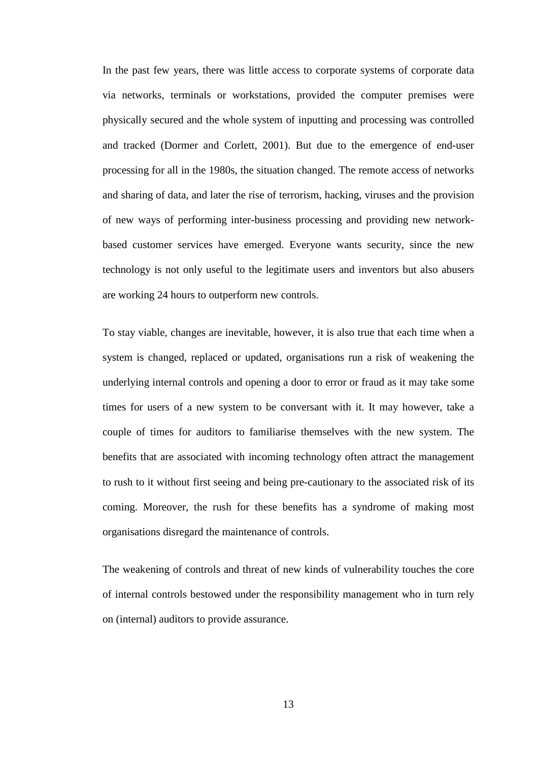In the past few years, there was little access to corporate systems of corporate data via networks, terminals or workstations, provided the computer premises were physically secured and the whole system of inputting and processing was controlled and tracked (Dormer and Corlett, 2001). But due to the emergence of end-user processing for all in the 1980s, the situation changed. The remote access of networks and sharing of data, and later the rise of terrorism, hacking, viruses and the provision of new ways of performing inter-business processing and providing new networkbased customer services have emerged. Everyone wants security, since the new technology is not only useful to the legitimate users and inventors but also abusers are working 24 hours to outperform new controls.

To stay viable, changes are inevitable, however, it is also true that each time when a system is changed, replaced or updated, organisations run a risk of weakening the underlying internal controls and opening a door to error or fraud as it may take some times for users of a new system to be conversant with it. It may however, take a couple of times for auditors to familiarise themselves with the new system. The benefits that are associated with incoming technology often attract the management to rush to it without first seeing and being pre-cautionary to the associated risk of its coming. Moreover, the rush for these benefits has a syndrome of making most organisations disregard the maintenance of controls.

The weakening of controls and threat of new kinds of vulnerability touches the core of internal controls bestowed under the responsibility management who in turn rely on (internal) auditors to provide assurance.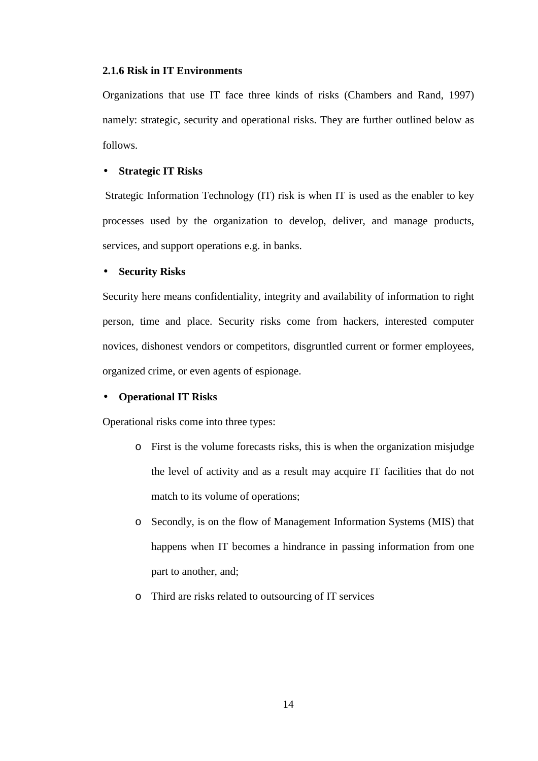#### **2.1.6 Risk in IT Environments**

Organizations that use IT face three kinds of risks (Chambers and Rand, 1997) namely: strategic, security and operational risks. They are further outlined below as follows.

#### • **Strategic IT Risks**

 Strategic Information Technology (IT) risk is when IT is used as the enabler to key processes used by the organization to develop, deliver, and manage products, services, and support operations e.g. in banks.

#### • **Security Risks**

Security here means confidentiality, integrity and availability of information to right person, time and place. Security risks come from hackers, interested computer novices, dishonest vendors or competitors, disgruntled current or former employees, organized crime, or even agents of espionage.

#### • **Operational IT Risks**

Operational risks come into three types:

- o First is the volume forecasts risks, this is when the organization misjudge the level of activity and as a result may acquire IT facilities that do not match to its volume of operations;
- o Secondly, is on the flow of Management Information Systems (MIS) that happens when IT becomes a hindrance in passing information from one part to another, and;
- o Third are risks related to outsourcing of IT services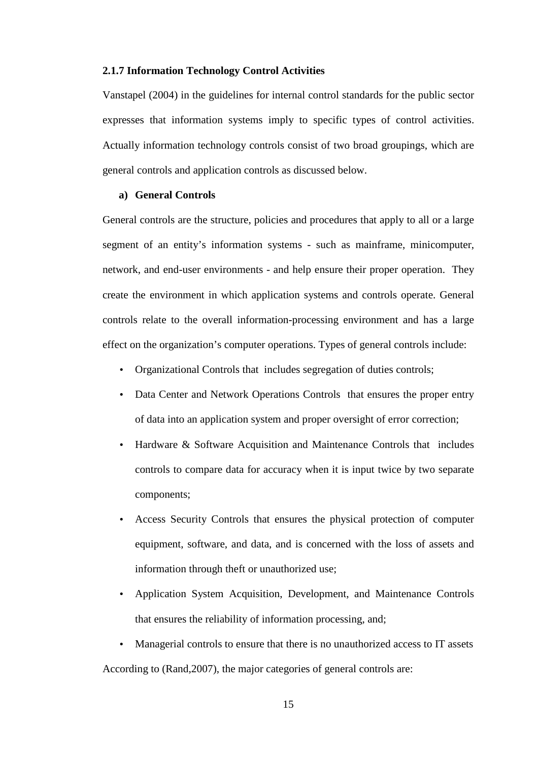#### **2.1.7 Information Technology Control Activities**

Vanstapel (2004) in the guidelines for internal control standards for the public sector expresses that information systems imply to specific types of control activities. Actually information technology controls consist of two broad groupings, which are general controls and application controls as discussed below.

#### **a) General Controls**

General controls are the structure, policies and procedures that apply to all or a large segment of an entity's information systems - such as mainframe, minicomputer, network, and end-user environments - and help ensure their proper operation. They create the environment in which application systems and controls operate. General controls relate to the overall information-processing environment and has a large effect on the organization's computer operations. Types of general controls include:

- Organizational Controls that includes segregation of duties controls;
- Data Center and Network Operations Controls that ensures the proper entry of data into an application system and proper oversight of error correction;
- Hardware & Software Acquisition and Maintenance Controls that includes controls to compare data for accuracy when it is input twice by two separate components;
- Access Security Controls that ensures the physical protection of computer equipment, software, and data, and is concerned with the loss of assets and information through theft or unauthorized use;
- Application System Acquisition, Development, and Maintenance Controls that ensures the reliability of information processing, and;
- Managerial controls to ensure that there is no unauthorized access to IT assets According to (Rand,2007), the major categories of general controls are: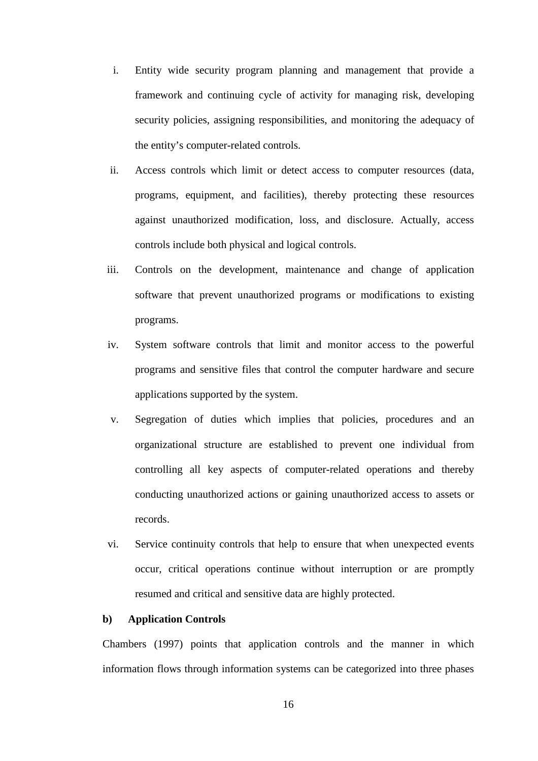- i. Entity wide security program planning and management that provide a framework and continuing cycle of activity for managing risk, developing security policies, assigning responsibilities, and monitoring the adequacy of the entity's computer-related controls.
- ii. Access controls which limit or detect access to computer resources (data, programs, equipment, and facilities), thereby protecting these resources against unauthorized modification, loss, and disclosure. Actually, access controls include both physical and logical controls.
- iii. Controls on the development, maintenance and change of application software that prevent unauthorized programs or modifications to existing programs.
- iv. System software controls that limit and monitor access to the powerful programs and sensitive files that control the computer hardware and secure applications supported by the system.
- v. Segregation of duties which implies that policies, procedures and an organizational structure are established to prevent one individual from controlling all key aspects of computer-related operations and thereby conducting unauthorized actions or gaining unauthorized access to assets or records.
- vi. Service continuity controls that help to ensure that when unexpected events occur, critical operations continue without interruption or are promptly resumed and critical and sensitive data are highly protected.

#### **b) Application Controls**

Chambers (1997) points that application controls and the manner in which information flows through information systems can be categorized into three phases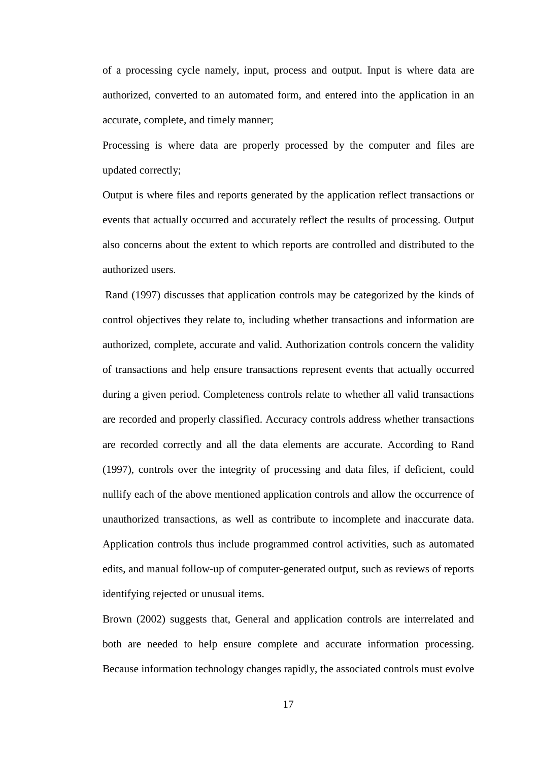of a processing cycle namely, input, process and output. Input is where data are authorized, converted to an automated form, and entered into the application in an accurate, complete, and timely manner;

Processing is where data are properly processed by the computer and files are updated correctly;

Output is where files and reports generated by the application reflect transactions or events that actually occurred and accurately reflect the results of processing. Output also concerns about the extent to which reports are controlled and distributed to the authorized users.

 Rand (1997) discusses that application controls may be categorized by the kinds of control objectives they relate to, including whether transactions and information are authorized, complete, accurate and valid. Authorization controls concern the validity of transactions and help ensure transactions represent events that actually occurred during a given period. Completeness controls relate to whether all valid transactions are recorded and properly classified. Accuracy controls address whether transactions are recorded correctly and all the data elements are accurate. According to Rand (1997), controls over the integrity of processing and data files, if deficient, could nullify each of the above mentioned application controls and allow the occurrence of unauthorized transactions, as well as contribute to incomplete and inaccurate data. Application controls thus include programmed control activities, such as automated edits, and manual follow-up of computer-generated output, such as reviews of reports identifying rejected or unusual items.

Brown (2002) suggests that, General and application controls are interrelated and both are needed to help ensure complete and accurate information processing. Because information technology changes rapidly, the associated controls must evolve

17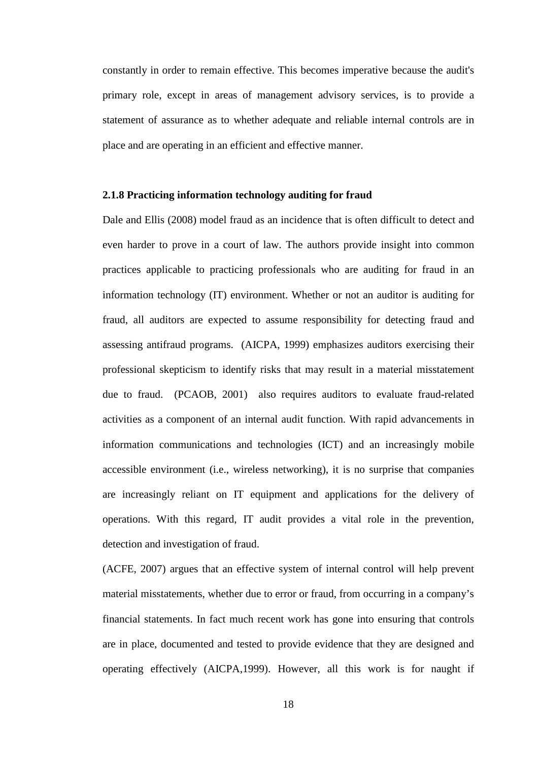constantly in order to remain effective. This becomes imperative because the audit's primary role, except in areas of management advisory services, is to provide a statement of assurance as to whether adequate and reliable internal controls are in place and are operating in an efficient and effective manner.

#### **2.1.8 Practicing information technology auditing for fraud**

Dale and Ellis (2008) model fraud as an incidence that is often difficult to detect and even harder to prove in a court of law. The authors provide insight into common practices applicable to practicing professionals who are auditing for fraud in an information technology (IT) environment. Whether or not an auditor is auditing for fraud, all auditors are expected to assume responsibility for detecting fraud and assessing antifraud programs. (AICPA, 1999) emphasizes auditors exercising their professional skepticism to identify risks that may result in a material misstatement due to fraud. (PCAOB, 2001) also requires auditors to evaluate fraud-related activities as a component of an internal audit function. With rapid advancements in information communications and technologies (ICT) and an increasingly mobile accessible environment (i.e., wireless networking), it is no surprise that companies are increasingly reliant on IT equipment and applications for the delivery of operations. With this regard, IT audit provides a vital role in the prevention, detection and investigation of fraud.

(ACFE, 2007) argues that an effective system of internal control will help prevent material misstatements, whether due to error or fraud, from occurring in a company's financial statements. In fact much recent work has gone into ensuring that controls are in place, documented and tested to provide evidence that they are designed and operating effectively (AICPA,1999). However, all this work is for naught if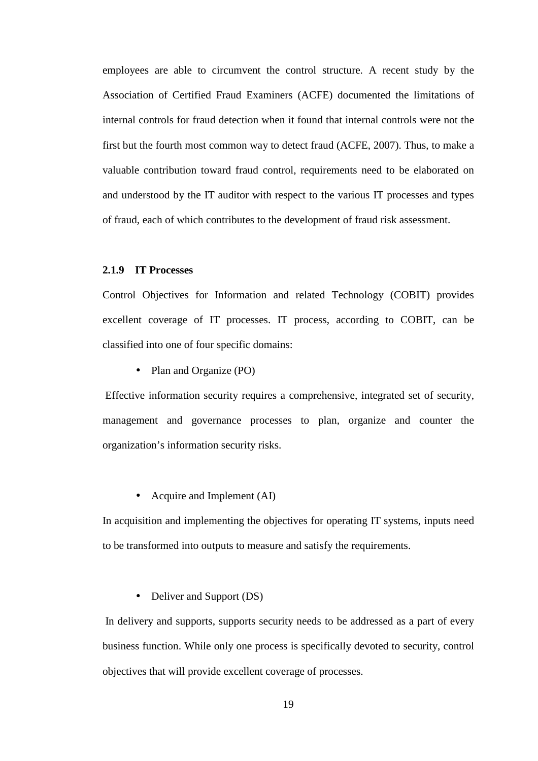employees are able to circumvent the control structure. A recent study by the Association of Certified Fraud Examiners (ACFE) documented the limitations of internal controls for fraud detection when it found that internal controls were not the first but the fourth most common way to detect fraud (ACFE, 2007). Thus, to make a valuable contribution toward fraud control, requirements need to be elaborated on and understood by the IT auditor with respect to the various IT processes and types of fraud, each of which contributes to the development of fraud risk assessment.

#### **2.1.9 IT Processes**

Control Objectives for Information and related Technology (COBIT) provides excellent coverage of IT processes. IT process, according to COBIT, can be classified into one of four specific domains:

• Plan and Organize (PO)

 Effective information security requires a comprehensive, integrated set of security, management and governance processes to plan, organize and counter the organization's information security risks.

#### • Acquire and Implement (AI)

In acquisition and implementing the objectives for operating IT systems, inputs need to be transformed into outputs to measure and satisfy the requirements.

#### • Deliver and Support (DS)

 In delivery and supports, supports security needs to be addressed as a part of every business function. While only one process is specifically devoted to security, control objectives that will provide excellent coverage of processes.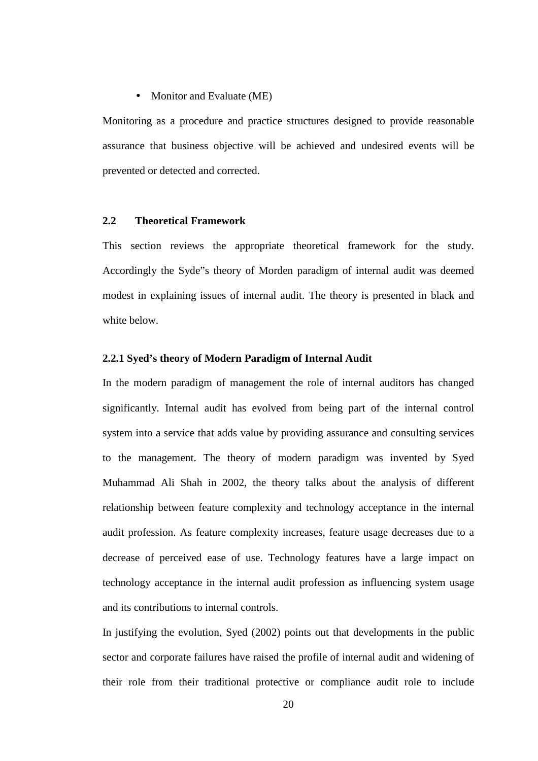#### • Monitor and Evaluate (ME)

Monitoring as a procedure and practice structures designed to provide reasonable assurance that business objective will be achieved and undesired events will be prevented or detected and corrected.

#### **2.2 Theoretical Framework**

This section reviews the appropriate theoretical framework for the study. Accordingly the Syde"s theory of Morden paradigm of internal audit was deemed modest in explaining issues of internal audit. The theory is presented in black and white below.

#### **2.2.1 Syed's theory of Modern Paradigm of Internal Audit**

In the modern paradigm of management the role of internal auditors has changed significantly. Internal audit has evolved from being part of the internal control system into a service that adds value by providing assurance and consulting services to the management. The theory of modern paradigm was invented by Syed Muhammad Ali Shah in 2002, the theory talks about the analysis of different relationship between feature complexity and technology acceptance in the internal audit profession. As feature complexity increases, feature usage decreases due to a decrease of perceived ease of use. Technology features have a large impact on technology acceptance in the internal audit profession as influencing system usage and its contributions to internal controls.

In justifying the evolution, Syed (2002) points out that developments in the public sector and corporate failures have raised the profile of internal audit and widening of their role from their traditional protective or compliance audit role to include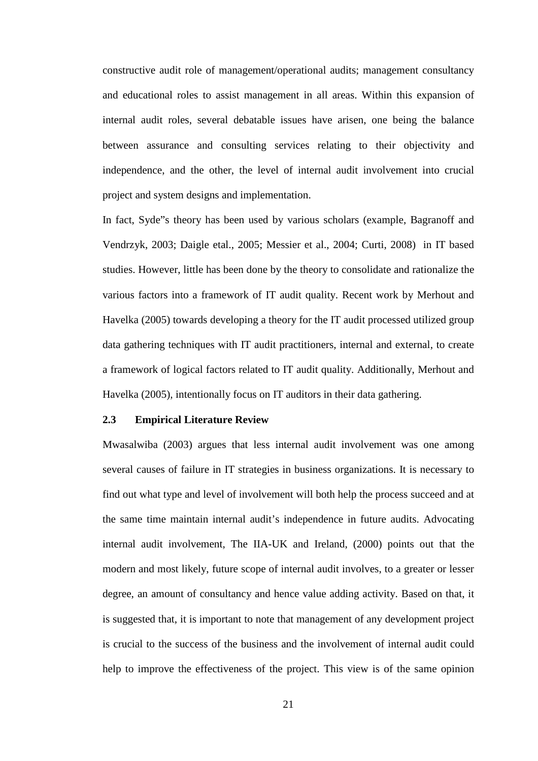constructive audit role of management/operational audits; management consultancy and educational roles to assist management in all areas. Within this expansion of internal audit roles, several debatable issues have arisen, one being the balance between assurance and consulting services relating to their objectivity and independence, and the other, the level of internal audit involvement into crucial project and system designs and implementation.

In fact, Syde"s theory has been used by various scholars (example, Bagranoff and Vendrzyk, 2003; Daigle etal., 2005; Messier et al., 2004; Curti, 2008) in IT based studies. However, little has been done by the theory to consolidate and rationalize the various factors into a framework of IT audit quality. Recent work by Merhout and Havelka (2005) towards developing a theory for the IT audit processed utilized group data gathering techniques with IT audit practitioners, internal and external, to create a framework of logical factors related to IT audit quality. Additionally, Merhout and Havelka (2005), intentionally focus on IT auditors in their data gathering.

#### **2.3 Empirical Literature Review**

Mwasalwiba (2003) argues that less internal audit involvement was one among several causes of failure in IT strategies in business organizations. It is necessary to find out what type and level of involvement will both help the process succeed and at the same time maintain internal audit's independence in future audits. Advocating internal audit involvement, The IIA-UK and Ireland, (2000) points out that the modern and most likely, future scope of internal audit involves, to a greater or lesser degree, an amount of consultancy and hence value adding activity. Based on that, it is suggested that, it is important to note that management of any development project is crucial to the success of the business and the involvement of internal audit could help to improve the effectiveness of the project. This view is of the same opinion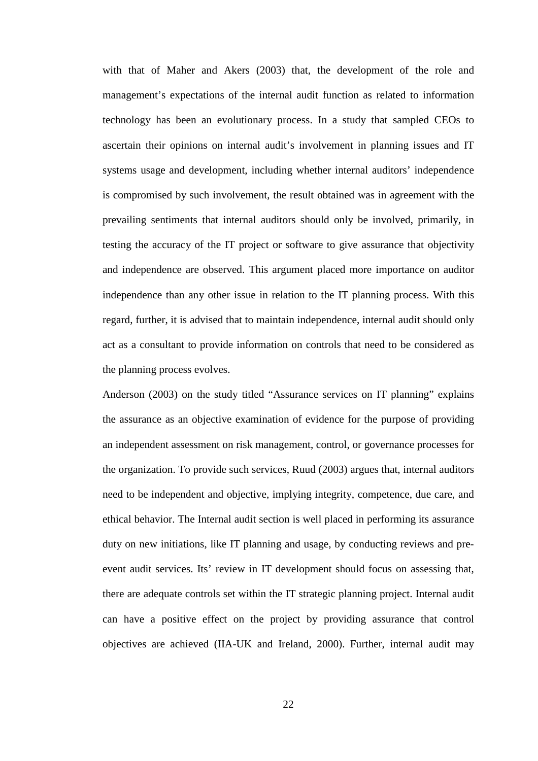with that of Maher and Akers (2003) that, the development of the role and management's expectations of the internal audit function as related to information technology has been an evolutionary process. In a study that sampled CEOs to ascertain their opinions on internal audit's involvement in planning issues and IT systems usage and development, including whether internal auditors' independence is compromised by such involvement, the result obtained was in agreement with the prevailing sentiments that internal auditors should only be involved, primarily, in testing the accuracy of the IT project or software to give assurance that objectivity and independence are observed. This argument placed more importance on auditor independence than any other issue in relation to the IT planning process. With this regard, further, it is advised that to maintain independence, internal audit should only act as a consultant to provide information on controls that need to be considered as the planning process evolves.

Anderson (2003) on the study titled "Assurance services on IT planning" explains the assurance as an objective examination of evidence for the purpose of providing an independent assessment on risk management, control, or governance processes for the organization. To provide such services, Ruud (2003) argues that, internal auditors need to be independent and objective, implying integrity, competence, due care, and ethical behavior. The Internal audit section is well placed in performing its assurance duty on new initiations, like IT planning and usage, by conducting reviews and preevent audit services. Its' review in IT development should focus on assessing that, there are adequate controls set within the IT strategic planning project. Internal audit can have a positive effect on the project by providing assurance that control objectives are achieved (IIA-UK and Ireland, 2000). Further, internal audit may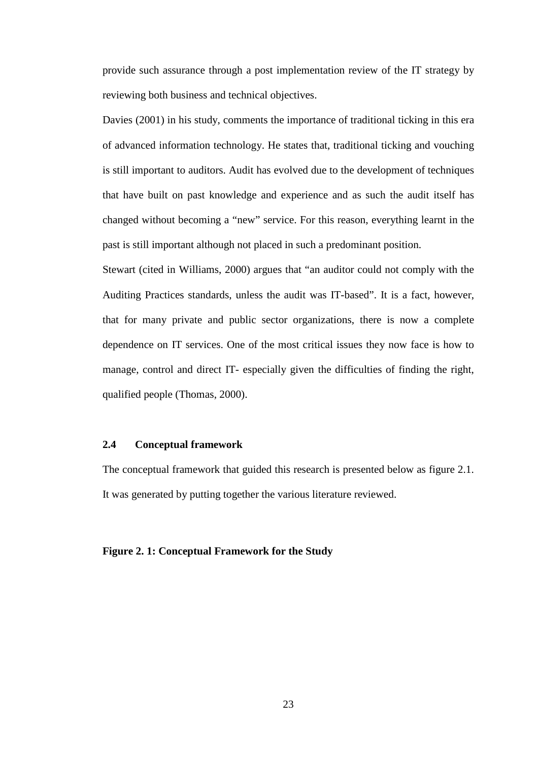provide such assurance through a post implementation review of the IT strategy by reviewing both business and technical objectives.

Davies (2001) in his study, comments the importance of traditional ticking in this era of advanced information technology. He states that, traditional ticking and vouching is still important to auditors. Audit has evolved due to the development of techniques that have built on past knowledge and experience and as such the audit itself has changed without becoming a "new" service. For this reason, everything learnt in the past is still important although not placed in such a predominant position.

Stewart (cited in Williams, 2000) argues that "an auditor could not comply with the Auditing Practices standards, unless the audit was IT-based". It is a fact, however, that for many private and public sector organizations, there is now a complete dependence on IT services. One of the most critical issues they now face is how to manage, control and direct IT- especially given the difficulties of finding the right, qualified people (Thomas, 2000).

## **2.4 Conceptual framework**

The conceptual framework that guided this research is presented below as figure 2.1. It was generated by putting together the various literature reviewed.

### **Figure 2. 1: Conceptual Framework for the Study**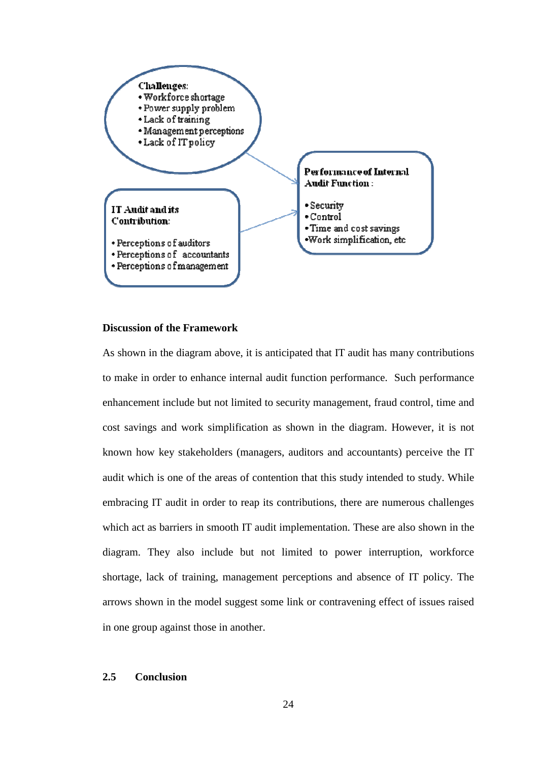

## **Discussion of the Framework**

As shown in the diagram above, it is anticipated that IT audit has many contributions to make in order to enhance internal audit function performance. Such performance enhancement include but not limited to security management, fraud control, time and cost savings and work simplification as shown in the diagram. However, it is not known how key stakeholders (managers, auditors and accountants) perceive the IT audit which is one of the areas of contention that this study intended to study. While embracing IT audit in order to reap its contributions, there are numerous challenges which act as barriers in smooth IT audit implementation. These are also shown in the diagram. They also include but not limited to power interruption, workforce shortage, lack of training, management perceptions and absence of IT policy. The arrows shown in the model suggest some link or contravening effect of issues raised in one group against those in another.

# **2.5 Conclusion**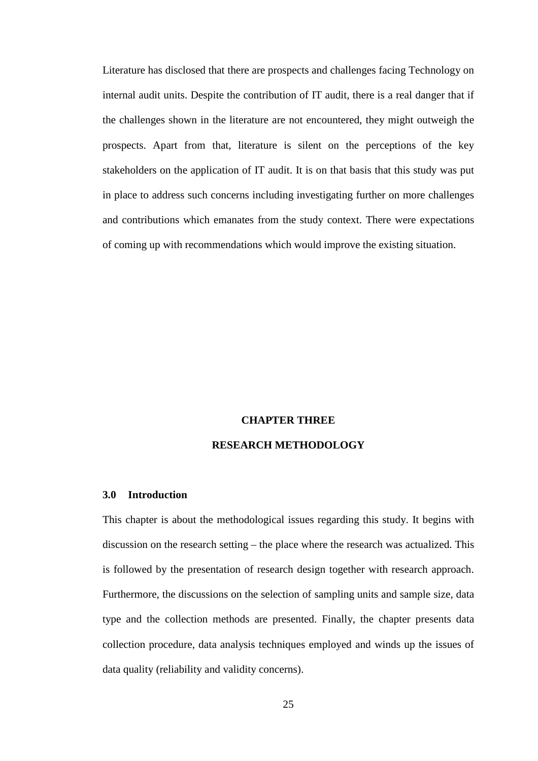Literature has disclosed that there are prospects and challenges facing Technology on internal audit units. Despite the contribution of IT audit, there is a real danger that if the challenges shown in the literature are not encountered, they might outweigh the prospects. Apart from that, literature is silent on the perceptions of the key stakeholders on the application of IT audit. It is on that basis that this study was put in place to address such concerns including investigating further on more challenges and contributions which emanates from the study context. There were expectations of coming up with recommendations which would improve the existing situation.

## **CHAPTER THREE**

## **RESEARCH METHODOLOGY**

### **3.0 Introduction**

This chapter is about the methodological issues regarding this study. It begins with discussion on the research setting – the place where the research was actualized. This is followed by the presentation of research design together with research approach. Furthermore, the discussions on the selection of sampling units and sample size, data type and the collection methods are presented. Finally, the chapter presents data collection procedure, data analysis techniques employed and winds up the issues of data quality (reliability and validity concerns).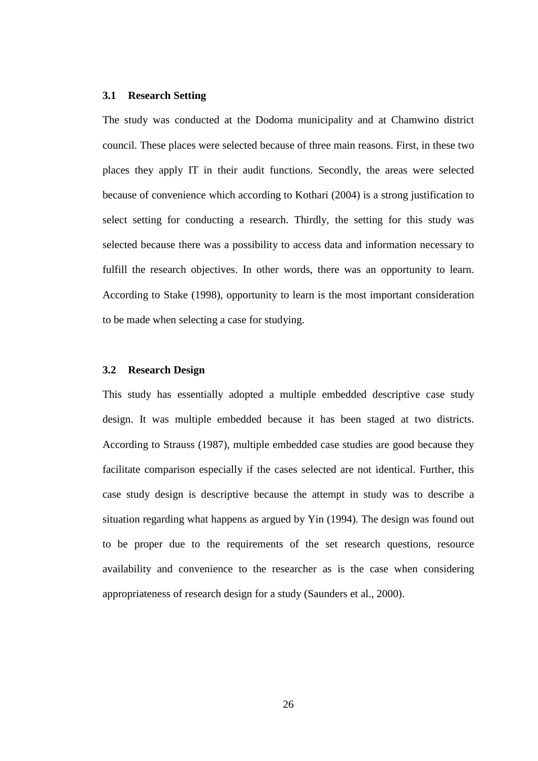### **3.1 Research Setting**

The study was conducted at the Dodoma municipality and at Chamwino district council. These places were selected because of three main reasons. First, in these two places they apply IT in their audit functions. Secondly, the areas were selected because of convenience which according to Kothari (2004) is a strong justification to select setting for conducting a research. Thirdly, the setting for this study was selected because there was a possibility to access data and information necessary to fulfill the research objectives. In other words, there was an opportunity to learn. According to Stake (1998), opportunity to learn is the most important consideration to be made when selecting a case for studying.

## **3.2 Research Design**

This study has essentially adopted a multiple embedded descriptive case study design. It was multiple embedded because it has been staged at two districts. According to Strauss (1987), multiple embedded case studies are good because they facilitate comparison especially if the cases selected are not identical. Further, this case study design is descriptive because the attempt in study was to describe a situation regarding what happens as argued by Yin (1994). The design was found out to be proper due to the requirements of the set research questions, resource availability and convenience to the researcher as is the case when considering appropriateness of research design for a study (Saunders et al., 2000).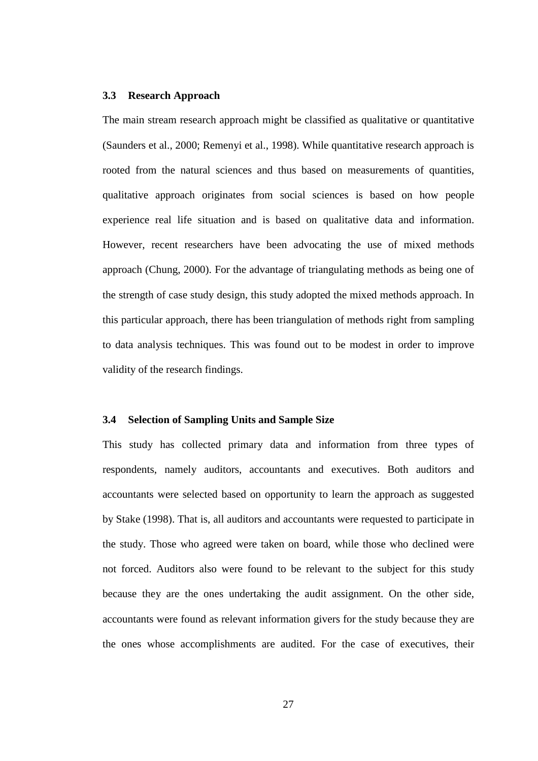### **3.3 Research Approach**

The main stream research approach might be classified as qualitative or quantitative (Saunders et al., 2000; Remenyi et al., 1998). While quantitative research approach is rooted from the natural sciences and thus based on measurements of quantities, qualitative approach originates from social sciences is based on how people experience real life situation and is based on qualitative data and information. However, recent researchers have been advocating the use of mixed methods approach (Chung, 2000). For the advantage of triangulating methods as being one of the strength of case study design, this study adopted the mixed methods approach. In this particular approach, there has been triangulation of methods right from sampling to data analysis techniques. This was found out to be modest in order to improve validity of the research findings.

## **3.4 Selection of Sampling Units and Sample Size**

This study has collected primary data and information from three types of respondents, namely auditors, accountants and executives. Both auditors and accountants were selected based on opportunity to learn the approach as suggested by Stake (1998). That is, all auditors and accountants were requested to participate in the study. Those who agreed were taken on board, while those who declined were not forced. Auditors also were found to be relevant to the subject for this study because they are the ones undertaking the audit assignment. On the other side, accountants were found as relevant information givers for the study because they are the ones whose accomplishments are audited. For the case of executives, their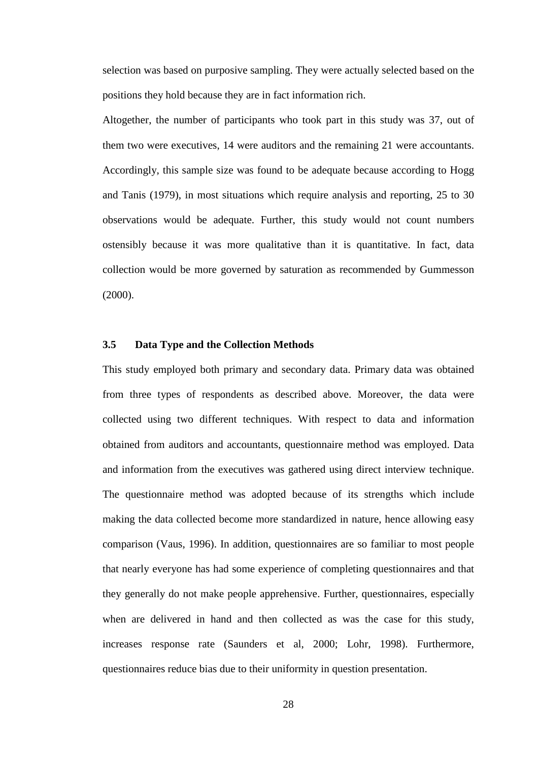selection was based on purposive sampling. They were actually selected based on the positions they hold because they are in fact information rich.

Altogether, the number of participants who took part in this study was 37, out of them two were executives, 14 were auditors and the remaining 21 were accountants. Accordingly, this sample size was found to be adequate because according to Hogg and Tanis (1979), in most situations which require analysis and reporting, 25 to 30 observations would be adequate. Further, this study would not count numbers ostensibly because it was more qualitative than it is quantitative. In fact, data collection would be more governed by saturation as recommended by Gummesson (2000).

# **3.5 Data Type and the Collection Methods**

This study employed both primary and secondary data. Primary data was obtained from three types of respondents as described above. Moreover, the data were collected using two different techniques. With respect to data and information obtained from auditors and accountants, questionnaire method was employed. Data and information from the executives was gathered using direct interview technique. The questionnaire method was adopted because of its strengths which include making the data collected become more standardized in nature, hence allowing easy comparison (Vaus, 1996). In addition, questionnaires are so familiar to most people that nearly everyone has had some experience of completing questionnaires and that they generally do not make people apprehensive. Further, questionnaires, especially when are delivered in hand and then collected as was the case for this study, increases response rate (Saunders et al, 2000; Lohr, 1998). Furthermore, questionnaires reduce bias due to their uniformity in question presentation.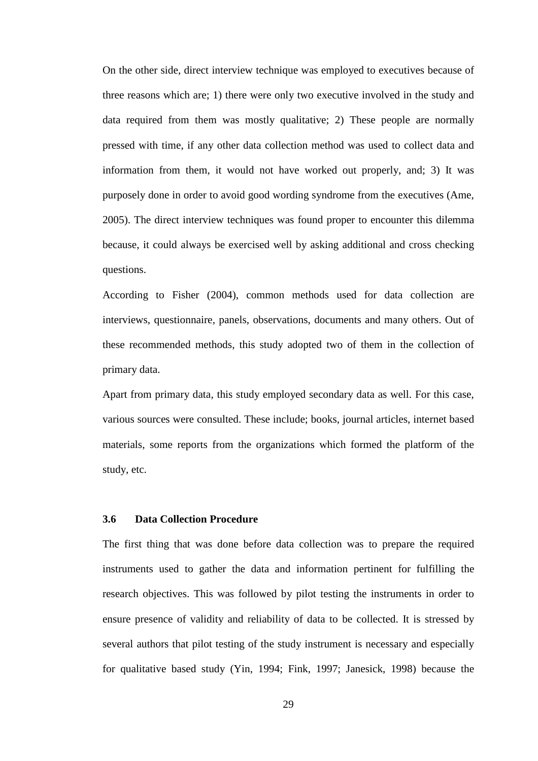On the other side, direct interview technique was employed to executives because of three reasons which are; 1) there were only two executive involved in the study and data required from them was mostly qualitative; 2) These people are normally pressed with time, if any other data collection method was used to collect data and information from them, it would not have worked out properly, and; 3) It was purposely done in order to avoid good wording syndrome from the executives (Ame, 2005). The direct interview techniques was found proper to encounter this dilemma because, it could always be exercised well by asking additional and cross checking questions.

According to Fisher (2004), common methods used for data collection are interviews, questionnaire, panels, observations, documents and many others. Out of these recommended methods, this study adopted two of them in the collection of primary data.

Apart from primary data, this study employed secondary data as well. For this case, various sources were consulted. These include; books, journal articles, internet based materials, some reports from the organizations which formed the platform of the study, etc.

### **3.6 Data Collection Procedure**

The first thing that was done before data collection was to prepare the required instruments used to gather the data and information pertinent for fulfilling the research objectives. This was followed by pilot testing the instruments in order to ensure presence of validity and reliability of data to be collected. It is stressed by several authors that pilot testing of the study instrument is necessary and especially for qualitative based study (Yin, 1994; Fink, 1997; Janesick, 1998) because the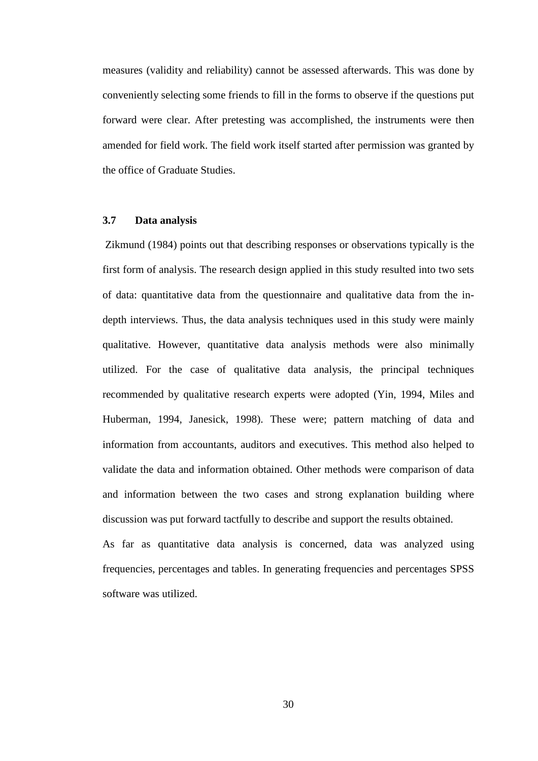measures (validity and reliability) cannot be assessed afterwards. This was done by conveniently selecting some friends to fill in the forms to observe if the questions put forward were clear. After pretesting was accomplished, the instruments were then amended for field work. The field work itself started after permission was granted by the office of Graduate Studies.

## **3.7 Data analysis**

 Zikmund (1984) points out that describing responses or observations typically is the first form of analysis. The research design applied in this study resulted into two sets of data: quantitative data from the questionnaire and qualitative data from the indepth interviews. Thus, the data analysis techniques used in this study were mainly qualitative. However, quantitative data analysis methods were also minimally utilized. For the case of qualitative data analysis, the principal techniques recommended by qualitative research experts were adopted (Yin, 1994, Miles and Huberman, 1994, Janesick, 1998). These were; pattern matching of data and information from accountants, auditors and executives. This method also helped to validate the data and information obtained. Other methods were comparison of data and information between the two cases and strong explanation building where discussion was put forward tactfully to describe and support the results obtained.

As far as quantitative data analysis is concerned, data was analyzed using frequencies, percentages and tables. In generating frequencies and percentages SPSS software was utilized.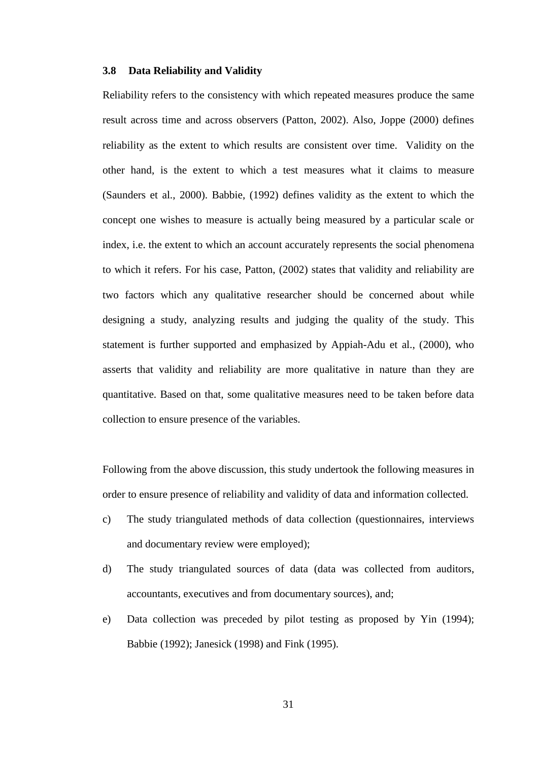#### **3.8 Data Reliability and Validity**

Reliability refers to the consistency with which repeated measures produce the same result across time and across observers (Patton, 2002). Also, Joppe (2000) defines reliability as the extent to which results are consistent over time. Validity on the other hand, is the extent to which a test measures what it claims to measure (Saunders et al., 2000). Babbie, (1992) defines validity as the extent to which the concept one wishes to measure is actually being measured by a particular scale or index, i.e. the extent to which an account accurately represents the social phenomena to which it refers. For his case, Patton, (2002) states that validity and reliability are two factors which any qualitative researcher should be concerned about while designing a study, analyzing results and judging the quality of the study. This statement is further supported and emphasized by Appiah-Adu et al., (2000), who asserts that validity and reliability are more qualitative in nature than they are quantitative. Based on that, some qualitative measures need to be taken before data collection to ensure presence of the variables.

Following from the above discussion, this study undertook the following measures in order to ensure presence of reliability and validity of data and information collected.

- c) The study triangulated methods of data collection (questionnaires, interviews and documentary review were employed);
- d) The study triangulated sources of data (data was collected from auditors, accountants, executives and from documentary sources), and;
- e) Data collection was preceded by pilot testing as proposed by Yin (1994); Babbie (1992); Janesick (1998) and Fink (1995).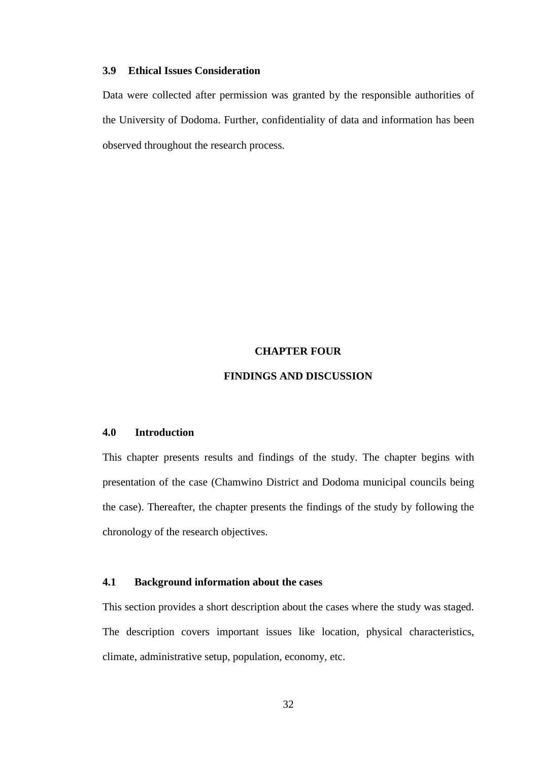## **3.9 Ethical Issues Consideration**

Data were collected after permission was granted by the responsible authorities of the University of Dodoma. Further, confidentiality of data and information has been observed throughout the research process.

### **CHAPTER FOUR**

## **FINDINGS AND DISCUSSION**

# **4.0 Introduction**

This chapter presents results and findings of the study. The chapter begins with presentation of the case (Chamwino District and Dodoma municipal councils being the case). Thereafter, the chapter presents the findings of the study by following the chronology of the research objectives.

# **4.1 Background information about the cases**

This section provides a short description about the cases where the study was staged. The description covers important issues like location, physical characteristics, climate, administrative setup, population, economy, etc.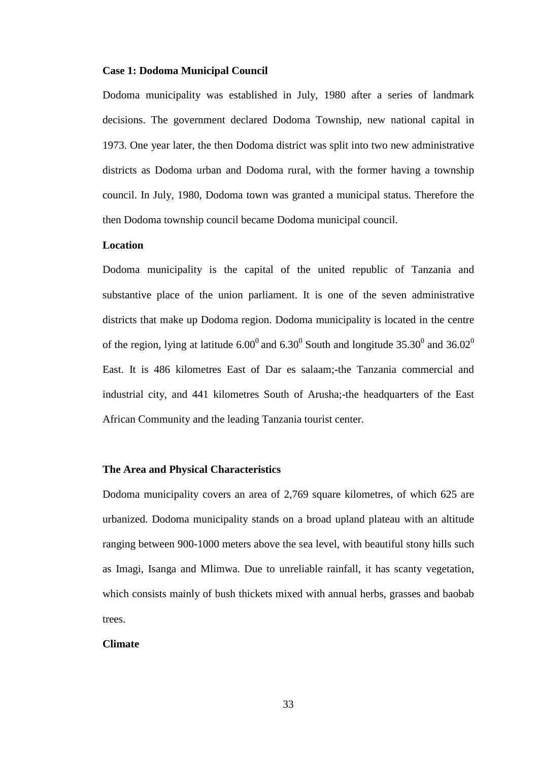### **Case 1: Dodoma Municipal Council**

Dodoma municipality was established in July, 1980 after a series of landmark decisions. The government declared Dodoma Township, new national capital in 1973. One year later, the then Dodoma district was split into two new administrative districts as Dodoma urban and Dodoma rural, with the former having a township council. In July, 1980, Dodoma town was granted a municipal status. Therefore the then Dodoma township council became Dodoma municipal council.

## **Location**

Dodoma municipality is the capital of the united republic of Tanzania and substantive place of the union parliament. It is one of the seven administrative districts that make up Dodoma region. Dodoma municipality is located in the centre of the region, lying at latitude 6.00<sup>0</sup> and 6.30<sup>0</sup> South and longitude 35.30<sup>0</sup> and 36.02<sup>0</sup> East. It is 486 kilometres East of Dar es salaam;-the Tanzania commercial and industrial city, and 441 kilometres South of Arusha;-the headquarters of the East African Community and the leading Tanzania tourist center.

## **The Area and Physical Characteristics**

Dodoma municipality covers an area of 2,769 square kilometres, of which 625 are urbanized. Dodoma municipality stands on a broad upland plateau with an altitude ranging between 900-1000 meters above the sea level, with beautiful stony hills such as Imagi, Isanga and Mlimwa. Due to unreliable rainfall, it has scanty vegetation, which consists mainly of bush thickets mixed with annual herbs, grasses and baobab trees.

## **Climate**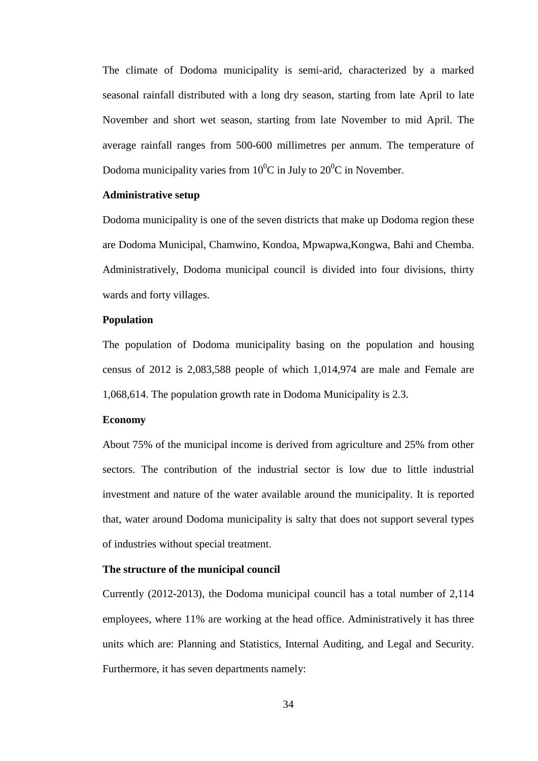The climate of Dodoma municipality is semi-arid, characterized by a marked seasonal rainfall distributed with a long dry season, starting from late April to late November and short wet season, starting from late November to mid April. The average rainfall ranges from 500-600 millimetres per annum. The temperature of Dodoma municipality varies from  $10^{0}$ C in July to  $20^{0}$ C in November.

## **Administrative setup**

Dodoma municipality is one of the seven districts that make up Dodoma region these are Dodoma Municipal, Chamwino, Kondoa, Mpwapwa,Kongwa, Bahi and Chemba. Administratively, Dodoma municipal council is divided into four divisions, thirty wards and forty villages.

### **Population**

The population of Dodoma municipality basing on the population and housing census of 2012 is 2,083,588 people of which 1,014,974 are male and Female are 1,068,614. The population growth rate in Dodoma Municipality is 2.3.

## **Economy**

About 75% of the municipal income is derived from agriculture and 25% from other sectors. The contribution of the industrial sector is low due to little industrial investment and nature of the water available around the municipality. It is reported that, water around Dodoma municipality is salty that does not support several types of industries without special treatment.

# **The structure of the municipal council**

Currently (2012-2013), the Dodoma municipal council has a total number of 2,114 employees, where 11% are working at the head office. Administratively it has three units which are: Planning and Statistics, Internal Auditing, and Legal and Security. Furthermore, it has seven departments namely: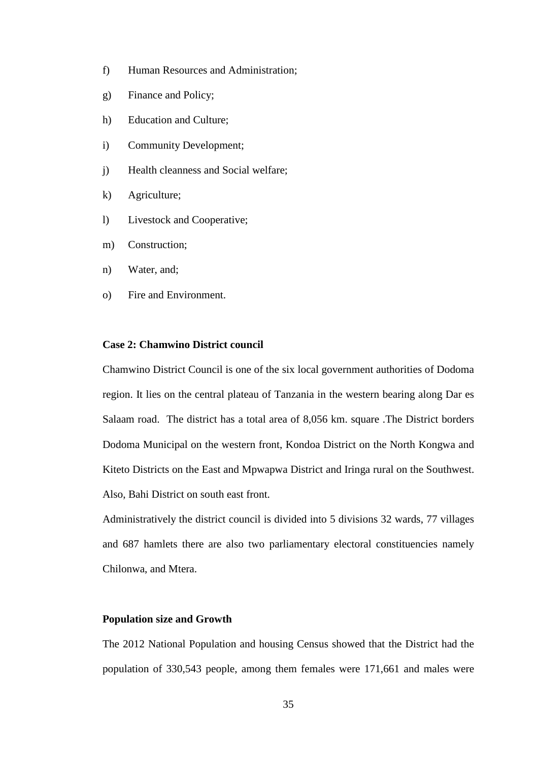- f) Human Resources and Administration;
- g) Finance and Policy;
- h) Education and Culture;
- i) Community Development;
- j) Health cleanness and Social welfare;
- k) Agriculture;
- l) Livestock and Cooperative;
- m) Construction;
- n) Water, and;
- o) Fire and Environment.

## **Case 2: Chamwino District council**

Chamwino District Council is one of the six local government authorities of Dodoma region. It lies on the central plateau of Tanzania in the western bearing along Dar es Salaam road. The district has a total area of 8,056 km. square .The District borders Dodoma Municipal on the western front, Kondoa District on the North Kongwa and Kiteto Districts on the East and Mpwapwa District and Iringa rural on the Southwest. Also, Bahi District on south east front.

Administratively the district council is divided into 5 divisions 32 wards, 77 villages and 687 hamlets there are also two parliamentary electoral constituencies namely Chilonwa, and Mtera.

# **Population size and Growth**

The 2012 National Population and housing Census showed that the District had the population of 330,543 people, among them females were 171,661 and males were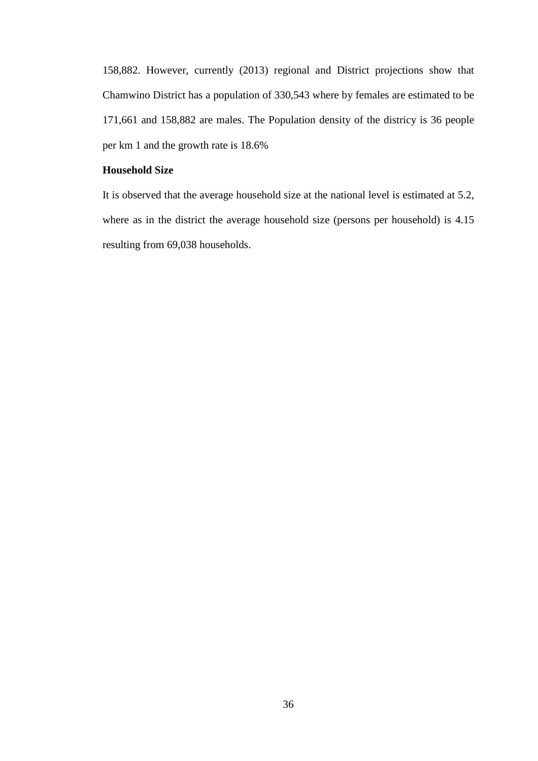158,882. However, currently (2013) regional and District projections show that Chamwino District has a population of 330,543 where by females are estimated to be 171,661 and 158,882 are males. The Population density of the districy is 36 people per km 1 and the growth rate is 18.6%

## **Household Size**

It is observed that the average household size at the national level is estimated at 5.2, where as in the district the average household size (persons per household) is 4.15 resulting from 69,038 households.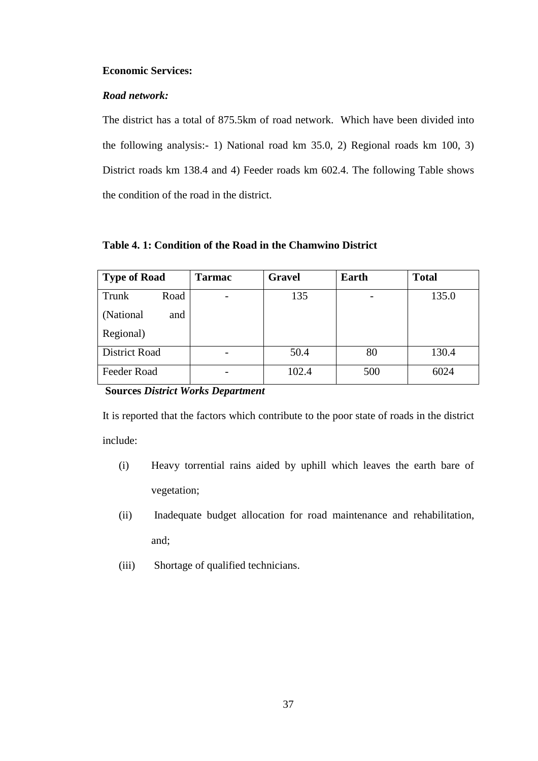# **Economic Services:**

# *Road network:*

The district has a total of 875.5km of road network. Which have been divided into the following analysis:- 1) National road km 35.0, 2) Regional roads km 100, 3) District roads km 138.4 and 4) Feeder roads km 602.4. The following Table shows the condition of the road in the district.

|  |  |  | Table 4. 1: Condition of the Road in the Chamwino District |  |
|--|--|--|------------------------------------------------------------|--|
|--|--|--|------------------------------------------------------------|--|

| <b>Type of Road</b>  | <b>Tarmac</b> | <b>Gravel</b> | Earth | <b>Total</b> |
|----------------------|---------------|---------------|-------|--------------|
| Trunk<br>Road        |               | 135           |       | 135.0        |
| (National<br>and     |               |               |       |              |
| Regional)            |               |               |       |              |
| <b>District Road</b> |               | 50.4          | 80    | 130.4        |
| Feeder Road          | -             | 102.4         | 500   | 6024         |

# **Sources** *District Works Department*

It is reported that the factors which contribute to the poor state of roads in the district include:

- (i) Heavy torrential rains aided by uphill which leaves the earth bare of vegetation;
- (ii) Inadequate budget allocation for road maintenance and rehabilitation, and;
- (iii) Shortage of qualified technicians.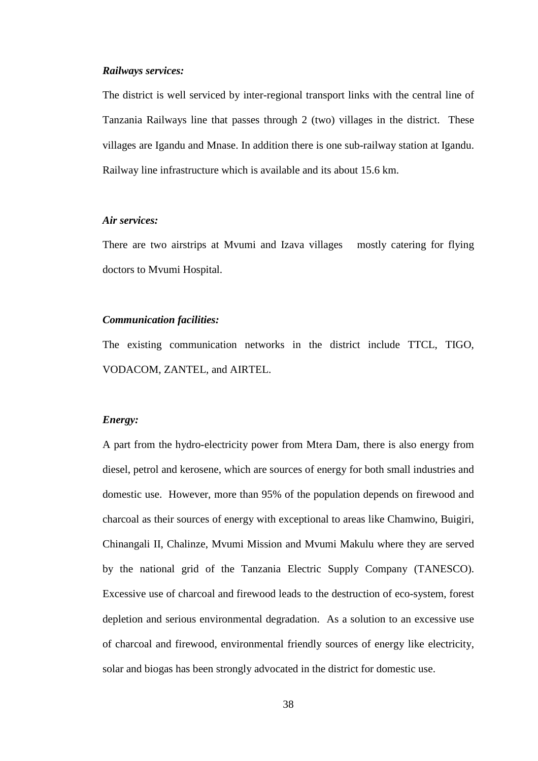### *Railways services:*

The district is well serviced by inter-regional transport links with the central line of Tanzania Railways line that passes through 2 (two) villages in the district. These villages are Igandu and Mnase. In addition there is one sub-railway station at Igandu. Railway line infrastructure which is available and its about 15.6 km.

## *Air services:*

There are two airstrips at Mvumi and Izava villages mostly catering for flying doctors to Mvumi Hospital.

#### *Communication facilities:*

The existing communication networks in the district include TTCL, TIGO, VODACOM, ZANTEL, and AIRTEL.

### *Energy:*

A part from the hydro-electricity power from Mtera Dam, there is also energy from diesel, petrol and kerosene, which are sources of energy for both small industries and domestic use. However, more than 95% of the population depends on firewood and charcoal as their sources of energy with exceptional to areas like Chamwino, Buigiri, Chinangali II, Chalinze, Mvumi Mission and Mvumi Makulu where they are served by the national grid of the Tanzania Electric Supply Company (TANESCO). Excessive use of charcoal and firewood leads to the destruction of eco-system, forest depletion and serious environmental degradation. As a solution to an excessive use of charcoal and firewood, environmental friendly sources of energy like electricity, solar and biogas has been strongly advocated in the district for domestic use.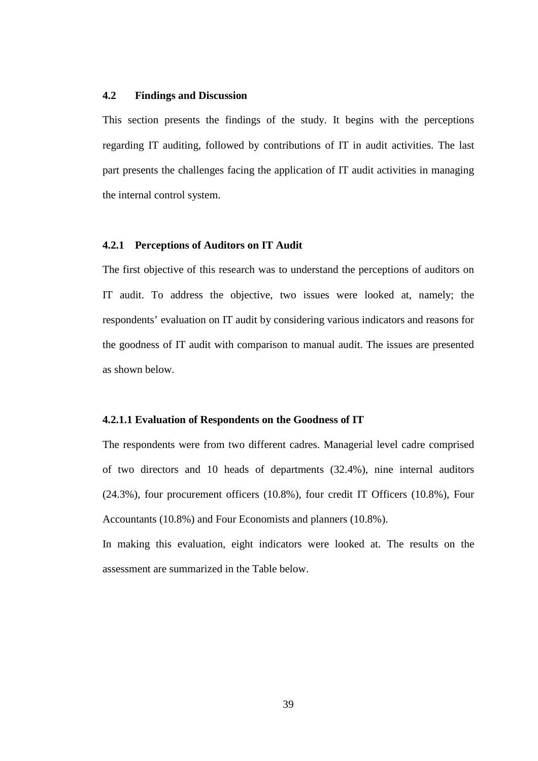# **4.2 Findings and Discussion**

This section presents the findings of the study. It begins with the perceptions regarding IT auditing, followed by contributions of IT in audit activities. The last part presents the challenges facing the application of IT audit activities in managing the internal control system.

## **4.2.1 Perceptions of Auditors on IT Audit**

The first objective of this research was to understand the perceptions of auditors on IT audit. To address the objective, two issues were looked at, namely; the respondents' evaluation on IT audit by considering various indicators and reasons for the goodness of IT audit with comparison to manual audit. The issues are presented as shown below.

## **4.2.1.1 Evaluation of Respondents on the Goodness of IT**

The respondents were from two different cadres. Managerial level cadre comprised of two directors and 10 heads of departments (32.4%), nine internal auditors (24.3%), four procurement officers (10.8%), four credit IT Officers (10.8%), Four Accountants (10.8%) and Four Economists and planners (10.8%).

In making this evaluation, eight indicators were looked at. The results on the assessment are summarized in the Table below.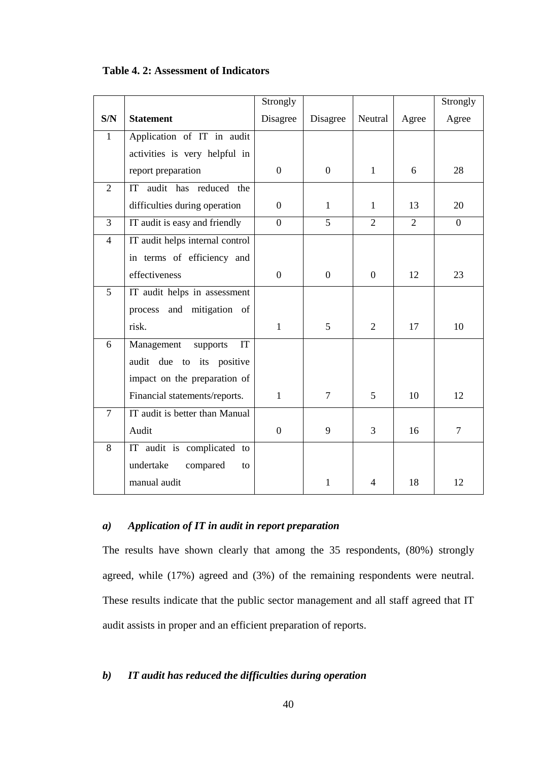|                |                                 | Strongly         |                  |                  |                | Strongly       |
|----------------|---------------------------------|------------------|------------------|------------------|----------------|----------------|
| S/N            | <b>Statement</b>                | Disagree         | Disagree         | Neutral          | Agree          | Agree          |
| $\mathbf{1}$   | Application of IT in audit      |                  |                  |                  |                |                |
|                | activities is very helpful in   |                  |                  |                  |                |                |
|                | report preparation              | $\overline{0}$   | $\overline{0}$   | $\mathbf{1}$     | 6              | 28             |
| $\overline{2}$ | IT audit has reduced the        |                  |                  |                  |                |                |
|                | difficulties during operation   | $\mathbf{0}$     | $\mathbf{1}$     | $\mathbf{1}$     | 13             | 20             |
| $\overline{3}$ | IT audit is easy and friendly   | $\Omega$         | 5                | $\overline{2}$   | $\overline{2}$ | $\Omega$       |
| $\overline{4}$ | IT audit helps internal control |                  |                  |                  |                |                |
|                | in terms of efficiency and      |                  |                  |                  |                |                |
|                | effectiveness                   | $\boldsymbol{0}$ | $\boldsymbol{0}$ | $\boldsymbol{0}$ | 12             | 23             |
| $\overline{5}$ | IT audit helps in assessment    |                  |                  |                  |                |                |
|                | process and<br>mitigation of    |                  |                  |                  |                |                |
|                | risk.                           | $\mathbf{1}$     | 5                | $\overline{2}$   | 17             | 10             |
| 6              | Management<br>supports<br>IT    |                  |                  |                  |                |                |
|                | audit due to its positive       |                  |                  |                  |                |                |
|                | impact on the preparation of    |                  |                  |                  |                |                |
|                | Financial statements/reports.   | $\mathbf{1}$     | $\overline{7}$   | 5                | 10             | 12             |
| $\overline{7}$ | IT audit is better than Manual  |                  |                  |                  |                |                |
|                | Audit                           | $\boldsymbol{0}$ | 9                | 3                | 16             | $\overline{7}$ |
| 8              | IT audit is complicated to      |                  |                  |                  |                |                |
|                | undertake<br>compared<br>to     |                  |                  |                  |                |                |
|                | manual audit                    |                  | 1                | 4                | 18             | 12             |

**Table 4. 2: Assessment of Indicators**

# *a) Application of IT in audit in report preparation*

The results have shown clearly that among the 35 respondents, (80%) strongly agreed, while (17%) agreed and (3%) of the remaining respondents were neutral. These results indicate that the public sector management and all staff agreed that IT audit assists in proper and an efficient preparation of reports.

# *b) IT audit has reduced the difficulties during operation*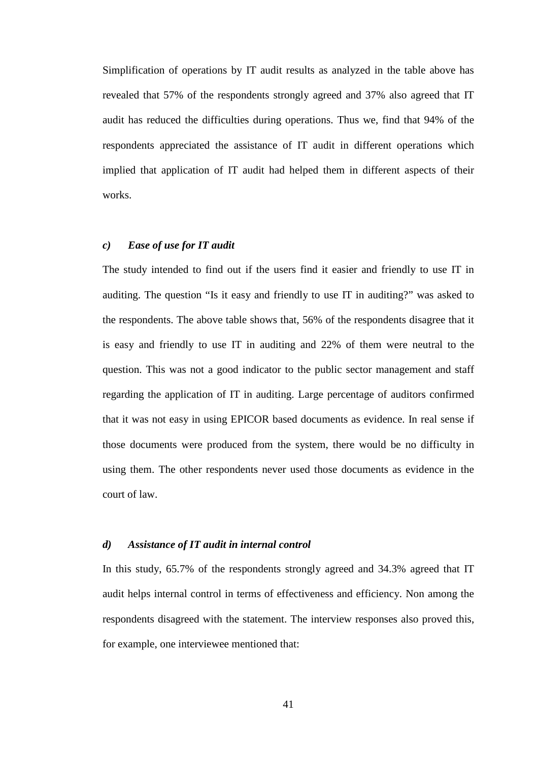Simplification of operations by IT audit results as analyzed in the table above has revealed that 57% of the respondents strongly agreed and 37% also agreed that IT audit has reduced the difficulties during operations. Thus we, find that 94% of the respondents appreciated the assistance of IT audit in different operations which implied that application of IT audit had helped them in different aspects of their works.

# *c) Ease of use for IT audit*

The study intended to find out if the users find it easier and friendly to use IT in auditing. The question "Is it easy and friendly to use IT in auditing?" was asked to the respondents. The above table shows that, 56% of the respondents disagree that it is easy and friendly to use IT in auditing and 22% of them were neutral to the question. This was not a good indicator to the public sector management and staff regarding the application of IT in auditing. Large percentage of auditors confirmed that it was not easy in using EPICOR based documents as evidence. In real sense if those documents were produced from the system, there would be no difficulty in using them. The other respondents never used those documents as evidence in the court of law.

### *d) Assistance of IT audit in internal control*

In this study, 65.7% of the respondents strongly agreed and 34.3% agreed that IT audit helps internal control in terms of effectiveness and efficiency. Non among the respondents disagreed with the statement. The interview responses also proved this, for example, one interviewee mentioned that: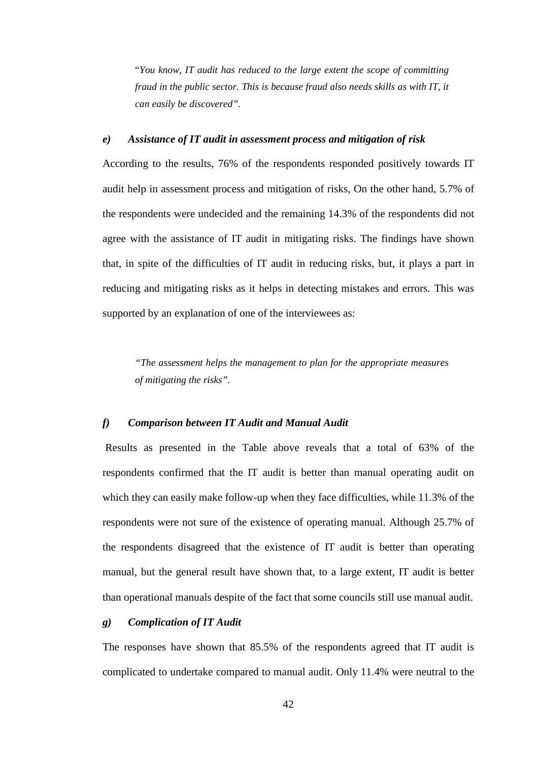"*You know, IT audit has reduced to the large extent the scope of committing fraud in the public sector. This is because fraud also needs skills as with IT, it can easily be discovered".* 

### *e) Assistance of IT audit in assessment process and mitigation of risk*

According to the results, 76% of the respondents responded positively towards IT audit help in assessment process and mitigation of risks, On the other hand, 5.7% of the respondents were undecided and the remaining 14.3% of the respondents did not agree with the assistance of IT audit in mitigating risks. The findings have shown that, in spite of the difficulties of IT audit in reducing risks, but, it plays a part in reducing and mitigating risks as it helps in detecting mistakes and errors. This was supported by an explanation of one of the interviewees as:

*"The assessment helps the management to plan for the appropriate measures of mitigating the risks".* 

## *f) Comparison between IT Audit and Manual Audit*

Results as presented in the Table above reveals that a total of 63% of the respondents confirmed that the IT audit is better than manual operating audit on which they can easily make follow-up when they face difficulties, while 11.3% of the respondents were not sure of the existence of operating manual. Although 25.7% of the respondents disagreed that the existence of IT audit is better than operating manual, but the general result have shown that, to a large extent, IT audit is better than operational manuals despite of the fact that some councils still use manual audit.

# *g) Complication of IT Audit*

The responses have shown that 85.5% of the respondents agreed that IT audit is complicated to undertake compared to manual audit. Only 11.4% were neutral to the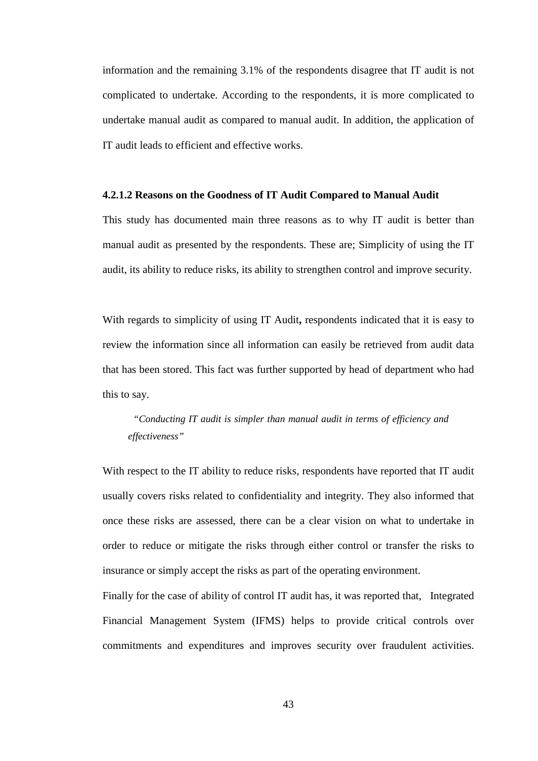information and the remaining 3.1% of the respondents disagree that IT audit is not complicated to undertake. According to the respondents, it is more complicated to undertake manual audit as compared to manual audit. In addition, the application of IT audit leads to efficient and effective works.

### **4.2.1.2 Reasons on the Goodness of IT Audit Compared to Manual Audit**

This study has documented main three reasons as to why IT audit is better than manual audit as presented by the respondents. These are; Simplicity of using the IT audit, its ability to reduce risks, its ability to strengthen control and improve security.

With regards to simplicity of using IT Audit**,** respondents indicated that it is easy to review the information since all information can easily be retrieved from audit data that has been stored. This fact was further supported by head of department who had this to say.

# *"Conducting IT audit is simpler than manual audit in terms of efficiency and effectiveness"*

With respect to the IT ability to reduce risks, respondents have reported that IT audit usually covers risks related to confidentiality and integrity. They also informed that once these risks are assessed, there can be a clear vision on what to undertake in order to reduce or mitigate the risks through either control or transfer the risks to insurance or simply accept the risks as part of the operating environment.

Finally for the case of ability of control IT audit has, it was reported that, Integrated Financial Management System (IFMS) helps to provide critical controls over commitments and expenditures and improves security over fraudulent activities.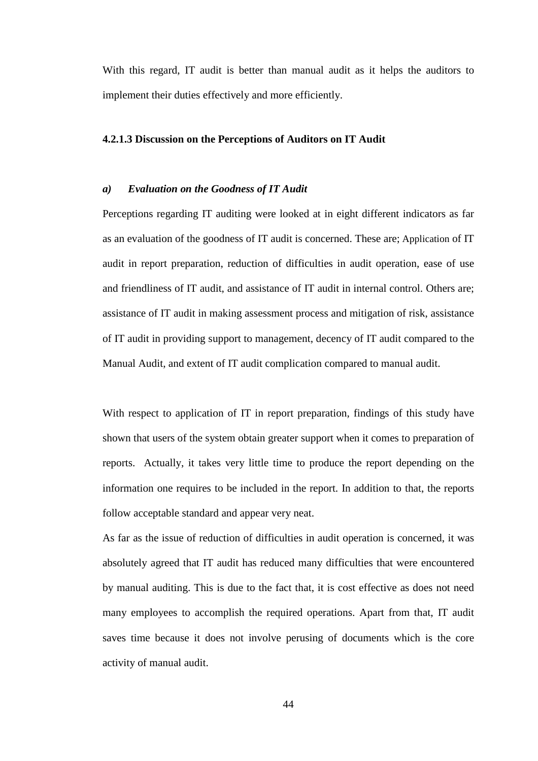With this regard, IT audit is better than manual audit as it helps the auditors to implement their duties effectively and more efficiently.

## **4.2.1.3 Discussion on the Perceptions of Auditors on IT Audit**

### *a) Evaluation on the Goodness of IT Audit*

Perceptions regarding IT auditing were looked at in eight different indicators as far as an evaluation of the goodness of IT audit is concerned. These are; Application of IT audit in report preparation, reduction of difficulties in audit operation, ease of use and friendliness of IT audit, and assistance of IT audit in internal control. Others are; assistance of IT audit in making assessment process and mitigation of risk, assistance of IT audit in providing support to management, decency of IT audit compared to the Manual Audit, and extent of IT audit complication compared to manual audit.

With respect to application of IT in report preparation, findings of this study have shown that users of the system obtain greater support when it comes to preparation of reports. Actually, it takes very little time to produce the report depending on the information one requires to be included in the report. In addition to that, the reports follow acceptable standard and appear very neat.

As far as the issue of reduction of difficulties in audit operation is concerned, it was absolutely agreed that IT audit has reduced many difficulties that were encountered by manual auditing. This is due to the fact that, it is cost effective as does not need many employees to accomplish the required operations. Apart from that, IT audit saves time because it does not involve perusing of documents which is the core activity of manual audit.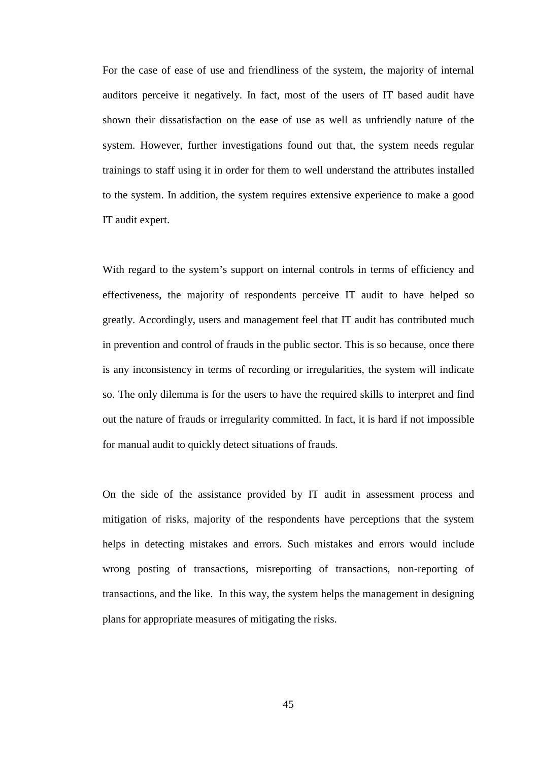For the case of ease of use and friendliness of the system, the majority of internal auditors perceive it negatively. In fact, most of the users of IT based audit have shown their dissatisfaction on the ease of use as well as unfriendly nature of the system. However, further investigations found out that, the system needs regular trainings to staff using it in order for them to well understand the attributes installed to the system. In addition, the system requires extensive experience to make a good IT audit expert.

With regard to the system's support on internal controls in terms of efficiency and effectiveness, the majority of respondents perceive IT audit to have helped so greatly. Accordingly, users and management feel that IT audit has contributed much in prevention and control of frauds in the public sector. This is so because, once there is any inconsistency in terms of recording or irregularities, the system will indicate so. The only dilemma is for the users to have the required skills to interpret and find out the nature of frauds or irregularity committed. In fact, it is hard if not impossible for manual audit to quickly detect situations of frauds.

On the side of the assistance provided by IT audit in assessment process and mitigation of risks, majority of the respondents have perceptions that the system helps in detecting mistakes and errors. Such mistakes and errors would include wrong posting of transactions, misreporting of transactions, non-reporting of transactions, and the like. In this way, the system helps the management in designing plans for appropriate measures of mitigating the risks.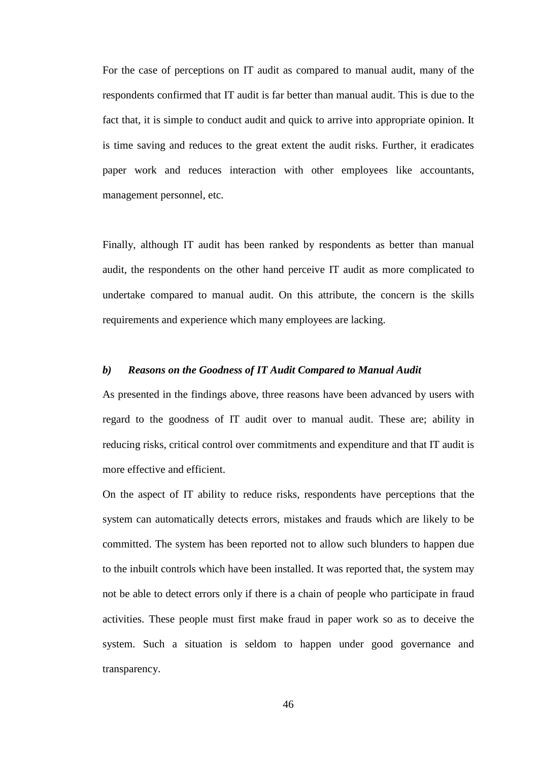For the case of perceptions on IT audit as compared to manual audit, many of the respondents confirmed that IT audit is far better than manual audit. This is due to the fact that, it is simple to conduct audit and quick to arrive into appropriate opinion. It is time saving and reduces to the great extent the audit risks. Further, it eradicates paper work and reduces interaction with other employees like accountants, management personnel, etc.

Finally, although IT audit has been ranked by respondents as better than manual audit, the respondents on the other hand perceive IT audit as more complicated to undertake compared to manual audit. On this attribute, the concern is the skills requirements and experience which many employees are lacking.

## *b) Reasons on the Goodness of IT Audit Compared to Manual Audit*

As presented in the findings above, three reasons have been advanced by users with regard to the goodness of IT audit over to manual audit. These are; ability in reducing risks, critical control over commitments and expenditure and that IT audit is more effective and efficient.

On the aspect of IT ability to reduce risks, respondents have perceptions that the system can automatically detects errors, mistakes and frauds which are likely to be committed. The system has been reported not to allow such blunders to happen due to the inbuilt controls which have been installed. It was reported that, the system may not be able to detect errors only if there is a chain of people who participate in fraud activities. These people must first make fraud in paper work so as to deceive the system. Such a situation is seldom to happen under good governance and transparency.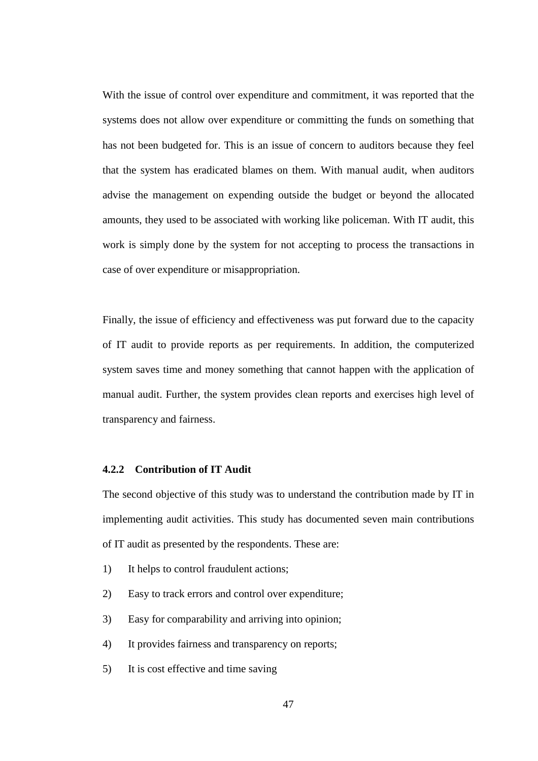With the issue of control over expenditure and commitment, it was reported that the systems does not allow over expenditure or committing the funds on something that has not been budgeted for. This is an issue of concern to auditors because they feel that the system has eradicated blames on them. With manual audit, when auditors advise the management on expending outside the budget or beyond the allocated amounts, they used to be associated with working like policeman. With IT audit, this work is simply done by the system for not accepting to process the transactions in case of over expenditure or misappropriation.

Finally, the issue of efficiency and effectiveness was put forward due to the capacity of IT audit to provide reports as per requirements. In addition, the computerized system saves time and money something that cannot happen with the application of manual audit. Further, the system provides clean reports and exercises high level of transparency and fairness.

# **4.2.2 Contribution of IT Audit**

The second objective of this study was to understand the contribution made by IT in implementing audit activities. This study has documented seven main contributions of IT audit as presented by the respondents. These are:

- 1) It helps to control fraudulent actions;
- 2) Easy to track errors and control over expenditure;
- 3) Easy for comparability and arriving into opinion;
- 4) It provides fairness and transparency on reports;
- 5) It is cost effective and time saving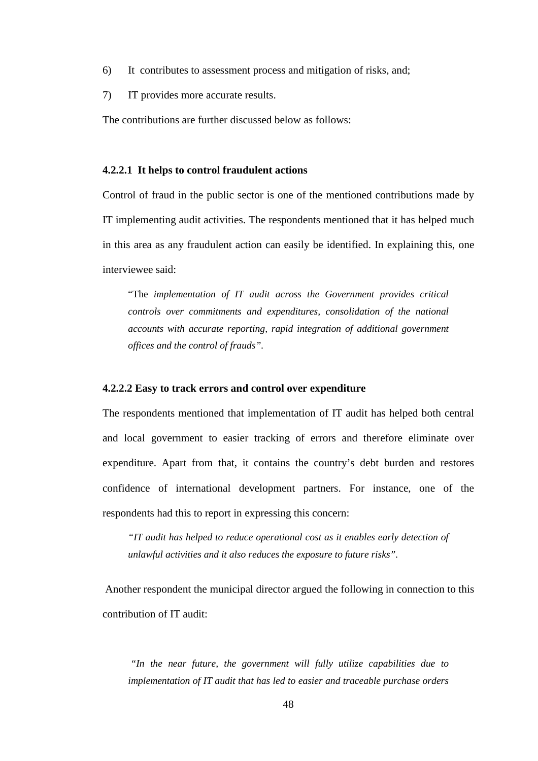- 6) It contributes to assessment process and mitigation of risks, and;
- 7) IT provides more accurate results.

The contributions are further discussed below as follows:

## **4.2.2.1 It helps to control fraudulent actions**

Control of fraud in the public sector is one of the mentioned contributions made by IT implementing audit activities. The respondents mentioned that it has helped much in this area as any fraudulent action can easily be identified. In explaining this, one interviewee said:

"The *implementation of IT audit across the Government provides critical controls over commitments and expenditures, consolidation of the national accounts with accurate reporting, rapid integration of additional government offices and the control of frauds".* 

### **4.2.2.2 Easy to track errors and control over expenditure**

The respondents mentioned that implementation of IT audit has helped both central and local government to easier tracking of errors and therefore eliminate over expenditure. Apart from that, it contains the country's debt burden and restores confidence of international development partners. For instance, one of the respondents had this to report in expressing this concern:

*"IT audit has helped to reduce operational cost as it enables early detection of unlawful activities and it also reduces the exposure to future risks".* 

 Another respondent the municipal director argued the following in connection to this contribution of IT audit:

 *"In the near future, the government will fully utilize capabilities due to implementation of IT audit that has led to easier and traceable purchase orders*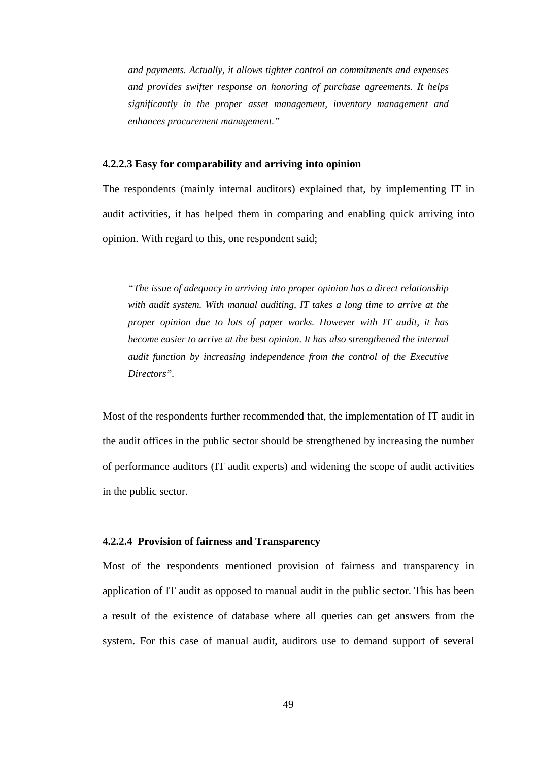*and payments. Actually, it allows tighter control on commitments and expenses and provides swifter response on honoring of purchase agreements. It helps significantly in the proper asset management, inventory management and enhances procurement management."* 

### **4.2.2.3 Easy for comparability and arriving into opinion**

The respondents (mainly internal auditors) explained that, by implementing IT in audit activities, it has helped them in comparing and enabling quick arriving into opinion. With regard to this, one respondent said;

*"The issue of adequacy in arriving into proper opinion has a direct relationship with audit system. With manual auditing, IT takes a long time to arrive at the proper opinion due to lots of paper works. However with IT audit, it has become easier to arrive at the best opinion. It has also strengthened the internal audit function by increasing independence from the control of the Executive Directors".* 

Most of the respondents further recommended that, the implementation of IT audit in the audit offices in the public sector should be strengthened by increasing the number of performance auditors (IT audit experts) and widening the scope of audit activities in the public sector.

### **4.2.2.4 Provision of fairness and Transparency**

Most of the respondents mentioned provision of fairness and transparency in application of IT audit as opposed to manual audit in the public sector. This has been a result of the existence of database where all queries can get answers from the system. For this case of manual audit, auditors use to demand support of several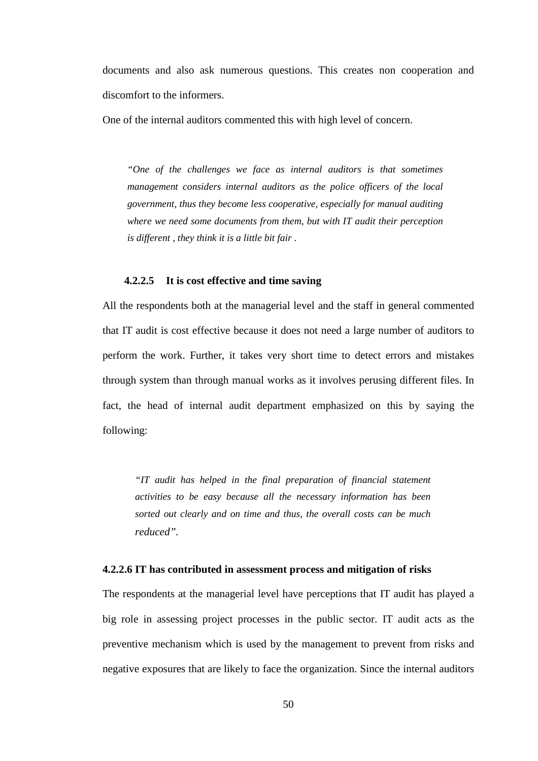documents and also ask numerous questions. This creates non cooperation and discomfort to the informers.

One of the internal auditors commented this with high level of concern.

*"One of the challenges we face as internal auditors is that sometimes management considers internal auditors as the police officers of the local government, thus they become less cooperative, especially for manual auditing where we need some documents from them, but with IT audit their perception is different , they think it is a little bit fair .* 

## **4.2.2.5 It is cost effective and time saving**

All the respondents both at the managerial level and the staff in general commented that IT audit is cost effective because it does not need a large number of auditors to perform the work. Further, it takes very short time to detect errors and mistakes through system than through manual works as it involves perusing different files. In fact, the head of internal audit department emphasized on this by saying the following:

*"IT audit has helped in the final preparation of financial statement activities to be easy because all the necessary information has been sorted out clearly and on time and thus, the overall costs can be much reduced".* 

### **4.2.2.6 IT has contributed in assessment process and mitigation of risks**

The respondents at the managerial level have perceptions that IT audit has played a big role in assessing project processes in the public sector. IT audit acts as the preventive mechanism which is used by the management to prevent from risks and negative exposures that are likely to face the organization. Since the internal auditors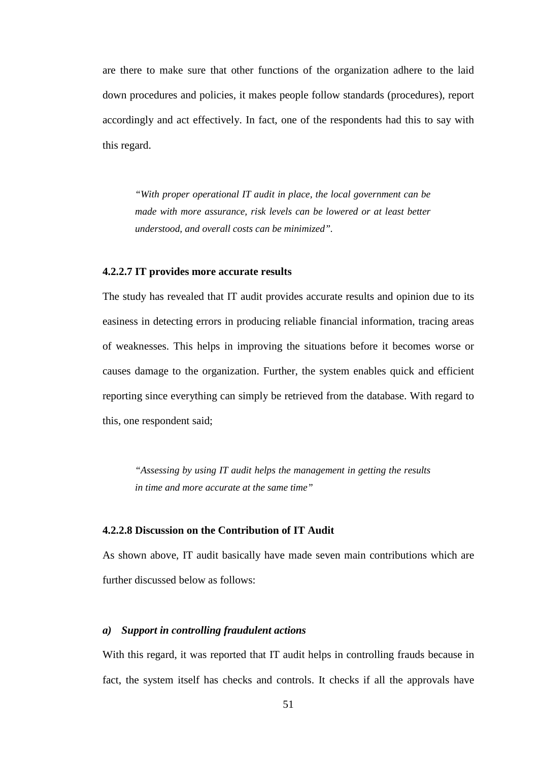are there to make sure that other functions of the organization adhere to the laid down procedures and policies, it makes people follow standards (procedures), report accordingly and act effectively. In fact, one of the respondents had this to say with this regard.

*"With proper operational IT audit in place, the local government can be made with more assurance, risk levels can be lowered or at least better understood, and overall costs can be minimized".* 

## **4.2.2.7 IT provides more accurate results**

The study has revealed that IT audit provides accurate results and opinion due to its easiness in detecting errors in producing reliable financial information, tracing areas of weaknesses. This helps in improving the situations before it becomes worse or causes damage to the organization. Further, the system enables quick and efficient reporting since everything can simply be retrieved from the database. With regard to this, one respondent said;

*"Assessing by using IT audit helps the management in getting the results in time and more accurate at the same time"* 

## **4.2.2.8 Discussion on the Contribution of IT Audit**

As shown above, IT audit basically have made seven main contributions which are further discussed below as follows:

## *a) Support in controlling fraudulent actions*

With this regard, it was reported that IT audit helps in controlling frauds because in fact, the system itself has checks and controls. It checks if all the approvals have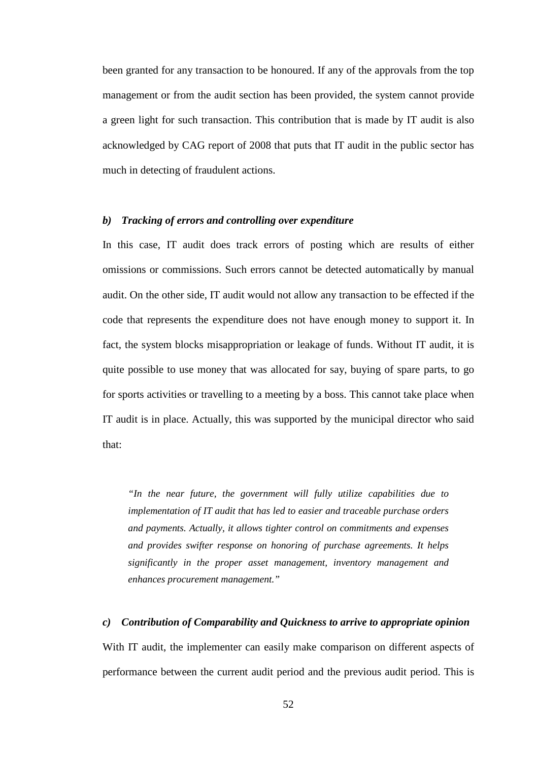been granted for any transaction to be honoured. If any of the approvals from the top management or from the audit section has been provided, the system cannot provide a green light for such transaction. This contribution that is made by IT audit is also acknowledged by CAG report of 2008 that puts that IT audit in the public sector has much in detecting of fraudulent actions.

## *b) Tracking of errors and controlling over expenditure*

In this case, IT audit does track errors of posting which are results of either omissions or commissions. Such errors cannot be detected automatically by manual audit. On the other side, IT audit would not allow any transaction to be effected if the code that represents the expenditure does not have enough money to support it. In fact, the system blocks misappropriation or leakage of funds. Without IT audit, it is quite possible to use money that was allocated for say, buying of spare parts, to go for sports activities or travelling to a meeting by a boss. This cannot take place when IT audit is in place. Actually, this was supported by the municipal director who said that:

*"In the near future, the government will fully utilize capabilities due to implementation of IT audit that has led to easier and traceable purchase orders and payments. Actually, it allows tighter control on commitments and expenses and provides swifter response on honoring of purchase agreements. It helps significantly in the proper asset management, inventory management and enhances procurement management."* 

## *c) Contribution of Comparability and Quickness to arrive to appropriate opinion*

With IT audit, the implementer can easily make comparison on different aspects of performance between the current audit period and the previous audit period. This is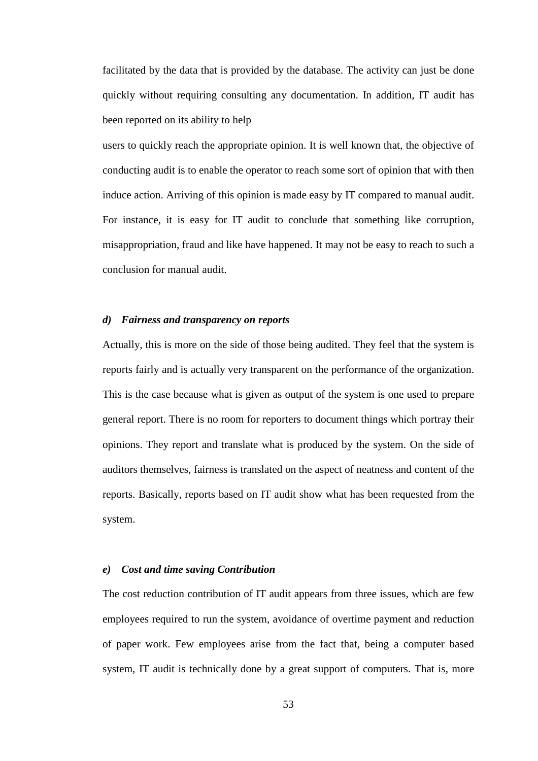facilitated by the data that is provided by the database. The activity can just be done quickly without requiring consulting any documentation. In addition, IT audit has been reported on its ability to help

users to quickly reach the appropriate opinion. It is well known that, the objective of conducting audit is to enable the operator to reach some sort of opinion that with then induce action. Arriving of this opinion is made easy by IT compared to manual audit. For instance, it is easy for IT audit to conclude that something like corruption, misappropriation, fraud and like have happened. It may not be easy to reach to such a conclusion for manual audit.

#### *d) Fairness and transparency on reports*

Actually, this is more on the side of those being audited. They feel that the system is reports fairly and is actually very transparent on the performance of the organization. This is the case because what is given as output of the system is one used to prepare general report. There is no room for reporters to document things which portray their opinions. They report and translate what is produced by the system. On the side of auditors themselves, fairness is translated on the aspect of neatness and content of the reports. Basically, reports based on IT audit show what has been requested from the system.

## *e) Cost and time saving Contribution*

The cost reduction contribution of IT audit appears from three issues, which are few employees required to run the system, avoidance of overtime payment and reduction of paper work. Few employees arise from the fact that, being a computer based system, IT audit is technically done by a great support of computers. That is, more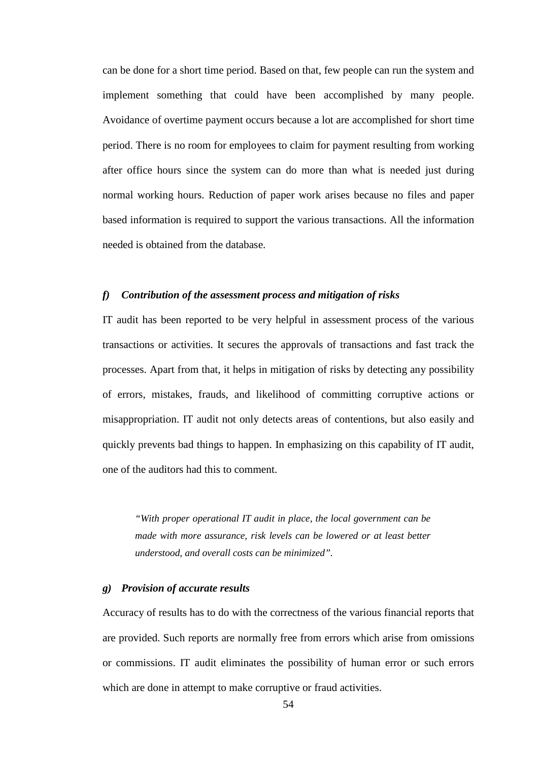can be done for a short time period. Based on that, few people can run the system and implement something that could have been accomplished by many people. Avoidance of overtime payment occurs because a lot are accomplished for short time period. There is no room for employees to claim for payment resulting from working after office hours since the system can do more than what is needed just during normal working hours. Reduction of paper work arises because no files and paper based information is required to support the various transactions. All the information needed is obtained from the database.

# *f) Contribution of the assessment process and mitigation of risks*

IT audit has been reported to be very helpful in assessment process of the various transactions or activities. It secures the approvals of transactions and fast track the processes. Apart from that, it helps in mitigation of risks by detecting any possibility of errors, mistakes, frauds, and likelihood of committing corruptive actions or misappropriation. IT audit not only detects areas of contentions, but also easily and quickly prevents bad things to happen. In emphasizing on this capability of IT audit, one of the auditors had this to comment.

*"With proper operational IT audit in place, the local government can be made with more assurance, risk levels can be lowered or at least better understood, and overall costs can be minimized".* 

### *g) Provision of accurate results*

Accuracy of results has to do with the correctness of the various financial reports that are provided. Such reports are normally free from errors which arise from omissions or commissions. IT audit eliminates the possibility of human error or such errors which are done in attempt to make corruptive or fraud activities.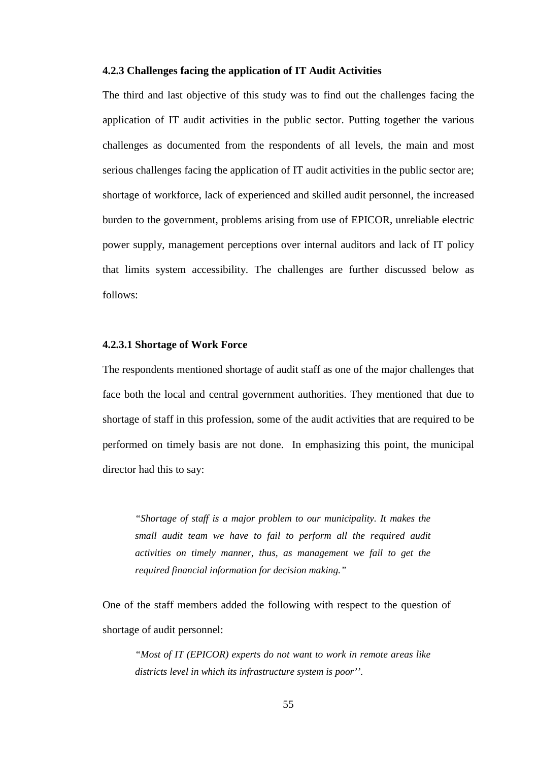### **4.2.3 Challenges facing the application of IT Audit Activities**

The third and last objective of this study was to find out the challenges facing the application of IT audit activities in the public sector. Putting together the various challenges as documented from the respondents of all levels, the main and most serious challenges facing the application of IT audit activities in the public sector are; shortage of workforce, lack of experienced and skilled audit personnel, the increased burden to the government, problems arising from use of EPICOR, unreliable electric power supply, management perceptions over internal auditors and lack of IT policy that limits system accessibility. The challenges are further discussed below as follows:

## **4.2.3.1 Shortage of Work Force**

The respondents mentioned shortage of audit staff as one of the major challenges that face both the local and central government authorities. They mentioned that due to shortage of staff in this profession, some of the audit activities that are required to be performed on timely basis are not done. In emphasizing this point, the municipal director had this to say:

*"Shortage of staff is a major problem to our municipality. It makes the small audit team we have to fail to perform all the required audit activities on timely manner, thus, as management we fail to get the required financial information for decision making."* 

One of the staff members added the following with respect to the question of shortage of audit personnel:

*"Most of IT (EPICOR) experts do not want to work in remote areas like districts level in which its infrastructure system is poor''.*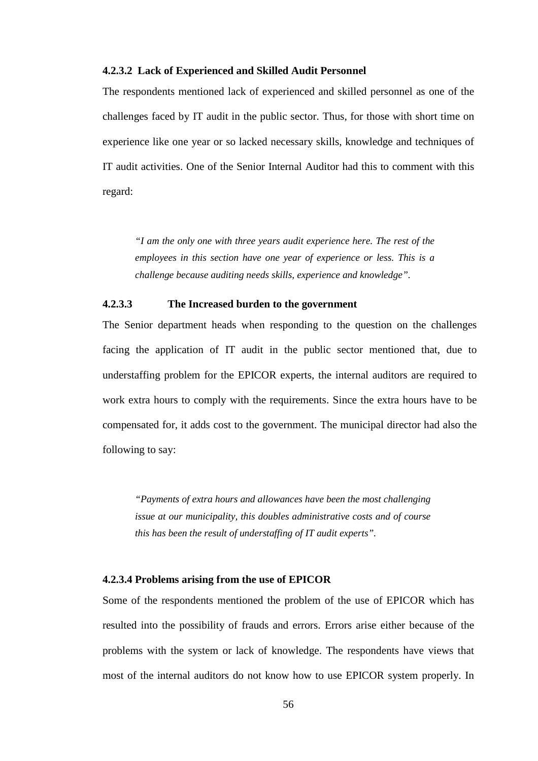## **4.2.3.2 Lack of Experienced and Skilled Audit Personnel**

The respondents mentioned lack of experienced and skilled personnel as one of the challenges faced by IT audit in the public sector. Thus, for those with short time on experience like one year or so lacked necessary skills, knowledge and techniques of IT audit activities. One of the Senior Internal Auditor had this to comment with this regard:

*"I am the only one with three years audit experience here. The rest of the employees in this section have one year of experience or less. This is a challenge because auditing needs skills, experience and knowledge".* 

# **4.2.3.3 The Increased burden to the government**

The Senior department heads when responding to the question on the challenges facing the application of IT audit in the public sector mentioned that, due to understaffing problem for the EPICOR experts, the internal auditors are required to work extra hours to comply with the requirements. Since the extra hours have to be compensated for, it adds cost to the government. The municipal director had also the following to say:

*"Payments of extra hours and allowances have been the most challenging issue at our municipality, this doubles administrative costs and of course this has been the result of understaffing of IT audit experts".* 

## **4.2.3.4 Problems arising from the use of EPICOR**

Some of the respondents mentioned the problem of the use of EPICOR which has resulted into the possibility of frauds and errors. Errors arise either because of the problems with the system or lack of knowledge. The respondents have views that most of the internal auditors do not know how to use EPICOR system properly. In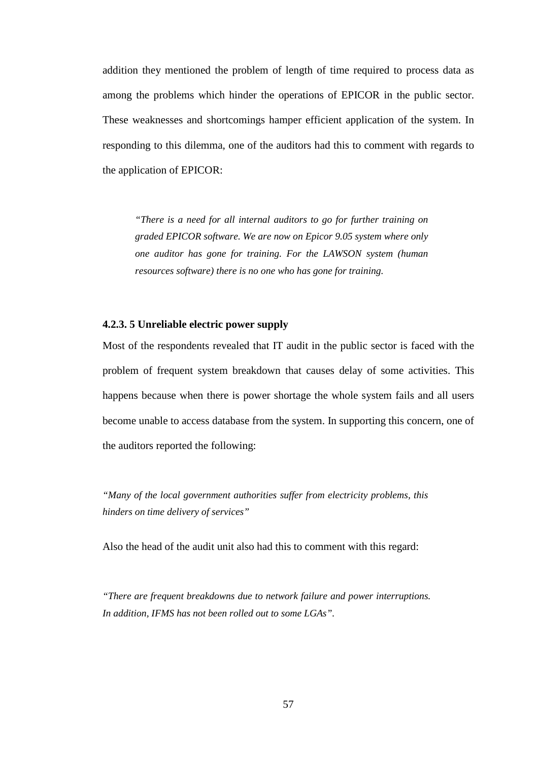addition they mentioned the problem of length of time required to process data as among the problems which hinder the operations of EPICOR in the public sector. These weaknesses and shortcomings hamper efficient application of the system. In responding to this dilemma, one of the auditors had this to comment with regards to the application of EPICOR:

*"There is a need for all internal auditors to go for further training on graded EPICOR software. We are now on Epicor 9.05 system where only one auditor has gone for training. For the LAWSON system (human resources software) there is no one who has gone for training.* 

### **4.2.3. 5 Unreliable electric power supply**

Most of the respondents revealed that IT audit in the public sector is faced with the problem of frequent system breakdown that causes delay of some activities. This happens because when there is power shortage the whole system fails and all users become unable to access database from the system. In supporting this concern, one of the auditors reported the following:

*"Many of the local government authorities suffer from electricity problems, this hinders on time delivery of services"*

Also the head of the audit unit also had this to comment with this regard:

*"There are frequent breakdowns due to network failure and power interruptions. In addition, IFMS has not been rolled out to some LGAs".*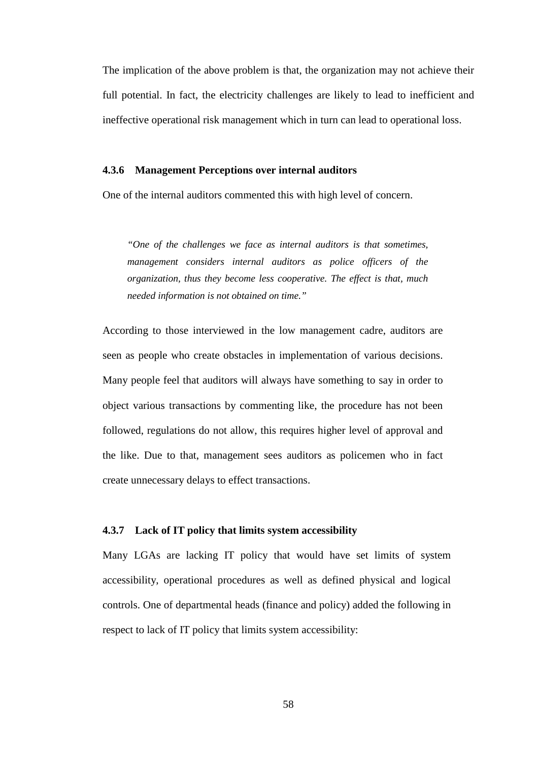The implication of the above problem is that, the organization may not achieve their full potential. In fact, the electricity challenges are likely to lead to inefficient and ineffective operational risk management which in turn can lead to operational loss.

### **4.3.6 Management Perceptions over internal auditors**

One of the internal auditors commented this with high level of concern.

*"One of the challenges we face as internal auditors is that sometimes, management considers internal auditors as police officers of the organization, thus they become less cooperative. The effect is that, much needed information is not obtained on time."* 

According to those interviewed in the low management cadre, auditors are seen as people who create obstacles in implementation of various decisions. Many people feel that auditors will always have something to say in order to object various transactions by commenting like, the procedure has not been followed, regulations do not allow, this requires higher level of approval and the like. Due to that, management sees auditors as policemen who in fact create unnecessary delays to effect transactions.

# **4.3.7 Lack of IT policy that limits system accessibility**

Many LGAs are lacking IT policy that would have set limits of system accessibility, operational procedures as well as defined physical and logical controls. One of departmental heads (finance and policy) added the following in respect to lack of IT policy that limits system accessibility: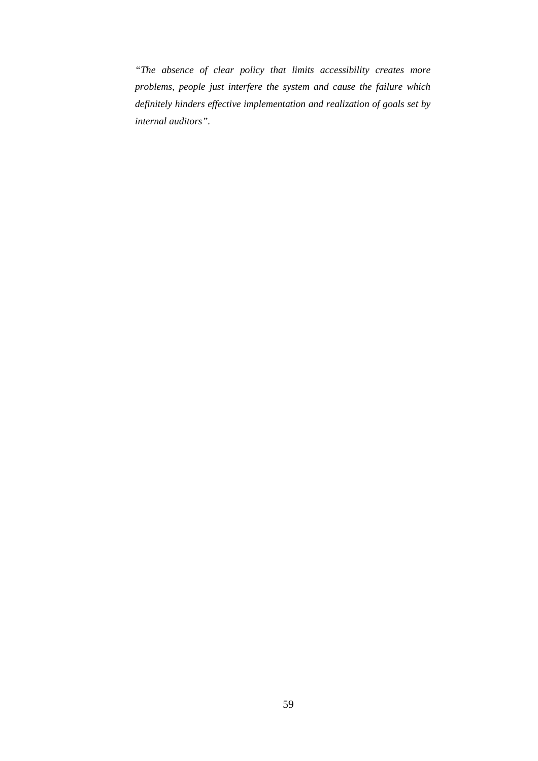*"The absence of clear policy that limits accessibility creates more problems, people just interfere the system and cause the failure which definitely hinders effective implementation and realization of goals set by internal auditors".*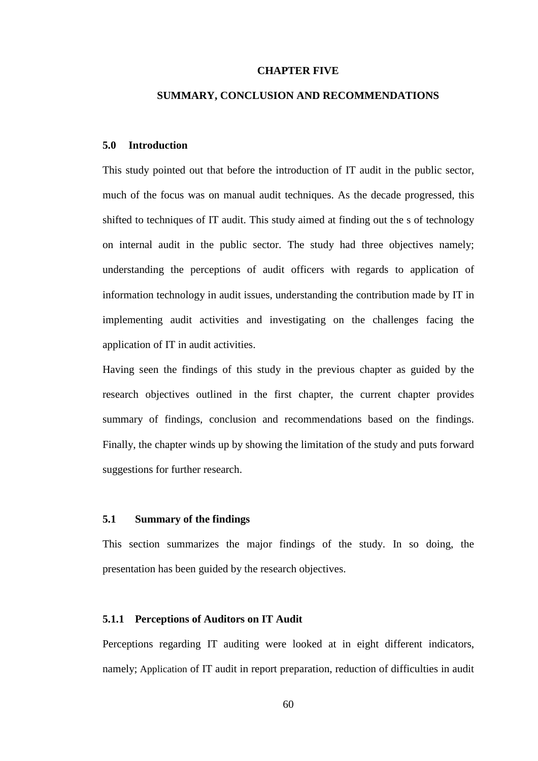## **CHAPTER FIVE**

# **SUMMARY, CONCLUSION AND RECOMMENDATIONS**

## **5.0 Introduction**

This study pointed out that before the introduction of IT audit in the public sector, much of the focus was on manual audit techniques. As the decade progressed, this shifted to techniques of IT audit. This study aimed at finding out the s of technology on internal audit in the public sector. The study had three objectives namely; understanding the perceptions of audit officers with regards to application of information technology in audit issues, understanding the contribution made by IT in implementing audit activities and investigating on the challenges facing the application of IT in audit activities.

Having seen the findings of this study in the previous chapter as guided by the research objectives outlined in the first chapter, the current chapter provides summary of findings, conclusion and recommendations based on the findings. Finally, the chapter winds up by showing the limitation of the study and puts forward suggestions for further research.

# **5.1 Summary of the findings**

This section summarizes the major findings of the study. In so doing, the presentation has been guided by the research objectives.

#### **5.1.1 Perceptions of Auditors on IT Audit**

Perceptions regarding IT auditing were looked at in eight different indicators, namely; Application of IT audit in report preparation, reduction of difficulties in audit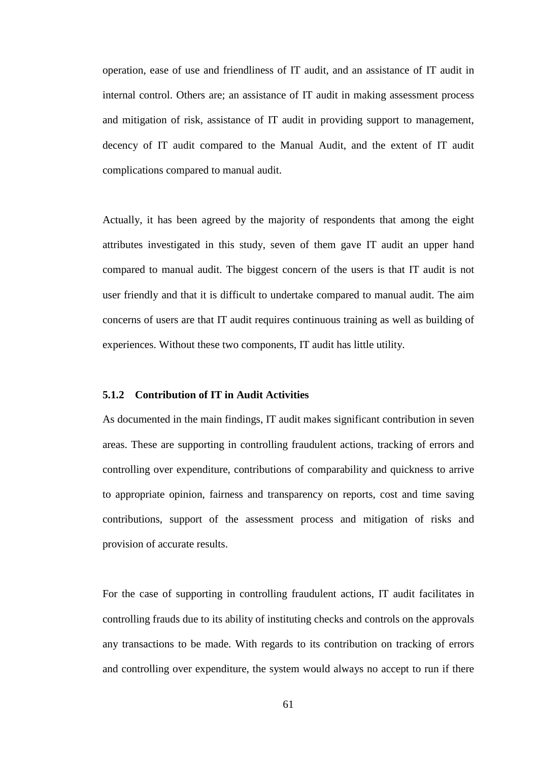operation, ease of use and friendliness of IT audit, and an assistance of IT audit in internal control. Others are; an assistance of IT audit in making assessment process and mitigation of risk, assistance of IT audit in providing support to management, decency of IT audit compared to the Manual Audit, and the extent of IT audit complications compared to manual audit.

Actually, it has been agreed by the majority of respondents that among the eight attributes investigated in this study, seven of them gave IT audit an upper hand compared to manual audit. The biggest concern of the users is that IT audit is not user friendly and that it is difficult to undertake compared to manual audit. The aim concerns of users are that IT audit requires continuous training as well as building of experiences. Without these two components, IT audit has little utility.

# **5.1.2 Contribution of IT in Audit Activities**

As documented in the main findings, IT audit makes significant contribution in seven areas. These are supporting in controlling fraudulent actions, tracking of errors and controlling over expenditure, contributions of comparability and quickness to arrive to appropriate opinion, fairness and transparency on reports, cost and time saving contributions, support of the assessment process and mitigation of risks and provision of accurate results.

For the case of supporting in controlling fraudulent actions, IT audit facilitates in controlling frauds due to its ability of instituting checks and controls on the approvals any transactions to be made. With regards to its contribution on tracking of errors and controlling over expenditure, the system would always no accept to run if there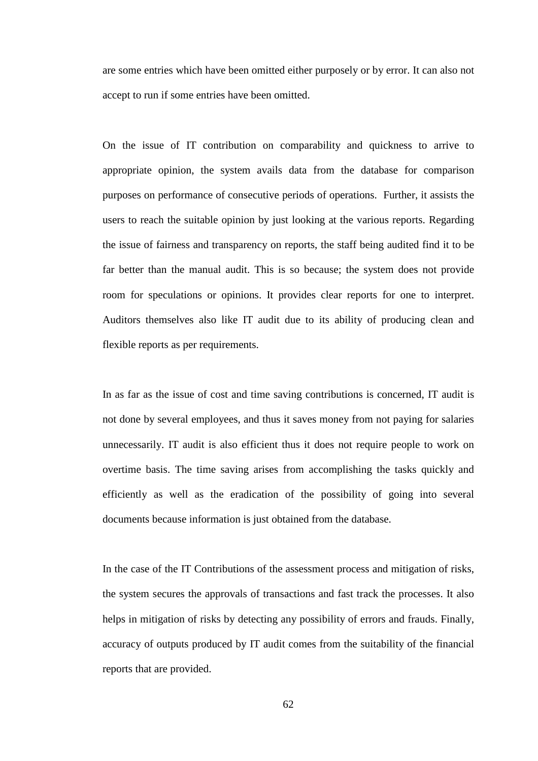are some entries which have been omitted either purposely or by error. It can also not accept to run if some entries have been omitted.

On the issue of IT contribution on comparability and quickness to arrive to appropriate opinion, the system avails data from the database for comparison purposes on performance of consecutive periods of operations. Further, it assists the users to reach the suitable opinion by just looking at the various reports. Regarding the issue of fairness and transparency on reports, the staff being audited find it to be far better than the manual audit. This is so because; the system does not provide room for speculations or opinions. It provides clear reports for one to interpret. Auditors themselves also like IT audit due to its ability of producing clean and flexible reports as per requirements.

In as far as the issue of cost and time saving contributions is concerned, IT audit is not done by several employees, and thus it saves money from not paying for salaries unnecessarily. IT audit is also efficient thus it does not require people to work on overtime basis. The time saving arises from accomplishing the tasks quickly and efficiently as well as the eradication of the possibility of going into several documents because information is just obtained from the database.

In the case of the IT Contributions of the assessment process and mitigation of risks, the system secures the approvals of transactions and fast track the processes. It also helps in mitigation of risks by detecting any possibility of errors and frauds. Finally, accuracy of outputs produced by IT audit comes from the suitability of the financial reports that are provided.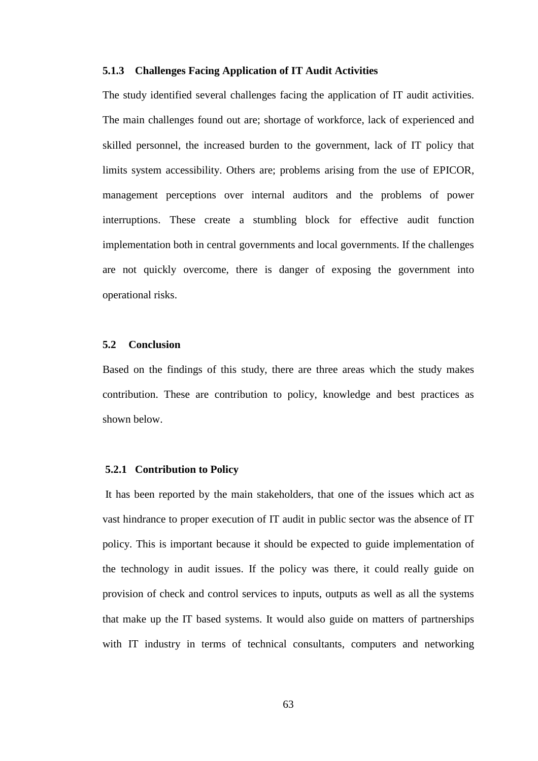#### **5.1.3 Challenges Facing Application of IT Audit Activities**

The study identified several challenges facing the application of IT audit activities. The main challenges found out are; shortage of workforce, lack of experienced and skilled personnel, the increased burden to the government, lack of IT policy that limits system accessibility. Others are; problems arising from the use of EPICOR, management perceptions over internal auditors and the problems of power interruptions. These create a stumbling block for effective audit function implementation both in central governments and local governments. If the challenges are not quickly overcome, there is danger of exposing the government into operational risks.

# **5.2 Conclusion**

Based on the findings of this study, there are three areas which the study makes contribution. These are contribution to policy, knowledge and best practices as shown below.

#### **5.2.1 Contribution to Policy**

It has been reported by the main stakeholders, that one of the issues which act as vast hindrance to proper execution of IT audit in public sector was the absence of IT policy. This is important because it should be expected to guide implementation of the technology in audit issues. If the policy was there, it could really guide on provision of check and control services to inputs, outputs as well as all the systems that make up the IT based systems. It would also guide on matters of partnerships with IT industry in terms of technical consultants, computers and networking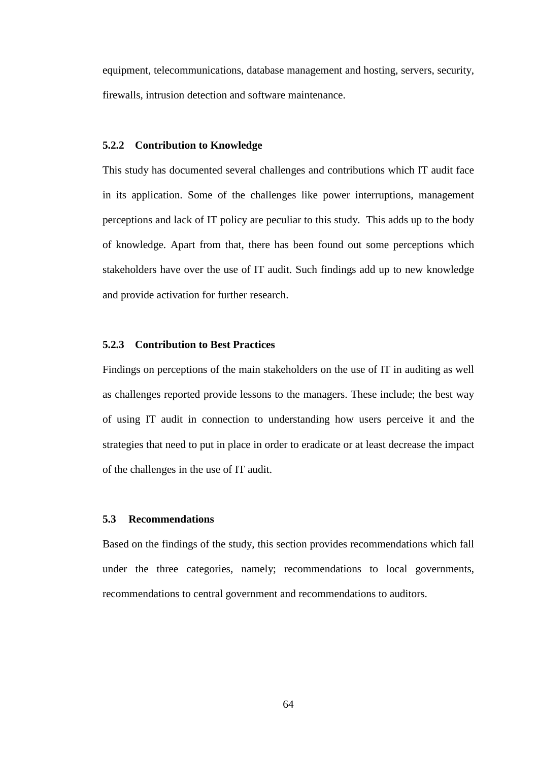equipment, telecommunications, database management and hosting, servers, security, firewalls, intrusion detection and software maintenance.

#### **5.2.2 Contribution to Knowledge**

This study has documented several challenges and contributions which IT audit face in its application. Some of the challenges like power interruptions, management perceptions and lack of IT policy are peculiar to this study. This adds up to the body of knowledge. Apart from that, there has been found out some perceptions which stakeholders have over the use of IT audit. Such findings add up to new knowledge and provide activation for further research.

## **5.2.3 Contribution to Best Practices**

Findings on perceptions of the main stakeholders on the use of IT in auditing as well as challenges reported provide lessons to the managers. These include; the best way of using IT audit in connection to understanding how users perceive it and the strategies that need to put in place in order to eradicate or at least decrease the impact of the challenges in the use of IT audit.

#### **5.3 Recommendations**

Based on the findings of the study, this section provides recommendations which fall under the three categories, namely; recommendations to local governments, recommendations to central government and recommendations to auditors.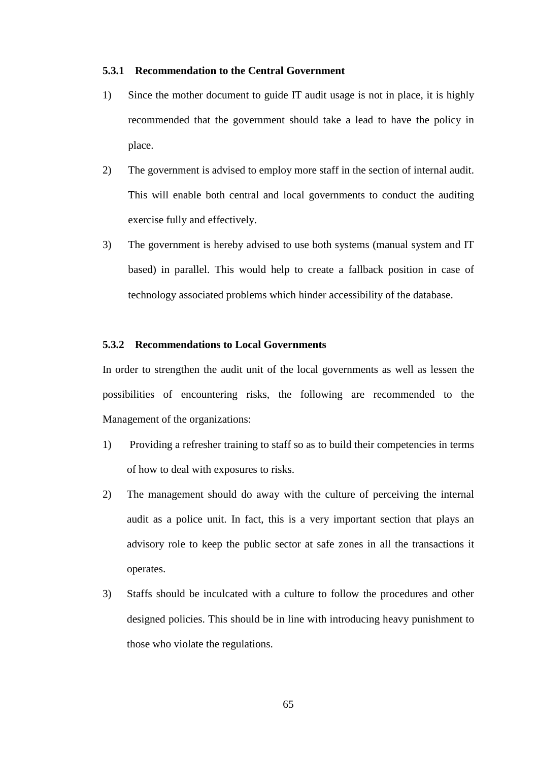#### **5.3.1 Recommendation to the Central Government**

- 1) Since the mother document to guide IT audit usage is not in place, it is highly recommended that the government should take a lead to have the policy in place.
- 2) The government is advised to employ more staff in the section of internal audit. This will enable both central and local governments to conduct the auditing exercise fully and effectively.
- 3) The government is hereby advised to use both systems (manual system and IT based) in parallel. This would help to create a fallback position in case of technology associated problems which hinder accessibility of the database.

# **5.3.2 Recommendations to Local Governments**

In order to strengthen the audit unit of the local governments as well as lessen the possibilities of encountering risks, the following are recommended to the Management of the organizations:

- 1) Providing a refresher training to staff so as to build their competencies in terms of how to deal with exposures to risks.
- 2) The management should do away with the culture of perceiving the internal audit as a police unit. In fact, this is a very important section that plays an advisory role to keep the public sector at safe zones in all the transactions it operates.
- 3) Staffs should be inculcated with a culture to follow the procedures and other designed policies. This should be in line with introducing heavy punishment to those who violate the regulations.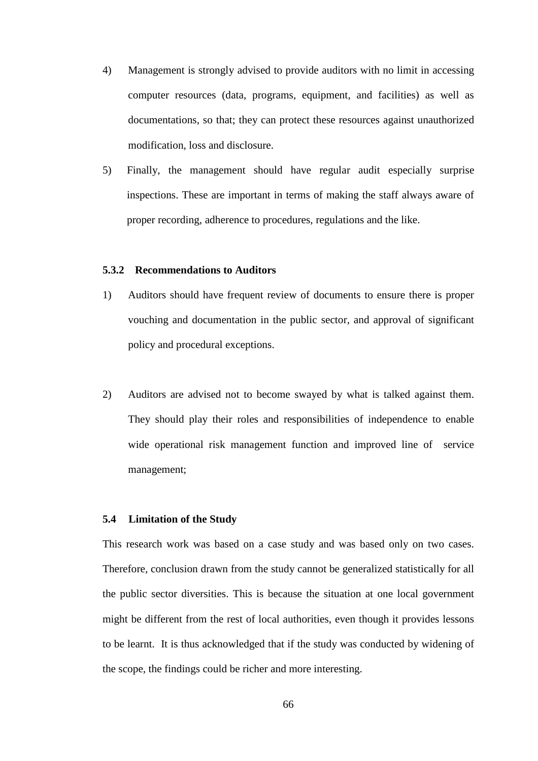- 4) Management is strongly advised to provide auditors with no limit in accessing computer resources (data, programs, equipment, and facilities) as well as documentations, so that; they can protect these resources against unauthorized modification, loss and disclosure.
- 5) Finally, the management should have regular audit especially surprise inspections. These are important in terms of making the staff always aware of proper recording, adherence to procedures, regulations and the like.

# **5.3.2 Recommendations to Auditors**

- 1) Auditors should have frequent review of documents to ensure there is proper vouching and documentation in the public sector, and approval of significant policy and procedural exceptions.
- 2) Auditors are advised not to become swayed by what is talked against them. They should play their roles and responsibilities of independence to enable wide operational risk management function and improved line of service management;

#### **5.4 Limitation of the Study**

This research work was based on a case study and was based only on two cases. Therefore, conclusion drawn from the study cannot be generalized statistically for all the public sector diversities. This is because the situation at one local government might be different from the rest of local authorities, even though it provides lessons to be learnt. It is thus acknowledged that if the study was conducted by widening of the scope, the findings could be richer and more interesting.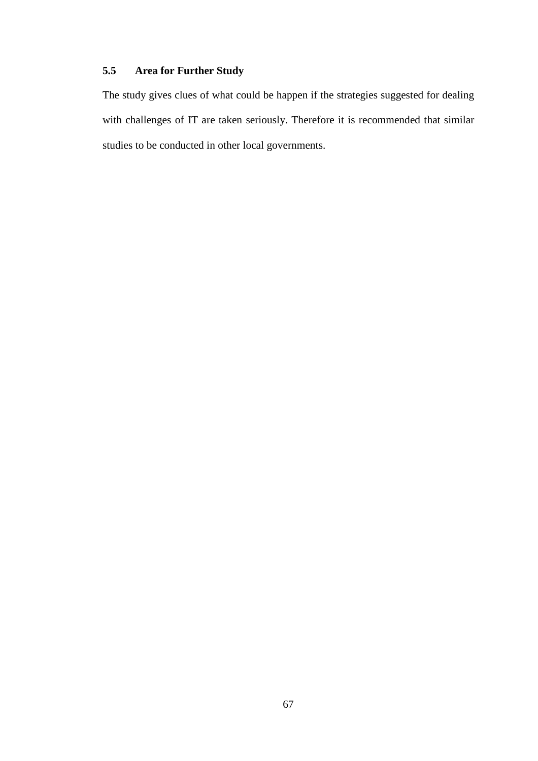# **5.5 Area for Further Study**

The study gives clues of what could be happen if the strategies suggested for dealing with challenges of IT are taken seriously. Therefore it is recommended that similar studies to be conducted in other local governments.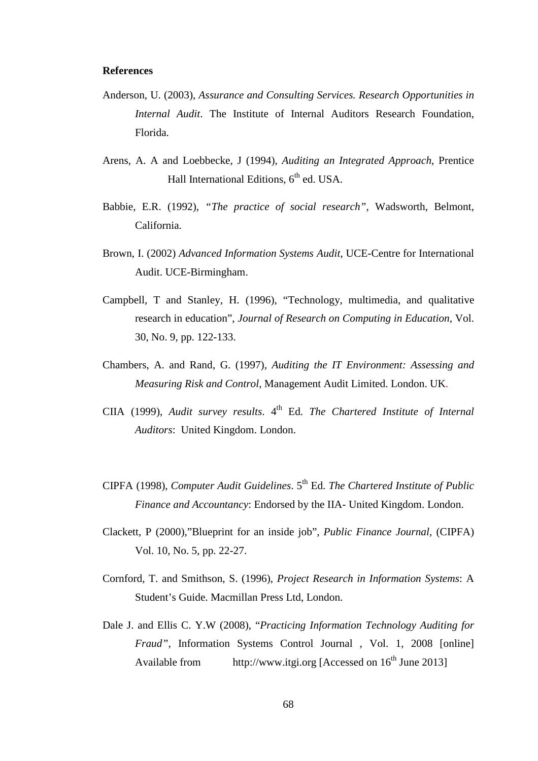#### **References**

- Anderson, U. (2003), *Assurance and Consulting Services. Research Opportunities in Internal Audit*. The Institute of Internal Auditors Research Foundation, Florida.
- Arens, A. A and Loebbecke, J (1994), *Auditing an Integrated Approach*, Prentice Hall International Editions,  $6<sup>th</sup>$  ed. USA.
- Babbie, E.R. (1992), *"The practice of social research",* Wadsworth, Belmont, California.
- Brown, I. (2002) *Advanced Information Systems Audit*, UCE-Centre for International Audit. UCE-Birmingham.
- Campbell, T and Stanley, H. (1996), "Technology, multimedia, and qualitative research in education", *Journal of Research on Computing in Education,* Vol. 30, No. 9, pp. 122-133.
- Chambers, A. and Rand, G. (1997), *Auditing the IT Environment: Assessing and Measuring Risk and Control*, Management Audit Limited. London. UK.
- CIIA (1999), *Audit survey results*. 4<sup>th</sup> Ed. *The Chartered Institute of Internal Auditors*: United Kingdom. London.
- CIPFA (1998), *Computer Audit Guidelines*. 5th Ed. *The Chartered Institute of Public Finance and Accountancy*: Endorsed by the IIA- United Kingdom. London.
- Clackett, P (2000),"Blueprint for an inside job", *Public Finance Journal,* (CIPFA) Vol. 10, No. 5, pp. 22-27.
- Cornford, T. and Smithson, S. (1996), *Project Research in Information Systems*: A Student's Guide. Macmillan Press Ltd, London.
- Dale J. and Ellis C. Y.W (2008), "*Practicing Information Technology Auditing for Fraud"*, Information Systems Control Journal , Vol. 1, 2008 [online] Available from http://www.itgi.org [Accessed on  $16<sup>th</sup>$  June 2013]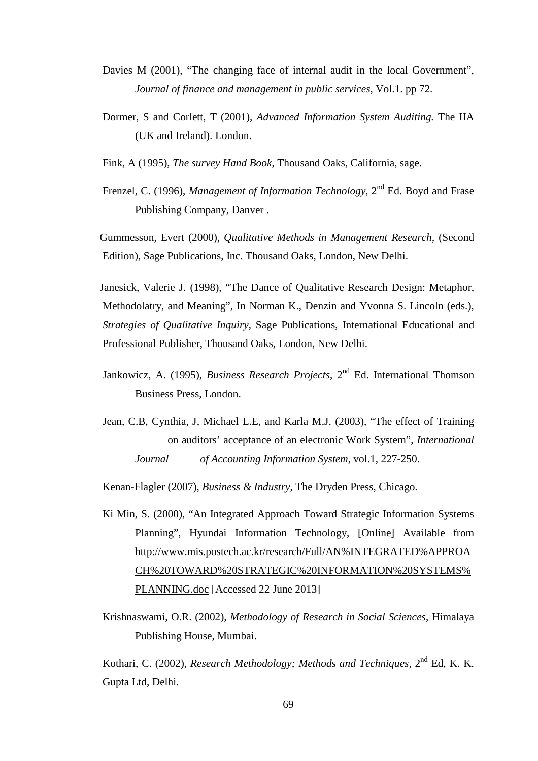- Davies M (2001), "The changing face of internal audit in the local Government", *Journal of finance and management in public services*, Vol.1. pp 72.
- Dormer, S and Corlett, T (2001), *Advanced Information System Auditing.* The IIA (UK and Ireland). London.
- Fink, A (1995), *The survey Hand Book*, Thousand Oaks, California, sage.
- Frenzel, C. (1996), *Management of Information Technology*, 2<sup>nd</sup> Ed. Boyd and Frase Publishing Company, Danver .

 Gummesson, Evert (2000), *Qualitative Methods in Management Research,* (Second Edition), Sage Publications, Inc. Thousand Oaks, London, New Delhi.

 Janesick, Valerie J. (1998), "The Dance of Qualitative Research Design: Metaphor, Methodolatry, and Meaning", In Norman K., Denzin and Yvonna S. Lincoln (eds.), *Strategies of Qualitative Inquiry*, Sage Publications, International Educational and Professional Publisher, Thousand Oaks, London, New Delhi.

- Jankowicz, A. (1995), *Business Research Projects*, 2<sup>nd</sup> Ed. International Thomson Business Press, London.
- Jean, C.B, Cynthia, J, Michael L.E, and Karla M.J. (2003), "The effect of Training on auditors' acceptance of an electronic Work System", *International Journal of Accounting Information System*, vol.1, 227-250.

Kenan-Flagler (2007), *Business & Industry*, The Dryden Press, Chicago.

- Ki Min, S. (2000), "An Integrated Approach Toward Strategic Information Systems Planning", Hyundai Information Technology, [Online] Available from http://www.mis.postech.ac.kr/research/Full/AN%INTEGRATED%APPROA CH%20TOWARD%20STRATEGIC%20INFORMATION%20SYSTEMS% PLANNING.doc [Accessed 22 June 2013]
- Krishnaswami, O.R. (2002), *Methodology of Research in Social Sciences*, Himalaya Publishing House, Mumbai.

 Kothari, C. (2002), *Research Methodology; Methods and Techniques,* 2nd Ed, K. K. Gupta Ltd, Delhi.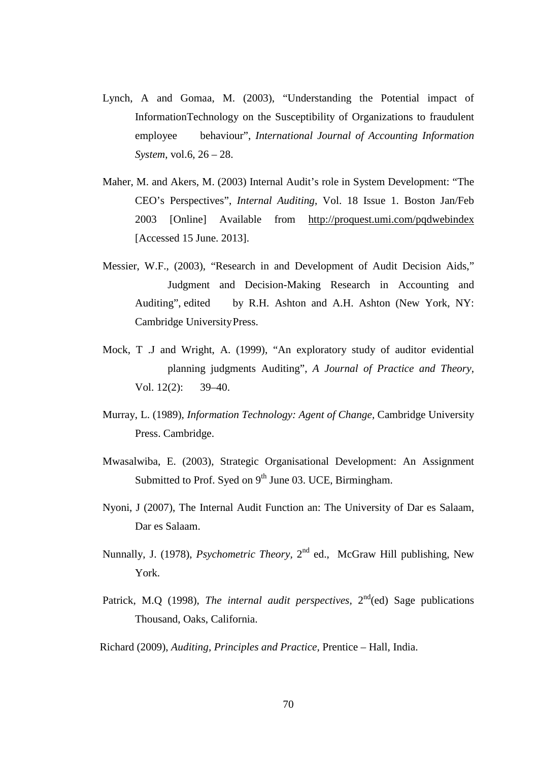- Lynch, A and Gomaa, M. (2003), "Understanding the Potential impact of InformationTechnology on the Susceptibility of Organizations to fraudulent employee behaviour", *International Journal of Accounting Information System*, vol.6, 26 – 28.
- Maher, M. and Akers, M. (2003) Internal Audit's role in System Development: "The CEO's Perspectives", *Internal Auditing*, Vol. 18 Issue 1. Boston Jan/Feb 2003 [Online] Available from http://proquest.umi.com/pqdwebindex [Accessed 15 June. 2013].
- Messier, W.F., (2003), "Research in and Development of Audit Decision Aids," Judgment and Decision-Making Research in Accounting and Auditing", edited by R.H. Ashton and A.H. Ashton (New York, NY: Cambridge University Press.
- Mock, T .J and Wright, A. (1999), "An exploratory study of auditor evidential planning judgments Auditing", *A Journal of Practice and Theory*, Vol. 12(2): 39–40.
- Murray, L. (1989), *Information Technology: Agent of Change,* Cambridge University Press. Cambridge.
- Mwasalwiba, E. (2003), Strategic Organisational Development: An Assignment Submitted to Prof. Syed on  $9<sup>th</sup>$  June 03. UCE, Birmingham.
- Nyoni, J (2007), The Internal Audit Function an: The University of Dar es Salaam, Dar es Salaam.
- Nunnally, J. (1978), *Psychometric Theory*, 2<sup>nd</sup> ed., McGraw Hill publishing, New York.
- Patrick, M.Q (1998), *The internal audit perspectives*,  $2<sup>nd</sup>(ed)$  Sage publications Thousand, Oaks, California.

Richard (2009), *Auditing, Principles and Practice,* Prentice – Hall, India.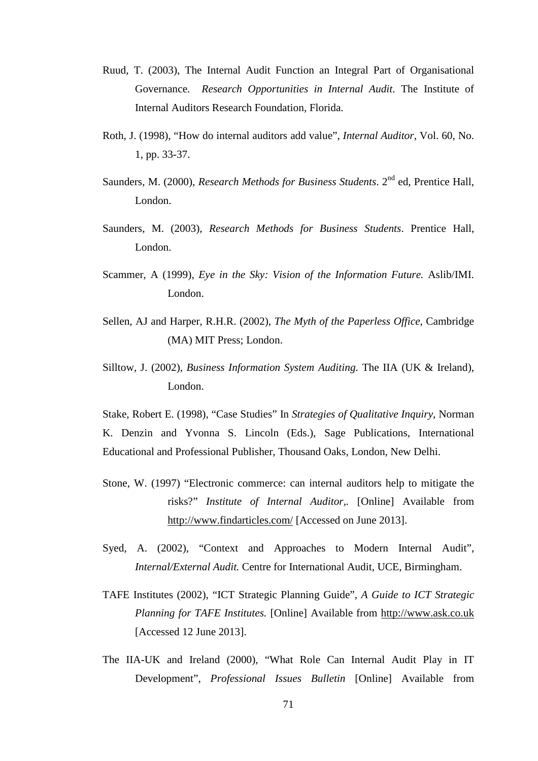- Ruud, T. (2003), The Internal Audit Function an Integral Part of Organisational Governance. *Research Opportunities in Internal Audit*. The Institute of Internal Auditors Research Foundation, Florida.
- Roth, J. (1998), "How do internal auditors add value", *Internal Auditor*, Vol. 60, No. 1, pp. 33-37.
- Saunders, M. (2000), *Research Methods for Business Students*. 2<sup>nd</sup> ed. Prentice Hall, London.
- Saunders, M. (2003), *Research Methods for Business Students*. Prentice Hall, London.
- Scammer, A (1999), *Eye in the Sky: Vision of the Information Future.* Aslib/IMI. London.
- Sellen, AJ and Harper, R.H.R. (2002), *The Myth of the Paperless Office*, Cambridge (MA) MIT Press; London.
- Silltow, J. (2002), *Business Information System Auditing.* The IIA (UK & Ireland), London.

 Stake, Robert E. (1998), "Case Studies" In *Strategies of Qualitative Inquiry*, Norman K. Denzin and Yvonna S. Lincoln (Eds.), Sage Publications, International Educational and Professional Publisher, Thousand Oaks, London, New Delhi.

- Stone, W. (1997) "Electronic commerce: can internal auditors help to mitigate the risks?" *Institute of Internal Auditor,.* [Online] Available from http://www.findarticles.com/ [Accessed on June 2013].
- Syed, A. (2002), "Context and Approaches to Modern Internal Audit", *Internal/External Audit.* Centre for International Audit, UCE, Birmingham.
- TAFE Institutes (2002), "ICT Strategic Planning Guide", *A Guide to ICT Strategic Planning for TAFE Institutes.* [Online] Available from http://www.ask.co.uk [Accessed 12 June 2013].
- The IIA-UK and Ireland (2000), "What Role Can Internal Audit Play in IT Development", *Professional Issues Bulletin* [Online] Available from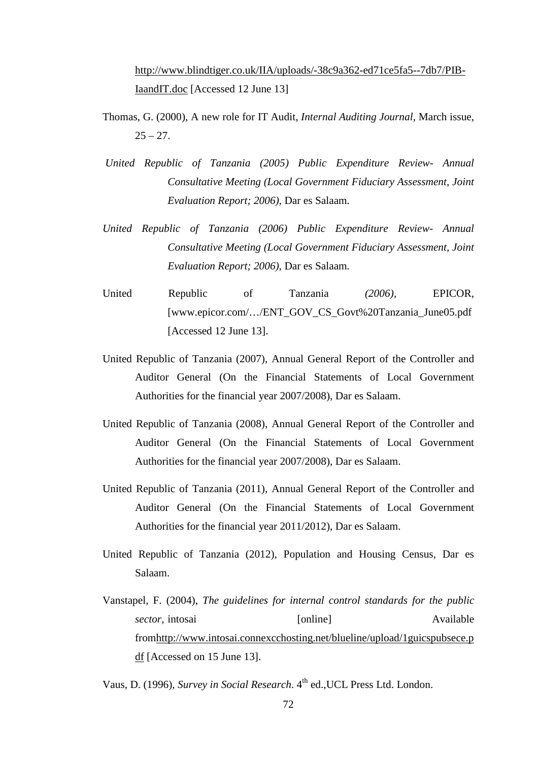http://www.blindtiger.co.uk/IIA/uploads/-38c9a362-ed71ce5fa5--7db7/PIB-IaandIT.doc [Accessed 12 June 13]

- Thomas, G. (2000), A new role for IT Audit, *Internal Auditing Journal*, March issue,  $25 - 27$
- *United Republic of Tanzania (2005) Public Expenditure Review- Annual Consultative Meeting (Local Government Fiduciary Assessment, Joint Evaluation Report; 2006),* Dar es Salaam*.*
- *United Republic of Tanzania (2006) Public Expenditure Review- Annual Consultative Meeting (Local Government Fiduciary Assessment, Joint Evaluation Report; 2006),* Dar es Salaam*.*
- United Republic of Tanzania *(2006),* EPICOR, [www.epicor.com/…/ENT\_GOV\_CS\_Govt%20Tanzania\_June05.pdf [Accessed 12 June 13].
- United Republic of Tanzania (2007), Annual General Report of the Controller and Auditor General (On the Financial Statements of Local Government Authorities for the financial year 2007/2008), Dar es Salaam.
- United Republic of Tanzania (2008), Annual General Report of the Controller and Auditor General (On the Financial Statements of Local Government Authorities for the financial year 2007/2008), Dar es Salaam.
- United Republic of Tanzania (2011), Annual General Report of the Controller and Auditor General (On the Financial Statements of Local Government Authorities for the financial year 2011/2012), Dar es Salaam.
- United Republic of Tanzania (2012), Population and Housing Census, Dar es Salaam.
- Vanstapel, F. (2004), *The guidelines for internal control standards for the public sector*, intosai [online] [online] Available fromhttp://www.intosai.connexcchosting.net/blueline/upload/1guicspubsece.p df [Accessed on 15 June 13].

Vaus, D. (1996), *Survey in Social Research*. 4<sup>th</sup> ed., UCL Press Ltd. London.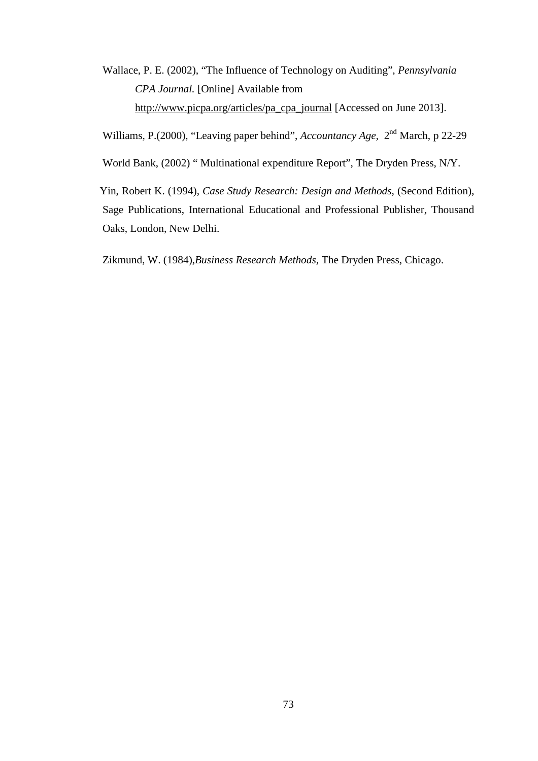Wallace, P. E. (2002), "The Influence of Technology on Auditing", *Pennsylvania CPA Journal.* [Online] Available from http://www.picpa.org/articles/pa\_cpa\_journal [Accessed on June 2013].

Williams, P.(2000), "Leaving paper behind", *Accountancy Age,* 2nd March, p 22-29

World Bank, (2002) " Multinational expenditure Report", The Dryden Press, N/Y.

 Yin, Robert K. (1994), *Case Study Research: Design and Methods*, (Second Edition), Sage Publications, International Educational and Professional Publisher, Thousand Oaks, London, New Delhi.

Zikmund, W. (1984),*Business Research Methods*, The Dryden Press, Chicago.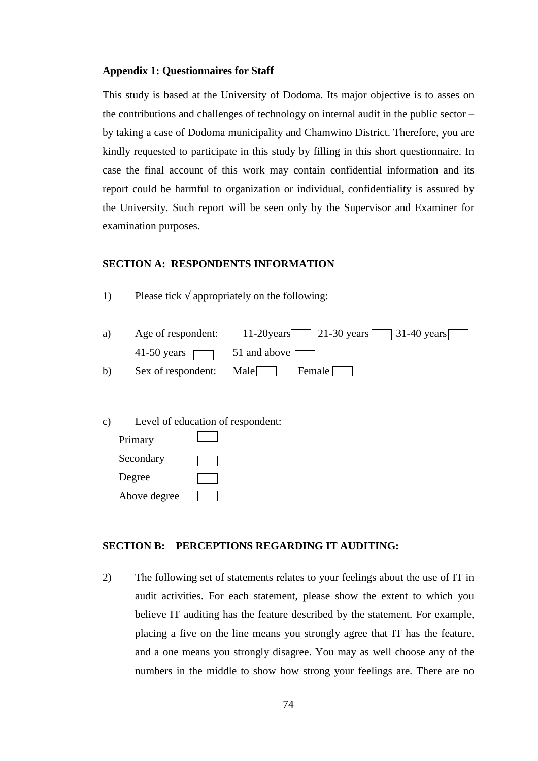#### **Appendix 1: Questionnaires for Staff**

This study is based at the University of Dodoma. Its major objective is to asses on the contributions and challenges of technology on internal audit in the public sector – by taking a case of Dodoma municipality and Chamwino District. Therefore, you are kindly requested to participate in this study by filling in this short questionnaire. In case the final account of this work may contain confidential information and its report could be harmful to organization or individual, confidentiality is assured by the University. Such report will be seen only by the Supervisor and Examiner for examination purposes.

# **SECTION A: RESPONDENTS INFORMATION**

1) Please tick  $\sqrt{ }$  appropriately on the following:

|    | a) Age of respondent: $11-20$ years $21-30$ years $31-40$ years $\Box$ |
|----|------------------------------------------------------------------------|
|    | 41-50 years $\Box$ 51 and above $\Box$                                 |
| b) | Sex of respondent: Male   Female                                       |

| C) |              | Level of education of respondent: |
|----|--------------|-----------------------------------|
|    | Primary      |                                   |
|    | Secondary    |                                   |
|    | Degree       |                                   |
|    | Above degree |                                   |

# **SECTION B: PERCEPTIONS REGARDING IT AUDITING:**

2) The following set of statements relates to your feelings about the use of IT in audit activities. For each statement, please show the extent to which you believe IT auditing has the feature described by the statement. For example, placing a five on the line means you strongly agree that IT has the feature, and a one means you strongly disagree. You may as well choose any of the numbers in the middle to show how strong your feelings are. There are no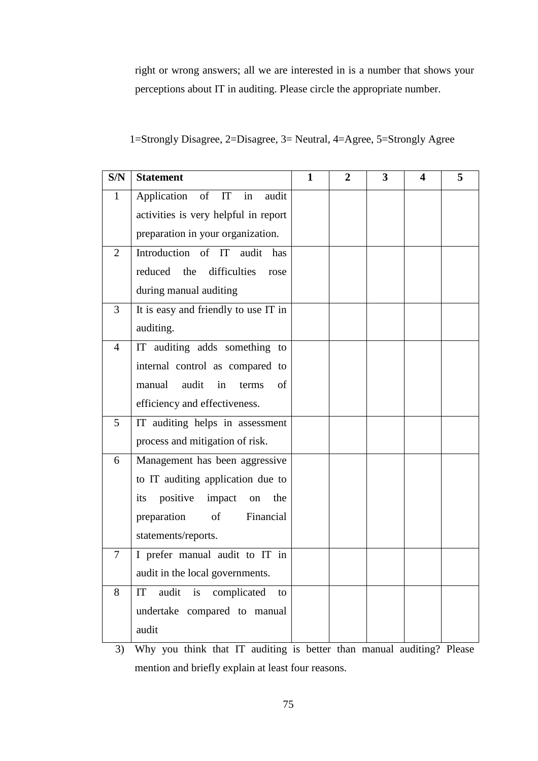right or wrong answers; all we are interested in is a number that shows your perceptions about IT in auditing. Please circle the appropriate number.

| S/N            | <b>Statement</b>                     | 1 | $\mathbf{2}$ | 3 | 4 | 5 |
|----------------|--------------------------------------|---|--------------|---|---|---|
| 1              | Application<br>of IT<br>in<br>audit  |   |              |   |   |   |
|                | activities is very helpful in report |   |              |   |   |   |
|                | preparation in your organization.    |   |              |   |   |   |
| $\overline{2}$ | Introduction of IT audit has         |   |              |   |   |   |
|                | reduced the<br>difficulties<br>rose  |   |              |   |   |   |
|                | during manual auditing               |   |              |   |   |   |
| 3              | It is easy and friendly to use IT in |   |              |   |   |   |
|                | auditing.                            |   |              |   |   |   |
| $\overline{4}$ | IT auditing adds something to        |   |              |   |   |   |
|                | internal control as compared to      |   |              |   |   |   |
|                | audit<br>of<br>manual<br>in<br>terms |   |              |   |   |   |
|                | efficiency and effectiveness.        |   |              |   |   |   |
| 5              | IT auditing helps in assessment      |   |              |   |   |   |
|                | process and mitigation of risk.      |   |              |   |   |   |
| 6              | Management has been aggressive       |   |              |   |   |   |
|                | to IT auditing application due to    |   |              |   |   |   |
|                | its positive<br>impact<br>the<br>on  |   |              |   |   |   |
|                | of<br>Financial<br>preparation       |   |              |   |   |   |
|                | statements/reports.                  |   |              |   |   |   |
| 7              | I prefer manual audit to IT in       |   |              |   |   |   |
|                | audit in the local governments.      |   |              |   |   |   |
| 8              | audit is<br>complicated<br>IT<br>to  |   |              |   |   |   |
|                | undertake compared to manual         |   |              |   |   |   |
|                | audit                                |   |              |   |   |   |

|  | 1=Strongly Disagree, 2=Disagree, 3= Neutral, 4=Agree, 5=Strongly Agree |  |  |  |
|--|------------------------------------------------------------------------|--|--|--|
|  |                                                                        |  |  |  |

3) Why you think that IT auditing is better than manual auditing? Please mention and briefly explain at least four reasons.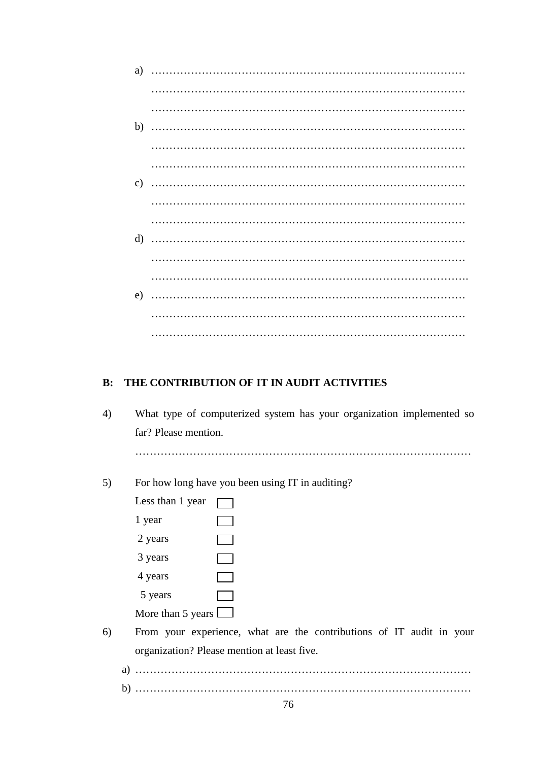| a)            |  |
|---------------|--|
|               |  |
|               |  |
| b)            |  |
|               |  |
|               |  |
| $\mathbf{c})$ |  |
|               |  |
|               |  |
| $\rm d$       |  |
|               |  |
|               |  |
| e)            |  |
|               |  |
|               |  |
|               |  |

# **B: THE CONTRIBUTION OF IT IN AUDIT ACTIVITIES**

| 4) | What type of computerized system has your organization implemented so |
|----|-----------------------------------------------------------------------|
|    | far? Please mention.                                                  |
|    |                                                                       |
| 5) | For how long have you been using IT in auditing?                      |
|    | Less than 1 year                                                      |
|    | 1 year                                                                |
|    | 2 years                                                               |
|    | 3 years                                                               |
|    | 4 years                                                               |
|    | 5 years                                                               |
|    | More than 5 years                                                     |
| 6) | From your experience, what are the contributions of IT audit in your  |
|    | organization? Please mention at least five.                           |
|    |                                                                       |
|    | b)                                                                    |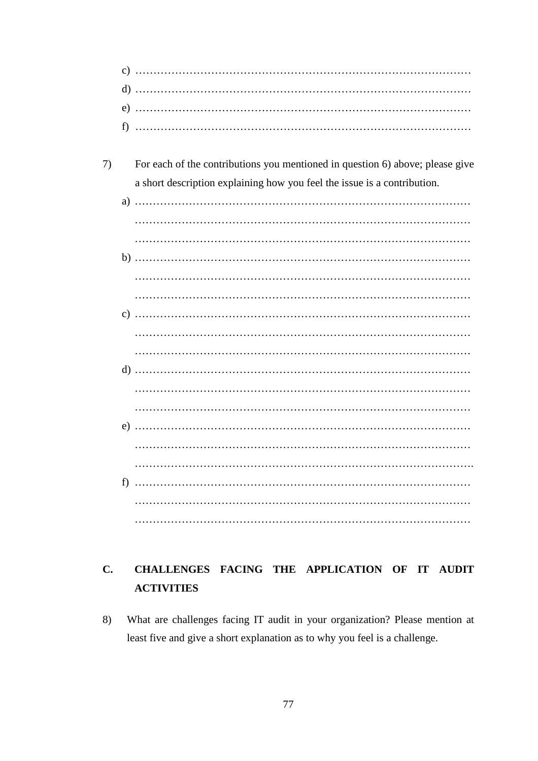- 7) For each of the contributions you mentioned in question 6) above; please give a short description explaining how you feel the issue is a contribution.
	- a) ………………………………………………………………………………… ………………………………………………………………………………… ………………………………………………………………………………… b) ………………………………………………………………………………… ………………………………………………………………………………… c) ………………………………………………………………………………… ………………………………………………………………………………… ………………………………………………………………………………… d) …………………………………………………………………………………  $\mathcal{L}^{(n)}$ ………………………………………………………………………………… e) …………………………………………………………………………………  $\mathcal{L}^{(n)}$ …………………………………………………………………………………. f) ………………………………………………………………………………… ………………………………………………………………………………… …………………………………………………………………………………

# **C. CHALLENGES FACING THE APPLICATION OF IT AUDIT ACTIVITIES**

8) What are challenges facing IT audit in your organization? Please mention at least five and give a short explanation as to why you feel is a challenge.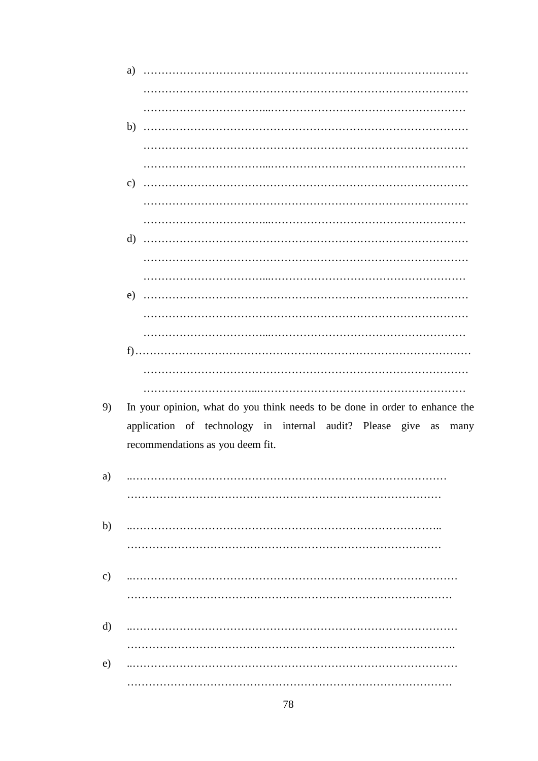|               | a)            |                                                                             |
|---------------|---------------|-----------------------------------------------------------------------------|
|               |               |                                                                             |
|               |               |                                                                             |
|               | b)            |                                                                             |
|               |               |                                                                             |
|               |               |                                                                             |
|               | $\mathbf{c})$ |                                                                             |
|               |               |                                                                             |
|               |               |                                                                             |
|               | $\mathbf{d}$  |                                                                             |
|               |               |                                                                             |
|               |               |                                                                             |
|               | e)            |                                                                             |
|               |               |                                                                             |
|               |               |                                                                             |
|               |               |                                                                             |
|               |               |                                                                             |
|               |               |                                                                             |
| 9)            |               | In your opinion, what do you think needs to be done in order to enhance the |
|               |               | application of technology in internal audit? Please give as<br>many         |
|               |               | recommendations as you deem fit.                                            |
|               |               |                                                                             |
| a)            |               |                                                                             |
|               |               |                                                                             |
| b)            |               |                                                                             |
|               |               |                                                                             |
|               |               |                                                                             |
| $\mathbf{c})$ |               |                                                                             |
|               |               |                                                                             |
|               |               |                                                                             |
| d)            |               |                                                                             |
|               |               |                                                                             |
| $\epsilon$ )  |               |                                                                             |
|               |               |                                                                             |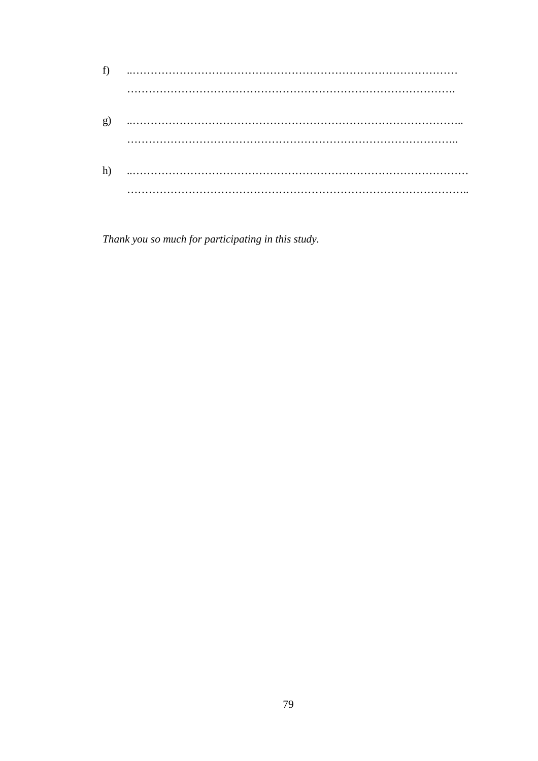| f)           |  |
|--------------|--|
|              |  |
| $\mathbf{g}$ |  |
|              |  |
| h)           |  |
|              |  |

Thank you so much for participating in this study.